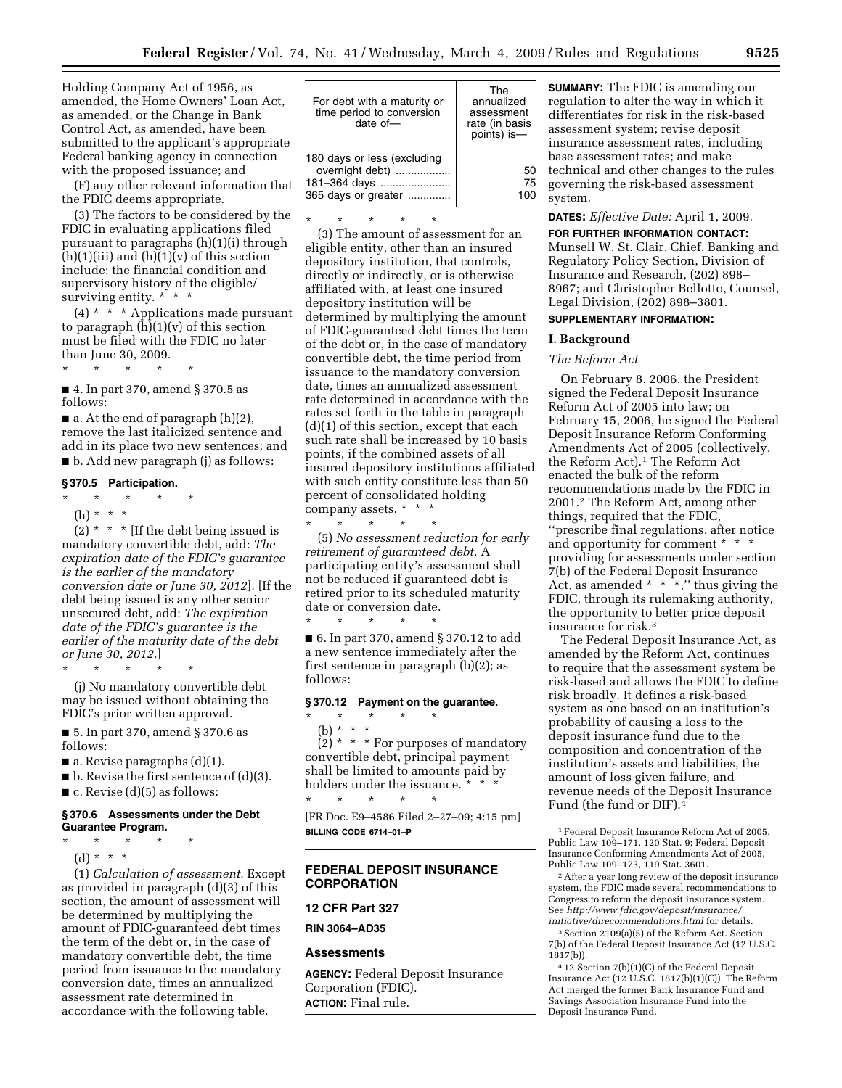Holding Company Act of 1956, as amended, the Home Owners' Loan Act, as amended, or the Change in Bank Control Act, as amended, have been submitted to the applicant's appropriate Federal banking agency in connection with the proposed issuance; and

(F) any other relevant information that the FDIC deems appropriate.

(3) The factors to be considered by the FDIC in evaluating applications filed pursuant to paragraphs (h)(1)(i) through  $(h)(1)(iii)$  and  $(h)(1)(v)$  of this section include: the financial condition and supervisory history of the eligible/ surviving entity. \* \* \*

(4) \* \* \* Applications made pursuant to paragraph  $(\hat{h})(1)(v)$  of this section must be filed with the FDIC no later than June 30, 2009.

\* \* \* \* \*

■ 4. In part 370, amend § 370.5 as follows:

 $\blacksquare$  a. At the end of paragraph (h)(2), remove the last italicized sentence and add in its place two new sentences; and ■ b. Add new paragraph (j) as follows:

#### **§ 370.5 Participation.**

- \* \* \* \* \*
- (h) \* \* \*

(2)  $*$   $*$   $*$  [If the debt being issued is mandatory convertible debt, add: *The expiration date of the FDIC's guarantee is the earlier of the mandatory conversion date or June 30, 2012*]. [If the debt being issued is any other senior unsecured debt, add: *The expiration date of the FDIC's guarantee is the earlier of the maturity date of the debt or June 30, 2012.*]

\* \* \* \* \*

(j) No mandatory convertible debt may be issued without obtaining the FDIC's prior written approval.

■ 5. In part 370, amend § 370.6 as follows:

 $\blacksquare$  a. Revise paragraphs (d)(1).

 $\blacksquare$  b. Revise the first sentence of (d)(3).

 $\blacksquare$  c. Revise (d)(5) as follows:

### **§ 370.6 Assessments under the Debt Guarantee Program.**

\* \* \* \* \*

(d) \* \* \*

(1) *Calculation of assessment.* Except as provided in paragraph (d)(3) of this section, the amount of assessment will be determined by multiplying the amount of FDIC-guaranteed debt times the term of the debt or, in the case of mandatory convertible debt, the time period from issuance to the mandatory conversion date, times an annualized assessment rate determined in accordance with the following table.

| For debt with a maturity or<br>time period to conversion<br>date of $-$               | The<br>annualized<br>assessment<br>rate (in basis<br>points) is- |
|---------------------------------------------------------------------------------------|------------------------------------------------------------------|
| 180 days or less (excluding<br>overnight debt)<br>181-364 days<br>365 days or greater | 50<br>75                                                         |

\* \* \* \* \*

(3) The amount of assessment for an eligible entity, other than an insured depository institution, that controls, directly or indirectly, or is otherwise affiliated with, at least one insured depository institution will be determined by multiplying the amount of FDIC-guaranteed debt times the term of the debt or, in the case of mandatory convertible debt, the time period from issuance to the mandatory conversion date, times an annualized assessment rate determined in accordance with the rates set forth in the table in paragraph (d)(1) of this section, except that each such rate shall be increased by 10 basis points, if the combined assets of all insured depository institutions affiliated with such entity constitute less than 50 percent of consolidated holding company assets. \* \* \*

\* \* \* \* \* (5) *No assessment reduction for early retirement of guaranteed debt.* A participating entity's assessment shall not be reduced if guaranteed debt is retired prior to its scheduled maturity date or conversion date. \* \* \* \* \*

■ 6. In part 370, amend § 370.12 to add a new sentence immediately after the first sentence in paragraph (b)(2); as follows:

### **§ 370.12 Payment on the guarantee.**

\* \* \* \* \*

\* \* \* \* \*

(b) \* \* \*

 $\widetilde{2}$  \* \* \* For purposes of mandatory convertible debt, principal payment shall be limited to amounts paid by holders under the issuance. \* \* \*

[FR Doc. E9–4586 Filed 2–27–09; 4:15 pm] **BILLING CODE 6714–01–P** 

### **FEDERAL DEPOSIT INSURANCE CORPORATION**

#### **12 CFR Part 327**

**RIN 3064–AD35** 

#### **Assessments**

**AGENCY:** Federal Deposit Insurance Corporation (FDIC). **ACTION:** Final rule.

**SUMMARY:** The FDIC is amending our regulation to alter the way in which it differentiates for risk in the risk-based assessment system; revise deposit insurance assessment rates, including base assessment rates; and make technical and other changes to the rules governing the risk-based assessment system.

### **DATES:** *Effective Date:* April 1, 2009.

**FOR FURTHER INFORMATION CONTACT:**  Munsell W. St. Clair, Chief, Banking and Regulatory Policy Section, Division of Insurance and Research, (202) 898– 8967; and Christopher Bellotto, Counsel, Legal Division, (202) 898–3801.

### **SUPPLEMENTARY INFORMATION:**

# **I. Background**

### *The Reform Act*

On February 8, 2006, the President signed the Federal Deposit Insurance Reform Act of 2005 into law; on February 15, 2006, he signed the Federal Deposit Insurance Reform Conforming Amendments Act of 2005 (collectively, the Reform Act).1 The Reform Act enacted the bulk of the reform recommendations made by the FDIC in 2001.2 The Reform Act, among other things, required that the FDIC, ''prescribe final regulations, after notice and opportunity for comment \* \* \* providing for assessments under section 7(b) of the Federal Deposit Insurance Act, as amended  $* * *$ ," thus giving the FDIC, through its rulemaking authority, the opportunity to better price deposit insurance for risk.3

The Federal Deposit Insurance Act, as amended by the Reform Act, continues to require that the assessment system be risk-based and allows the FDIC to define risk broadly. It defines a risk-based system as one based on an institution's probability of causing a loss to the deposit insurance fund due to the composition and concentration of the institution's assets and liabilities, the amount of loss given failure, and revenue needs of the Deposit Insurance Fund (the fund or DIF).4

2After a year long review of the deposit insurance system, the FDIC made several recommendations to Congress to reform the deposit insurance system. See *[http://www.fdic.gov/deposit/insurance/](http://www.fdic.gov/deposit/insurance/initiative/direcommendations.html)  initiative/direcommendations.html* for details.

3Section 2109(a)(5) of the Reform Act. Section 7(b) of the Federal Deposit Insurance Act (12 U.S.C. 1817(b)).

<sup>1</sup>Federal Deposit Insurance Reform Act of 2005, Public Law 109–171, 120 Stat. 9; Federal Deposit Insurance Conforming Amendments Act of 2005, Public Law 109–173, 119 Stat. 3601.

<sup>4</sup> 12 Section 7(b)(1)(C) of the Federal Deposit Insurance Act (12 U.S.C. 1817(b)(1)(C)). The Reform Act merged the former Bank Insurance Fund and Savings Association Insurance Fund into the Deposit Insurance Fund.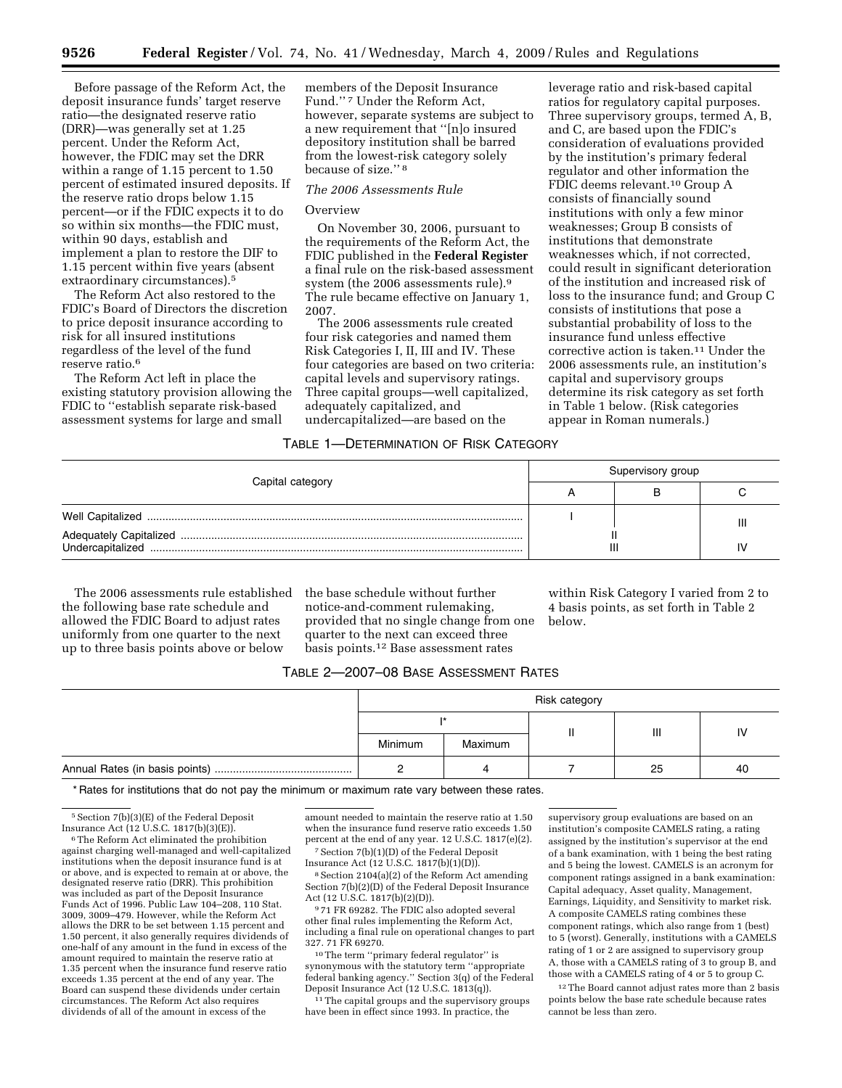Before passage of the Reform Act, the deposit insurance funds' target reserve ratio—the designated reserve ratio (DRR)—was generally set at 1.25 percent. Under the Reform Act, however, the FDIC may set the DRR within a range of 1.15 percent to 1.50 percent of estimated insured deposits. If the reserve ratio drops below 1.15 percent—or if the FDIC expects it to do so within six months—the FDIC must, within 90 days, establish and implement a plan to restore the DIF to 1.15 percent within five years (absent extraordinary circumstances).5

The Reform Act also restored to the FDIC's Board of Directors the discretion to price deposit insurance according to risk for all insured institutions regardless of the level of the fund reserve ratio.<sup>6</sup>

The Reform Act left in place the existing statutory provision allowing the FDIC to ''establish separate risk-based assessment systems for large and small

members of the Deposit Insurance Fund.'' 7 Under the Reform Act, however, separate systems are subject to a new requirement that ''[n]o insured depository institution shall be barred from the lowest-risk category solely because of size.'' 8

### *The 2006 Assessments Rule*

### **Overview**

On November 30, 2006, pursuant to the requirements of the Reform Act, the FDIC published in the **Federal Register**  a final rule on the risk-based assessment system (the 2006 assessments rule).9 The rule became effective on January 1, 2007.

The 2006 assessments rule created four risk categories and named them Risk Categories I, II, III and IV. These four categories are based on two criteria: capital levels and supervisory ratings. Three capital groups—well capitalized, adequately capitalized, and undercapitalized—are based on the

leverage ratio and risk-based capital ratios for regulatory capital purposes. Three supervisory groups, termed A, B, and C, are based upon the FDIC's consideration of evaluations provided by the institution's primary federal regulator and other information the FDIC deems relevant.10 Group A consists of financially sound institutions with only a few minor weaknesses; Group B consists of institutions that demonstrate weaknesses which, if not corrected, could result in significant deterioration of the institution and increased risk of loss to the insurance fund; and Group C consists of institutions that pose a substantial probability of loss to the insurance fund unless effective corrective action is taken.11 Under the 2006 assessments rule, an institution's capital and supervisory groups determine its risk category as set forth in Table 1 below. (Risk categories appear in Roman numerals.)

## TABLE 1—DETERMINATION OF RISK CATEGORY

| Capital category |  | Supervisory group |  |  |  |  |
|------------------|--|-------------------|--|--|--|--|
|                  |  |                   |  |  |  |  |
|                  |  |                   |  |  |  |  |
| Undercapitalized |  | Ш                 |  |  |  |  |

The 2006 assessments rule established the following base rate schedule and allowed the FDIC Board to adjust rates uniformly from one quarter to the next up to three basis points above or below

the base schedule without further notice-and-comment rulemaking, provided that no single change from one quarter to the next can exceed three basis points.12 Base assessment rates

within Risk Category I varied from 2 to 4 basis points, as set forth in Table 2 below.

## TABLE 2—2007–08 BASE ASSESSMENT RATES

| Risk category |         |  |    |    |
|---------------|---------|--|----|----|
|               |         |  | Ш  |    |
| Minimum       | Maximum |  |    |    |
|               |         |  | 25 | 40 |

\* Rates for institutions that do not pay the minimum or maximum rate vary between these rates.

<sup>5</sup> Section 7(b)(3)(E) of the Federal Deposit Insurance Act (12 U.S.C. 1817(b)(3)(E)).

<sup>6</sup>The Reform Act eliminated the prohibition against charging well-managed and well-capitalized institutions when the deposit insurance fund is at or above, and is expected to remain at or above, the designated reserve ratio (DRR). This prohibition was included as part of the Deposit Insurance Funds Act of 1996. Public Law 104–208, 110 Stat. 3009, 3009–479. However, while the Reform Act allows the DRR to be set between 1.15 percent and 1.50 percent, it also generally requires dividends of one-half of any amount in the fund in excess of the amount required to maintain the reserve ratio at 1.35 percent when the insurance fund reserve ratio exceeds 1.35 percent at the end of any year. The Board can suspend these dividends under certain circumstances. The Reform Act also requires dividends of all of the amount in excess of the

amount needed to maintain the reserve ratio at 1.50 when the insurance fund reserve ratio exceeds 1.50 percent at the end of any year. 12 U.S.C. 1817(e)(2).

7Section 7(b)(1)(D) of the Federal Deposit Insurance Act (12 U.S.C. 1817(b)(1)(D)).

8Section 2104(a)(2) of the Reform Act amending Section 7(b)(2)(D) of the Federal Deposit Insurance Act (12 U.S.C. 1817(b)(2)(D)).

9 71 FR 69282. The FDIC also adopted several other final rules implementing the Reform Act, including a final rule on operational changes to part 327. 71 FR 69270.

 $^{\rm 10}\rm{The\ term}$  "primary federal regulator" is synonymous with the statutory term ''appropriate federal banking agency.'' Section 3(q) of the Federal Deposit Insurance Act (12 U.S.C. 1813(q)).

<sup>11</sup> The capital groups and the supervisory groups have been in effect since 1993. In practice, the

supervisory group evaluations are based on an institution's composite CAMELS rating, a rating assigned by the institution's supervisor at the end of a bank examination, with 1 being the best rating and 5 being the lowest. CAMELS is an acronym for component ratings assigned in a bank examination: Capital adequacy, Asset quality, Management, Earnings, Liquidity, and Sensitivity to market risk. A composite CAMELS rating combines these component ratings, which also range from 1 (best) to 5 (worst). Generally, institutions with a CAMELS rating of 1 or 2 are assigned to supervisory group A, those with a CAMELS rating of 3 to group B, and those with a CAMELS rating of 4 or 5 to group C. 12The Board cannot adjust rates more than 2 basis

points below the base rate schedule because rates cannot be less than zero.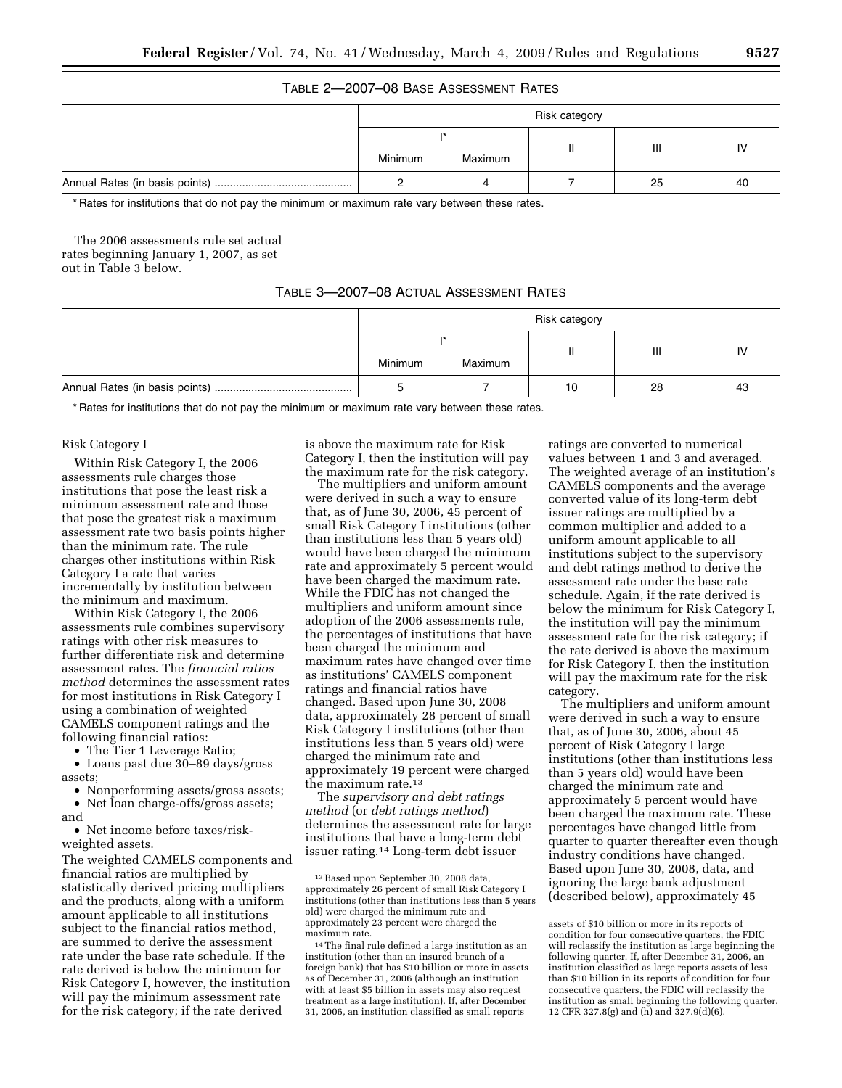# TABLE 2—2007–08 BASE ASSESSMENT RATES

| Risk category |         |  |    |    |  |
|---------------|---------|--|----|----|--|
|               |         |  | Ш  |    |  |
| Minimum       | Maximum |  |    |    |  |
|               |         |  | 25 | 40 |  |

\* Rates for institutions that do not pay the minimum or maximum rate vary between these rates.

The 2006 assessments rule set actual rates beginning January 1, 2007, as set out in Table 3 below.

## TABLE 3—2007–08 ACTUAL ASSESSMENT RATES

| Risk category |         |    |    |     |  |
|---------------|---------|----|----|-----|--|
|               |         |    | Ш  |     |  |
| Minimum       | Maximum |    |    |     |  |
|               |         | 10 | 28 | -43 |  |

\* Rates for institutions that do not pay the minimum or maximum rate vary between these rates.

#### Risk Category I

Within Risk Category I, the 2006 assessments rule charges those institutions that pose the least risk a minimum assessment rate and those that pose the greatest risk a maximum assessment rate two basis points higher than the minimum rate. The rule charges other institutions within Risk Category I a rate that varies incrementally by institution between the minimum and maximum.

Within Risk Category I, the 2006 assessments rule combines supervisory ratings with other risk measures to further differentiate risk and determine assessment rates. The *financial ratios method* determines the assessment rates for most institutions in Risk Category I using a combination of weighted CAMELS component ratings and the following financial ratios:

• The Tier 1 Leverage Ratio;

• Loans past due 30–89 days/gross assets;

• Nonperforming assets/gross assets; • Net loan charge-offs/gross assets;

and

• Net income before taxes/riskweighted assets.

The weighted CAMELS components and financial ratios are multiplied by statistically derived pricing multipliers and the products, along with a uniform amount applicable to all institutions subject to the financial ratios method, are summed to derive the assessment rate under the base rate schedule. If the rate derived is below the minimum for Risk Category I, however, the institution will pay the minimum assessment rate for the risk category; if the rate derived

is above the maximum rate for Risk Category I, then the institution will pay the maximum rate for the risk category.

The multipliers and uniform amount were derived in such a way to ensure that, as of June 30, 2006, 45 percent of small Risk Category I institutions (other than institutions less than 5 years old) would have been charged the minimum rate and approximately 5 percent would have been charged the maximum rate. While the FDIC has not changed the multipliers and uniform amount since adoption of the 2006 assessments rule, the percentages of institutions that have been charged the minimum and maximum rates have changed over time as institutions' CAMELS component ratings and financial ratios have changed. Based upon June 30, 2008 data, approximately 28 percent of small Risk Category I institutions (other than institutions less than 5 years old) were charged the minimum rate and approximately 19 percent were charged the maximum rate.13

The *supervisory and debt ratings method* (or *debt ratings method*) determines the assessment rate for large institutions that have a long-term debt issuer rating.14 Long-term debt issuer

ratings are converted to numerical values between 1 and 3 and averaged. The weighted average of an institution's CAMELS components and the average converted value of its long-term debt issuer ratings are multiplied by a common multiplier and added to a uniform amount applicable to all institutions subject to the supervisory and debt ratings method to derive the assessment rate under the base rate schedule. Again, if the rate derived is below the minimum for Risk Category I, the institution will pay the minimum assessment rate for the risk category; if the rate derived is above the maximum for Risk Category I, then the institution will pay the maximum rate for the risk category.

The multipliers and uniform amount were derived in such a way to ensure that, as of June 30, 2006, about 45 percent of Risk Category I large institutions (other than institutions less than 5 years old) would have been charged the minimum rate and approximately 5 percent would have been charged the maximum rate. These percentages have changed little from quarter to quarter thereafter even though industry conditions have changed. Based upon June 30, 2008, data, and ignoring the large bank adjustment (described below), approximately 45

<sup>13</sup>Based upon September 30, 2008 data, approximately 26 percent of small Risk Category I institutions (other than institutions less than 5 years old) were charged the minimum rate and approximately 23 percent were charged the maximum rate.

<sup>14</sup>The final rule defined a large institution as an institution (other than an insured branch of a foreign bank) that has \$10 billion or more in assets as of December 31, 2006 (although an institution with at least \$5 billion in assets may also request treatment as a large institution). If, after December 31, 2006, an institution classified as small reports

assets of \$10 billion or more in its reports of condition for four consecutive quarters, the FDIC will reclassify the institution as large beginning the following quarter. If, after December 31, 2006, an institution classified as large reports assets of less than \$10 billion in its reports of condition for four consecutive quarters, the FDIC will reclassify the institution as small beginning the following quarter. 12 CFR 327.8(g) and (h) and 327.9(d)(6).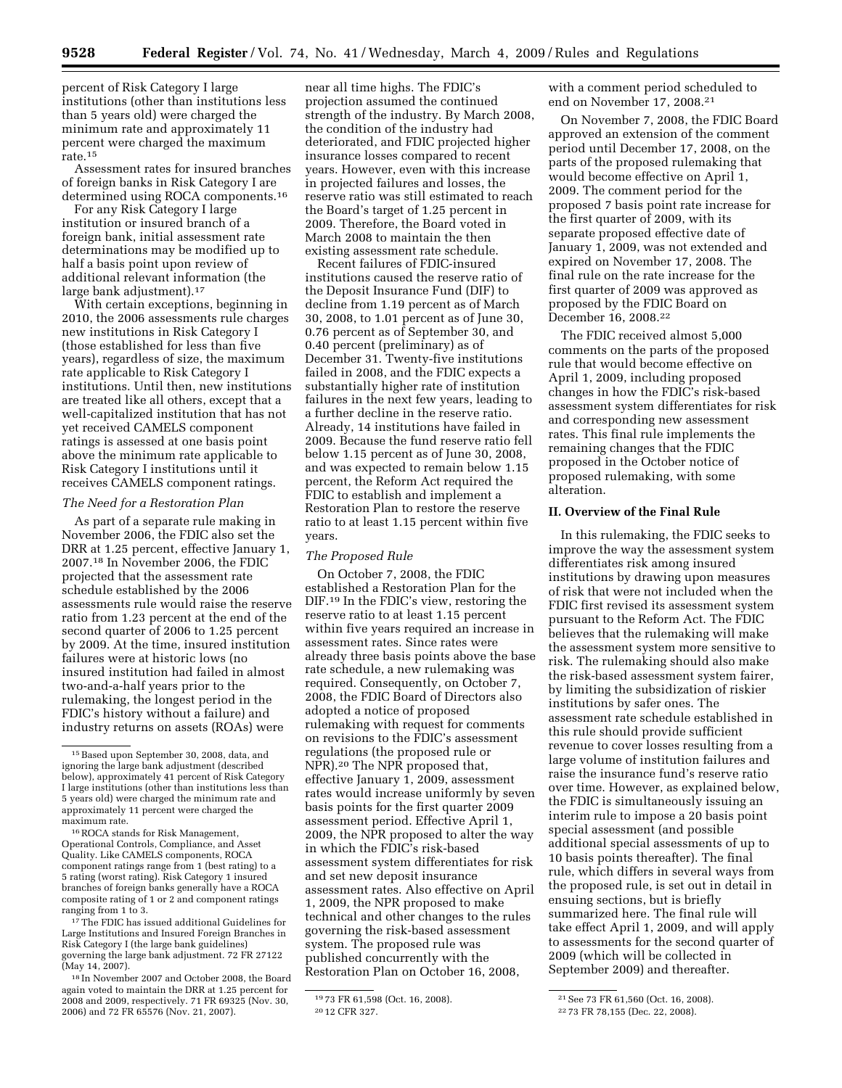percent of Risk Category I large institutions (other than institutions less than 5 years old) were charged the minimum rate and approximately 11 percent were charged the maximum rate.<sup>15</sup>

Assessment rates for insured branches of foreign banks in Risk Category I are determined using ROCA components.16

For any Risk Category I large institution or insured branch of a foreign bank, initial assessment rate determinations may be modified up to half a basis point upon review of additional relevant information (the large bank adjustment).17

With certain exceptions, beginning in 2010, the 2006 assessments rule charges new institutions in Risk Category I (those established for less than five years), regardless of size, the maximum rate applicable to Risk Category I institutions. Until then, new institutions are treated like all others, except that a well-capitalized institution that has not yet received CAMELS component ratings is assessed at one basis point above the minimum rate applicable to Risk Category I institutions until it receives CAMELS component ratings.

#### *The Need for a Restoration Plan*

As part of a separate rule making in November 2006, the FDIC also set the DRR at 1.25 percent, effective January 1, 2007.18 In November 2006, the FDIC projected that the assessment rate schedule established by the 2006 assessments rule would raise the reserve ratio from 1.23 percent at the end of the second quarter of 2006 to 1.25 percent by 2009. At the time, insured institution failures were at historic lows (no insured institution had failed in almost two-and-a-half years prior to the rulemaking, the longest period in the FDIC's history without a failure) and industry returns on assets (ROAs) were

17The FDIC has issued additional Guidelines for Large Institutions and Insured Foreign Branches in Risk Category I (the large bank guidelines) governing the large bank adjustment. 72 FR 27122 (May 14, 2007).

18 In November 2007 and October 2008, the Board again voted to maintain the DRR at 1.25 percent for 2008 and 2009, respectively. 71 FR 69325 (Nov. 30, 2006) and 72 FR 65576 (Nov. 21, 2007).

near all time highs. The FDIC's projection assumed the continued strength of the industry. By March 2008, the condition of the industry had deteriorated, and FDIC projected higher insurance losses compared to recent years. However, even with this increase in projected failures and losses, the reserve ratio was still estimated to reach the Board's target of 1.25 percent in 2009. Therefore, the Board voted in March 2008 to maintain the then existing assessment rate schedule.

Recent failures of FDIC-insured institutions caused the reserve ratio of the Deposit Insurance Fund (DIF) to decline from 1.19 percent as of March 30, 2008, to 1.01 percent as of June 30, 0.76 percent as of September 30, and 0.40 percent (preliminary) as of December 31. Twenty-five institutions failed in 2008, and the FDIC expects a substantially higher rate of institution failures in the next few years, leading to a further decline in the reserve ratio. Already, 14 institutions have failed in 2009. Because the fund reserve ratio fell below 1.15 percent as of June 30, 2008, and was expected to remain below 1.15 percent, the Reform Act required the FDIC to establish and implement a Restoration Plan to restore the reserve ratio to at least 1.15 percent within five years.

### *The Proposed Rule*

On October 7, 2008, the FDIC established a Restoration Plan for the DIF.19 In the FDIC's view, restoring the reserve ratio to at least 1.15 percent within five years required an increase in assessment rates. Since rates were already three basis points above the base rate schedule, a new rulemaking was required. Consequently, on October 7, 2008, the FDIC Board of Directors also adopted a notice of proposed rulemaking with request for comments on revisions to the FDIC's assessment regulations (the proposed rule or NPR).20 The NPR proposed that, effective January 1, 2009, assessment rates would increase uniformly by seven basis points for the first quarter 2009 assessment period. Effective April 1, 2009, the NPR proposed to alter the way in which the FDIC's risk-based assessment system differentiates for risk and set new deposit insurance assessment rates. Also effective on April 1, 2009, the NPR proposed to make technical and other changes to the rules governing the risk-based assessment system. The proposed rule was published concurrently with the Restoration Plan on October 16, 2008,

with a comment period scheduled to end on November 17, 2008.21

On November 7, 2008, the FDIC Board approved an extension of the comment period until December 17, 2008, on the parts of the proposed rulemaking that would become effective on April 1, 2009. The comment period for the proposed 7 basis point rate increase for the first quarter of 2009, with its separate proposed effective date of January 1, 2009, was not extended and expired on November 17, 2008. The final rule on the rate increase for the first quarter of 2009 was approved as proposed by the FDIC Board on December 16, 2008.22

The FDIC received almost 5,000 comments on the parts of the proposed rule that would become effective on April 1, 2009, including proposed changes in how the FDIC's risk-based assessment system differentiates for risk and corresponding new assessment rates. This final rule implements the remaining changes that the FDIC proposed in the October notice of proposed rulemaking, with some alteration.

## **II. Overview of the Final Rule**

In this rulemaking, the FDIC seeks to improve the way the assessment system differentiates risk among insured institutions by drawing upon measures of risk that were not included when the FDIC first revised its assessment system pursuant to the Reform Act. The FDIC believes that the rulemaking will make the assessment system more sensitive to risk. The rulemaking should also make the risk-based assessment system fairer, by limiting the subsidization of riskier institutions by safer ones. The assessment rate schedule established in this rule should provide sufficient revenue to cover losses resulting from a large volume of institution failures and raise the insurance fund's reserve ratio over time. However, as explained below, the FDIC is simultaneously issuing an interim rule to impose a 20 basis point special assessment (and possible additional special assessments of up to 10 basis points thereafter). The final rule, which differs in several ways from the proposed rule, is set out in detail in ensuing sections, but is briefly summarized here. The final rule will take effect April 1, 2009, and will apply to assessments for the second quarter of 2009 (which will be collected in September 2009) and thereafter.

<sup>15</sup>Based upon September 30, 2008, data, and ignoring the large bank adjustment (described below), approximately 41 percent of Risk Category I large institutions (other than institutions less than 5 years old) were charged the minimum rate and approximately 11 percent were charged the maximum rate.

<sup>16</sup>ROCA stands for Risk Management, Operational Controls, Compliance, and Asset Quality. Like CAMELS components, ROCA component ratings range from 1 (best rating) to a 5 rating (worst rating). Risk Category 1 insured branches of foreign banks generally have a ROCA composite rating of 1 or 2 and component ratings ranging from 1 to 3.

<sup>19</sup> 73 FR 61,598 (Oct. 16, 2008). 20 12 CFR 327.

<sup>21</sup>See 73 FR 61,560 (Oct. 16, 2008).

<sup>22</sup> 73 FR 78,155 (Dec. 22, 2008).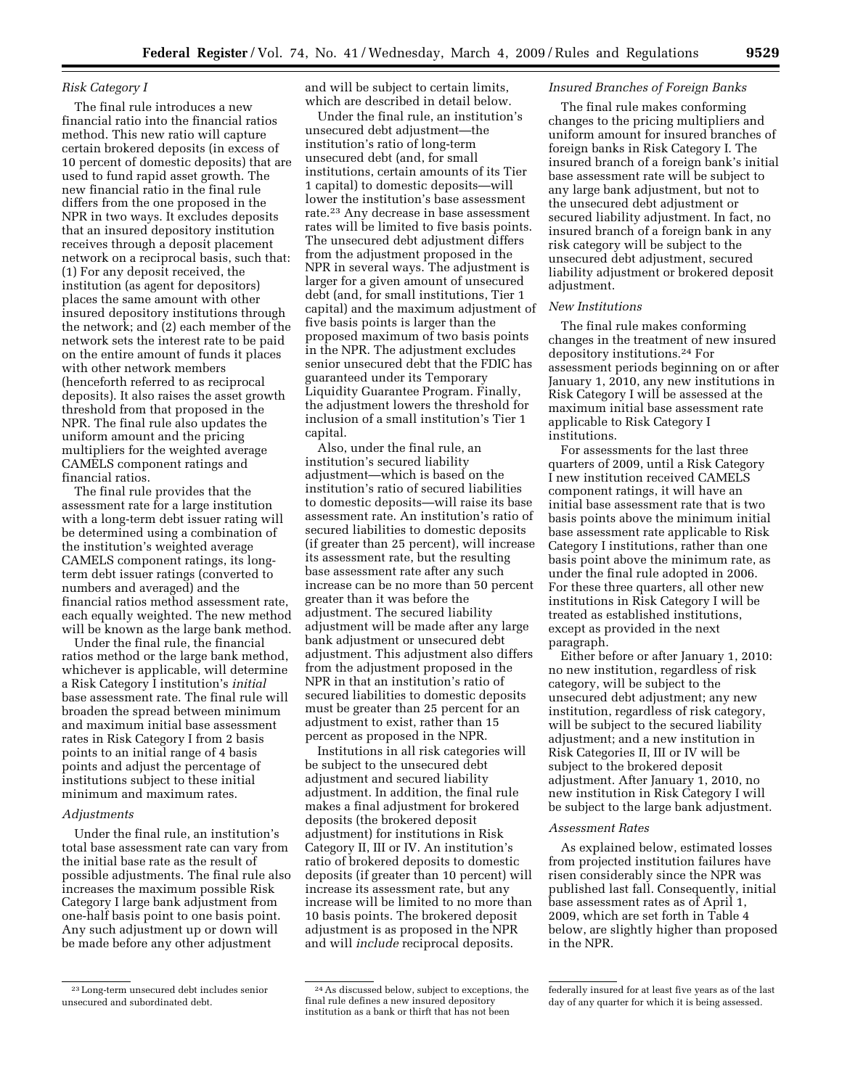# *Risk Category I*

The final rule introduces a new financial ratio into the financial ratios method. This new ratio will capture certain brokered deposits (in excess of 10 percent of domestic deposits) that are used to fund rapid asset growth. The new financial ratio in the final rule differs from the one proposed in the NPR in two ways. It excludes deposits that an insured depository institution receives through a deposit placement network on a reciprocal basis, such that: (1) For any deposit received, the institution (as agent for depositors) places the same amount with other insured depository institutions through the network; and (2) each member of the network sets the interest rate to be paid on the entire amount of funds it places with other network members (henceforth referred to as reciprocal deposits). It also raises the asset growth threshold from that proposed in the NPR. The final rule also updates the uniform amount and the pricing multipliers for the weighted average CAMELS component ratings and financial ratios.

The final rule provides that the assessment rate for a large institution with a long-term debt issuer rating will be determined using a combination of the institution's weighted average CAMELS component ratings, its longterm debt issuer ratings (converted to numbers and averaged) and the financial ratios method assessment rate, each equally weighted. The new method will be known as the large bank method.

Under the final rule, the financial ratios method or the large bank method, whichever is applicable, will determine a Risk Category I institution's *initial*  base assessment rate. The final rule will broaden the spread between minimum and maximum initial base assessment rates in Risk Category I from 2 basis points to an initial range of 4 basis points and adjust the percentage of institutions subject to these initial minimum and maximum rates.

## *Adjustments*

Under the final rule, an institution's total base assessment rate can vary from the initial base rate as the result of possible adjustments. The final rule also increases the maximum possible Risk Category I large bank adjustment from one-half basis point to one basis point. Any such adjustment up or down will be made before any other adjustment

and will be subject to certain limits, which are described in detail below.

Under the final rule, an institution's unsecured debt adjustment—the institution's ratio of long-term unsecured debt (and, for small institutions, certain amounts of its Tier 1 capital) to domestic deposits—will lower the institution's base assessment rate.23 Any decrease in base assessment rates will be limited to five basis points. The unsecured debt adjustment differs from the adjustment proposed in the NPR in several ways. The adjustment is larger for a given amount of unsecured debt (and, for small institutions, Tier 1 capital) and the maximum adjustment of five basis points is larger than the proposed maximum of two basis points in the NPR. The adjustment excludes senior unsecured debt that the FDIC has guaranteed under its Temporary Liquidity Guarantee Program. Finally, the adjustment lowers the threshold for inclusion of a small institution's Tier 1 capital.

Also, under the final rule, an institution's secured liability adjustment—which is based on the institution's ratio of secured liabilities to domestic deposits—will raise its base assessment rate. An institution's ratio of secured liabilities to domestic deposits (if greater than 25 percent), will increase its assessment rate, but the resulting base assessment rate after any such increase can be no more than 50 percent greater than it was before the adjustment. The secured liability adjustment will be made after any large bank adjustment or unsecured debt adjustment. This adjustment also differs from the adjustment proposed in the NPR in that an institution's ratio of secured liabilities to domestic deposits must be greater than 25 percent for an adjustment to exist, rather than 15 percent as proposed in the NPR.

Institutions in all risk categories will be subject to the unsecured debt adjustment and secured liability adjustment. In addition, the final rule makes a final adjustment for brokered deposits (the brokered deposit adjustment) for institutions in Risk Category II, III or IV. An institution's ratio of brokered deposits to domestic deposits (if greater than 10 percent) will increase its assessment rate, but any increase will be limited to no more than 10 basis points. The brokered deposit adjustment is as proposed in the NPR and will *include* reciprocal deposits.

#### *Insured Branches of Foreign Banks*

The final rule makes conforming changes to the pricing multipliers and uniform amount for insured branches of foreign banks in Risk Category I. The insured branch of a foreign bank's initial base assessment rate will be subject to any large bank adjustment, but not to the unsecured debt adjustment or secured liability adjustment. In fact, no insured branch of a foreign bank in any risk category will be subject to the unsecured debt adjustment, secured liability adjustment or brokered deposit adjustment.

## *New Institutions*

The final rule makes conforming changes in the treatment of new insured depository institutions.24 For assessment periods beginning on or after January 1, 2010, any new institutions in Risk Category I will be assessed at the maximum initial base assessment rate applicable to Risk Category I institutions.

For assessments for the last three quarters of 2009, until a Risk Category I new institution received CAMELS component ratings, it will have an initial base assessment rate that is two basis points above the minimum initial base assessment rate applicable to Risk Category I institutions, rather than one basis point above the minimum rate, as under the final rule adopted in 2006. For these three quarters, all other new institutions in Risk Category I will be treated as established institutions, except as provided in the next paragraph.

Either before or after January 1, 2010: no new institution, regardless of risk category, will be subject to the unsecured debt adjustment; any new institution, regardless of risk category, will be subject to the secured liability adjustment; and a new institution in Risk Categories II, III or IV will be subject to the brokered deposit adjustment. After January 1, 2010, no new institution in Risk Category I will be subject to the large bank adjustment.

### *Assessment Rates*

As explained below, estimated losses from projected institution failures have risen considerably since the NPR was published last fall. Consequently, initial base assessment rates as of April 1, 2009, which are set forth in Table 4 below, are slightly higher than proposed in the NPR.

<sup>23</sup>Long-term unsecured debt includes senior unsecured and subordinated debt.

<sup>24</sup>As discussed below, subject to exceptions, the final rule defines a new insured depository institution as a bank or thirft that has not been

federally insured for at least five years as of the last day of any quarter for which it is being assessed.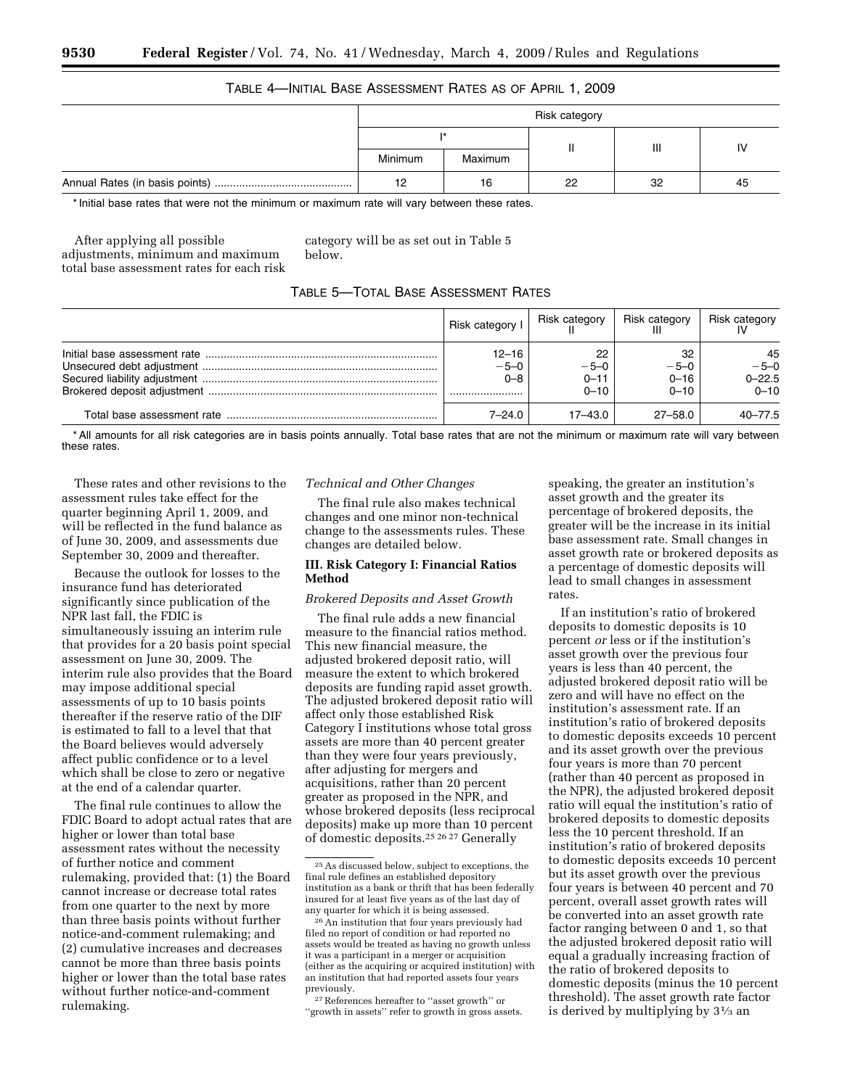# TABLE 4—INITIAL BASE ASSESSMENT RATES AS OF APRIL 1, 2009

| Risk category |         |    |                |    |  |
|---------------|---------|----|----------------|----|--|
|               |         |    | $\mathbf{III}$ |    |  |
| Minimum       | Maximum |    |                |    |  |
| 12            | 16      | 22 | 32             | 45 |  |

\* Initial base rates that were not the minimum or maximum rate will vary between these rates.

After applying all possible adjustments, minimum and maximum total base assessment rates for each risk category will be as set out in Table 5 below.

# TABLE 5—TOTAL BASE ASSESSMENT RATES

| Risk category I                | Risk category                        | Risk category                        | Risk category                          |
|--------------------------------|--------------------------------------|--------------------------------------|----------------------------------------|
| $12 - 16$<br>$-5-0$<br>$0 - 8$ | 22<br>$-5-0$<br>$0 - 11$<br>$0 - 10$ | 32<br>$-5-0$<br>$0 - 16$<br>$0 - 10$ | 45<br>$-5-0$<br>$0 - 22.5$<br>$0 - 10$ |
| 7–24.0                         | $17 - 43.0$                          | $27 - 58.0$                          | $40 - 77.5$                            |

\* All amounts for all risk categories are in basis points annually. Total base rates that are not the minimum or maximum rate will vary between these rates.

These rates and other revisions to the assessment rules take effect for the quarter beginning April 1, 2009, and will be reflected in the fund balance as of June 30, 2009, and assessments due September 30, 2009 and thereafter.

Because the outlook for losses to the insurance fund has deteriorated significantly since publication of the NPR last fall, the FDIC is simultaneously issuing an interim rule that provides for a 20 basis point special assessment on June 30, 2009. The interim rule also provides that the Board may impose additional special assessments of up to 10 basis points thereafter if the reserve ratio of the DIF is estimated to fall to a level that that the Board believes would adversely affect public confidence or to a level which shall be close to zero or negative at the end of a calendar quarter.

The final rule continues to allow the FDIC Board to adopt actual rates that are higher or lower than total base assessment rates without the necessity of further notice and comment rulemaking, provided that: (1) the Board cannot increase or decrease total rates from one quarter to the next by more than three basis points without further notice-and-comment rulemaking; and (2) cumulative increases and decreases cannot be more than three basis points higher or lower than the total base rates without further notice-and-comment rulemaking.

### *Technical and Other Changes*

The final rule also makes technical changes and one minor non-technical change to the assessments rules. These changes are detailed below.

## **III. Risk Category I: Financial Ratios Method**

# *Brokered Deposits and Asset Growth*

The final rule adds a new financial measure to the financial ratios method. This new financial measure, the adjusted brokered deposit ratio, will measure the extent to which brokered deposits are funding rapid asset growth. The adjusted brokered deposit ratio will affect only those established Risk Category I institutions whose total gross assets are more than 40 percent greater than they were four years previously, after adjusting for mergers and acquisitions, rather than 20 percent greater as proposed in the NPR, and whose brokered deposits (less reciprocal deposits) make up more than 10 percent of domestic deposits.25 26 27 Generally

speaking, the greater an institution's asset growth and the greater its percentage of brokered deposits, the greater will be the increase in its initial base assessment rate. Small changes in asset growth rate or brokered deposits as a percentage of domestic deposits will lead to small changes in assessment rates.

If an institution's ratio of brokered deposits to domestic deposits is 10 percent *or* less or if the institution's asset growth over the previous four years is less than 40 percent, the adjusted brokered deposit ratio will be zero and will have no effect on the institution's assessment rate. If an institution's ratio of brokered deposits to domestic deposits exceeds 10 percent and its asset growth over the previous four years is more than 70 percent (rather than 40 percent as proposed in the NPR), the adjusted brokered deposit ratio will equal the institution's ratio of brokered deposits to domestic deposits less the 10 percent threshold. If an institution's ratio of brokered deposits to domestic deposits exceeds 10 percent but its asset growth over the previous four years is between 40 percent and 70 percent, overall asset growth rates will be converted into an asset growth rate factor ranging between 0 and 1, so that the adjusted brokered deposit ratio will equal a gradually increasing fraction of the ratio of brokered deposits to domestic deposits (minus the 10 percent threshold). The asset growth rate factor is derived by multiplying by 31⁄3 an

<sup>25</sup>As discussed below, subject to exceptions, the final rule defines an established depository institution as a bank or thrift that has been federally insured for at least five years as of the last day of any quarter for which it is being assessed.

 $^{26}\mathrm{An}$  institution that four years previously had filed no report of condition or had reported no assets would be treated as having no growth unless it was a participant in a merger or acquisition (either as the acquiring or acquired institution) with an institution that had reported assets four years previously.

<sup>27</sup>References hereafter to ''asset growth'' or "growth in assets" refer to growth in gross assets.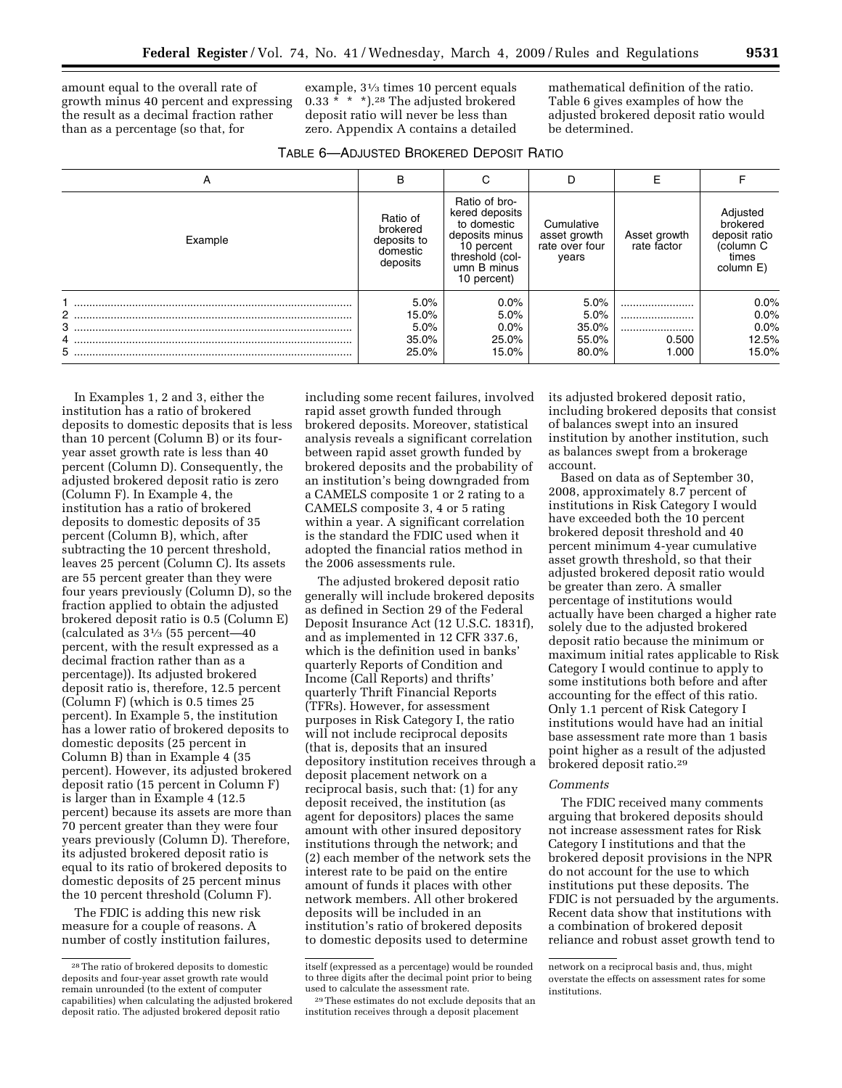amount equal to the overall rate of growth minus 40 percent and expressing the result as a decimal fraction rather than as a percentage (so that, for

example, 31⁄3 times 10 percent equals 0.33 \* \* \*).28 The adjusted brokered deposit ratio will never be less than zero. Appendix A contains a detailed

mathematical definition of the ratio. Table 6 gives examples of how the adjusted brokered deposit ratio would be determined.

| TABLE 6-ADJUSTED BROKERED DEPOSIT RATIO |  |  |
|-----------------------------------------|--|--|
|-----------------------------------------|--|--|

| A       | в                                                           |                                                                                                                                 |                                                       |       |                                                                          |
|---------|-------------------------------------------------------------|---------------------------------------------------------------------------------------------------------------------------------|-------------------------------------------------------|-------|--------------------------------------------------------------------------|
| Example | Ratio of<br>brokered<br>deposits to<br>domestic<br>deposits | Ratio of bro-<br>kered deposits<br>to domestic<br>deposits minus<br>10 percent<br>threshold (col-<br>umn B minus<br>10 percent) | Cumulative<br>asset growth<br>rate over four<br>years |       | Adjusted<br>brokered<br>deposit ratio<br>(column C<br>times<br>column E) |
|         | 5.0%                                                        | 0.0%                                                                                                                            | 5.0%                                                  |       | $0.0\%$                                                                  |
| 2       | 15.0%                                                       | 5.0%                                                                                                                            | 5.0%                                                  |       | $0.0\%$                                                                  |
| 3       | 5.0%                                                        | $0.0\%$                                                                                                                         | 35.0%                                                 |       | $0.0\%$                                                                  |
| 4       | 35.0%                                                       | 25.0%                                                                                                                           | 55.0%                                                 | 0.500 | 12.5%                                                                    |
|         | 25.0%                                                       | 15.0%                                                                                                                           | 80.0%                                                 | 1.000 | 15.0%                                                                    |

In Examples 1, 2 and 3, either the institution has a ratio of brokered deposits to domestic deposits that is less than 10 percent (Column B) or its fouryear asset growth rate is less than 40 percent (Column D). Consequently, the adjusted brokered deposit ratio is zero (Column F). In Example 4, the institution has a ratio of brokered deposits to domestic deposits of 35 percent (Column B), which, after subtracting the 10 percent threshold, leaves 25 percent (Column C). Its assets are 55 percent greater than they were four years previously (Column D), so the fraction applied to obtain the adjusted brokered deposit ratio is 0.5 (Column E) (calculated as 31⁄3 (55 percent—40 percent, with the result expressed as a decimal fraction rather than as a percentage)). Its adjusted brokered deposit ratio is, therefore, 12.5 percent (Column F) (which is 0.5 times 25 percent). In Example 5, the institution has a lower ratio of brokered deposits to domestic deposits (25 percent in Column B) than in Example 4 (35 percent). However, its adjusted brokered deposit ratio (15 percent in Column F) is larger than in Example 4 (12.5 percent) because its assets are more than 70 percent greater than they were four years previously (Column D). Therefore, its adjusted brokered deposit ratio is equal to its ratio of brokered deposits to domestic deposits of 25 percent minus the 10 percent threshold (Column F).

The FDIC is adding this new risk measure for a couple of reasons. A number of costly institution failures,

including some recent failures, involved rapid asset growth funded through brokered deposits. Moreover, statistical analysis reveals a significant correlation between rapid asset growth funded by brokered deposits and the probability of an institution's being downgraded from a CAMELS composite 1 or 2 rating to a CAMELS composite 3, 4 or 5 rating within a year. A significant correlation is the standard the FDIC used when it adopted the financial ratios method in the 2006 assessments rule.

The adjusted brokered deposit ratio generally will include brokered deposits as defined in Section 29 of the Federal Deposit Insurance Act (12 U.S.C. 1831f), and as implemented in 12 CFR 337.6, which is the definition used in banks' quarterly Reports of Condition and Income (Call Reports) and thrifts' quarterly Thrift Financial Reports (TFRs). However, for assessment purposes in Risk Category I, the ratio will not include reciprocal deposits (that is, deposits that an insured depository institution receives through a deposit placement network on a reciprocal basis, such that: (1) for any deposit received, the institution (as agent for depositors) places the same amount with other insured depository institutions through the network; and (2) each member of the network sets the interest rate to be paid on the entire amount of funds it places with other network members. All other brokered deposits will be included in an institution's ratio of brokered deposits to domestic deposits used to determine

its adjusted brokered deposit ratio, including brokered deposits that consist of balances swept into an insured institution by another institution, such as balances swept from a brokerage account.

Based on data as of September 30, 2008, approximately 8.7 percent of institutions in Risk Category I would have exceeded both the 10 percent brokered deposit threshold and 40 percent minimum 4-year cumulative asset growth threshold, so that their adjusted brokered deposit ratio would be greater than zero. A smaller percentage of institutions would actually have been charged a higher rate solely due to the adjusted brokered deposit ratio because the minimum or maximum initial rates applicable to Risk Category I would continue to apply to some institutions both before and after accounting for the effect of this ratio. Only 1.1 percent of Risk Category I institutions would have had an initial base assessment rate more than 1 basis point higher as a result of the adjusted brokered deposit ratio.29

#### *Comments*

The FDIC received many comments arguing that brokered deposits should not increase assessment rates for Risk Category I institutions and that the brokered deposit provisions in the NPR do not account for the use to which institutions put these deposits. The FDIC is not persuaded by the arguments. Recent data show that institutions with a combination of brokered deposit reliance and robust asset growth tend to

<sup>28</sup>The ratio of brokered deposits to domestic deposits and four-year asset growth rate would remain unrounded (to the extent of computer capabilities) when calculating the adjusted brokered deposit ratio. The adjusted brokered deposit ratio

itself (expressed as a percentage) would be rounded to three digits after the decimal point prior to being used to calculate the assessment rate.

<sup>29</sup>These estimates do not exclude deposits that an institution receives through a deposit placement

network on a reciprocal basis and, thus, might overstate the effects on assessment rates for some institutions.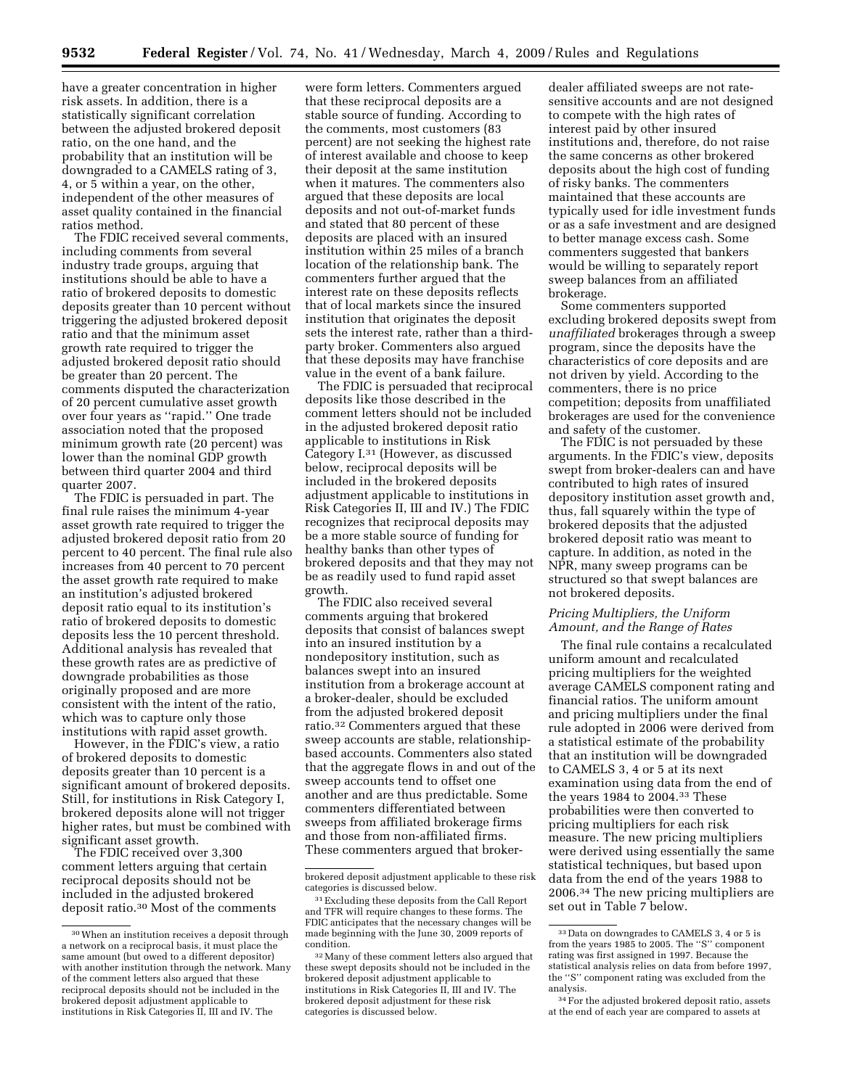have a greater concentration in higher risk assets. In addition, there is a statistically significant correlation between the adjusted brokered deposit ratio, on the one hand, and the probability that an institution will be downgraded to a CAMELS rating of 3, 4, or 5 within a year, on the other, independent of the other measures of asset quality contained in the financial ratios method.

The FDIC received several comments, including comments from several industry trade groups, arguing that institutions should be able to have a ratio of brokered deposits to domestic deposits greater than 10 percent without triggering the adjusted brokered deposit ratio and that the minimum asset growth rate required to trigger the adjusted brokered deposit ratio should be greater than 20 percent. The comments disputed the characterization of 20 percent cumulative asset growth over four years as ''rapid.'' One trade association noted that the proposed minimum growth rate (20 percent) was lower than the nominal GDP growth between third quarter 2004 and third quarter 2007.

The FDIC is persuaded in part. The final rule raises the minimum 4-year asset growth rate required to trigger the adjusted brokered deposit ratio from 20 percent to 40 percent. The final rule also increases from 40 percent to 70 percent the asset growth rate required to make an institution's adjusted brokered deposit ratio equal to its institution's ratio of brokered deposits to domestic deposits less the 10 percent threshold. Additional analysis has revealed that these growth rates are as predictive of downgrade probabilities as those originally proposed and are more consistent with the intent of the ratio, which was to capture only those institutions with rapid asset growth.

However, in the FDIC's view, a ratio of brokered deposits to domestic deposits greater than 10 percent is a significant amount of brokered deposits. Still, for institutions in Risk Category I, brokered deposits alone will not trigger higher rates, but must be combined with significant asset growth.

The FDIC received over 3,300 comment letters arguing that certain reciprocal deposits should not be included in the adjusted brokered deposit ratio.30 Most of the comments

were form letters. Commenters argued that these reciprocal deposits are a stable source of funding. According to the comments, most customers (83 percent) are not seeking the highest rate of interest available and choose to keep their deposit at the same institution when it matures. The commenters also argued that these deposits are local deposits and not out-of-market funds and stated that 80 percent of these deposits are placed with an insured institution within 25 miles of a branch location of the relationship bank. The commenters further argued that the interest rate on these deposits reflects that of local markets since the insured institution that originates the deposit sets the interest rate, rather than a thirdparty broker. Commenters also argued that these deposits may have franchise value in the event of a bank failure.

The FDIC is persuaded that reciprocal deposits like those described in the comment letters should not be included in the adjusted brokered deposit ratio applicable to institutions in Risk Category I.31 (However, as discussed below, reciprocal deposits will be included in the brokered deposits adjustment applicable to institutions in Risk Categories II, III and IV.) The FDIC recognizes that reciprocal deposits may be a more stable source of funding for healthy banks than other types of brokered deposits and that they may not be as readily used to fund rapid asset growth.

The FDIC also received several comments arguing that brokered deposits that consist of balances swept into an insured institution by a nondepository institution, such as balances swept into an insured institution from a brokerage account at a broker-dealer, should be excluded from the adjusted brokered deposit ratio.32 Commenters argued that these sweep accounts are stable, relationshipbased accounts. Commenters also stated that the aggregate flows in and out of the sweep accounts tend to offset one another and are thus predictable. Some commenters differentiated between sweeps from affiliated brokerage firms and those from non-affiliated firms. These commenters argued that broker-

dealer affiliated sweeps are not ratesensitive accounts and are not designed to compete with the high rates of interest paid by other insured institutions and, therefore, do not raise the same concerns as other brokered deposits about the high cost of funding of risky banks. The commenters maintained that these accounts are typically used for idle investment funds or as a safe investment and are designed to better manage excess cash. Some commenters suggested that bankers would be willing to separately report sweep balances from an affiliated brokerage.

Some commenters supported excluding brokered deposits swept from *unaffiliated* brokerages through a sweep program, since the deposits have the characteristics of core deposits and are not driven by yield. According to the commenters, there is no price competition; deposits from unaffiliated brokerages are used for the convenience and safety of the customer.

The FDIC is not persuaded by these arguments. In the FDIC's view, deposits swept from broker-dealers can and have contributed to high rates of insured depository institution asset growth and, thus, fall squarely within the type of brokered deposits that the adjusted brokered deposit ratio was meant to capture. In addition, as noted in the NPR, many sweep programs can be structured so that swept balances are not brokered deposits.

### *Pricing Multipliers, the Uniform Amount, and the Range of Rates*

The final rule contains a recalculated uniform amount and recalculated pricing multipliers for the weighted average CAMELS component rating and financial ratios. The uniform amount and pricing multipliers under the final rule adopted in 2006 were derived from a statistical estimate of the probability that an institution will be downgraded to CAMELS 3, 4 or 5 at its next examination using data from the end of the years 1984 to 2004.33 These probabilities were then converted to pricing multipliers for each risk measure. The new pricing multipliers were derived using essentially the same statistical techniques, but based upon data from the end of the years 1988 to 2006.34 The new pricing multipliers are set out in Table 7 below.

<sup>30</sup>When an institution receives a deposit through a network on a reciprocal basis, it must place the same amount (but owed to a different depositor) with another institution through the network. Many of the comment letters also argued that these reciprocal deposits should not be included in the brokered deposit adjustment applicable to institutions in Risk Categories II, III and IV. The

brokered deposit adjustment applicable to these risk categories is discussed below.

<sup>31</sup>Excluding these deposits from the Call Report and TFR will require changes to these forms. The FDIC anticipates that the necessary changes will be made beginning with the June 30, 2009 reports of condition.

<sup>32</sup>Many of these comment letters also argued that these swept deposits should not be included in the brokered deposit adjustment applicable to institutions in Risk Categories II, III and IV. The brokered deposit adjustment for these risk categories is discussed below.

<sup>33</sup> Data on downgrades to CAMELS 3, 4 or 5 is from the years 1985 to 2005. The ''S'' component rating was first assigned in 1997. Because the statistical analysis relies on data from before 1997, the ''S'' component rating was excluded from the analysis.

<sup>34</sup>For the adjusted brokered deposit ratio, assets at the end of each year are compared to assets at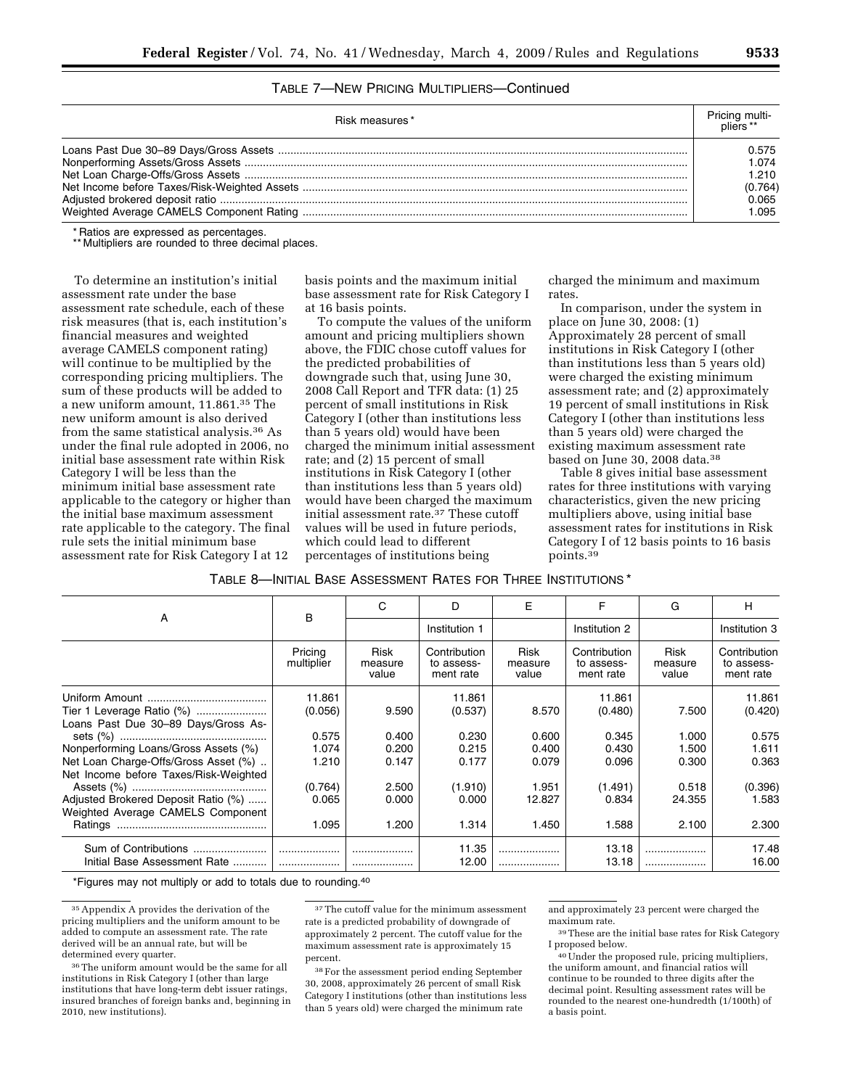# TABLE 7—NEW PRICING MULTIPLIERS—Continued

| Risk measures* | Pricing multi-<br>pliers ** |
|----------------|-----------------------------|
|                | 0.575                       |
|                | 1.074                       |
|                | 1.210                       |
|                | (0.764)                     |
|                | 0.065                       |
|                | 1.095                       |

\* Ratios are expressed as percentages.

\*\* Multipliers are rounded to three decimal places.

To determine an institution's initial assessment rate under the base assessment rate schedule, each of these risk measures (that is, each institution's financial measures and weighted average CAMELS component rating) will continue to be multiplied by the corresponding pricing multipliers. The sum of these products will be added to a new uniform amount, 11.861.35 The new uniform amount is also derived from the same statistical analysis.36 As under the final rule adopted in 2006, no initial base assessment rate within Risk Category I will be less than the minimum initial base assessment rate applicable to the category or higher than the initial base maximum assessment rate applicable to the category. The final rule sets the initial minimum base assessment rate for Risk Category I at 12

basis points and the maximum initial base assessment rate for Risk Category I at 16 basis points.

To compute the values of the uniform amount and pricing multipliers shown above, the FDIC chose cutoff values for the predicted probabilities of downgrade such that, using June 30, 2008 Call Report and TFR data: (1) 25 percent of small institutions in Risk Category I (other than institutions less than 5 years old) would have been charged the minimum initial assessment rate; and (2) 15 percent of small institutions in Risk Category I (other than institutions less than 5 years old) would have been charged the maximum initial assessment rate.37 These cutoff values will be used in future periods, which could lead to different percentages of institutions being

charged the minimum and maximum rates.

In comparison, under the system in place on June 30, 2008: (1) Approximately 28 percent of small institutions in Risk Category I (other than institutions less than 5 years old) were charged the existing minimum assessment rate; and (2) approximately 19 percent of small institutions in Risk Category I (other than institutions less than 5 years old) were charged the existing maximum assessment rate based on June 30, 2008 data.38

Table 8 gives initial base assessment rates for three institutions with varying characteristics, given the new pricing multipliers above, using initial base assessment rates for institutions in Risk Category I of 12 basis points to 16 basis points.39

| Table 8—Initial Base Assessment Rates for Three Institutions * |  |
|----------------------------------------------------------------|--|
|----------------------------------------------------------------|--|

|                                       | B                     | C                        | D                                       | Е                        | F                                       | G                               | н                                       |
|---------------------------------------|-----------------------|--------------------------|-----------------------------------------|--------------------------|-----------------------------------------|---------------------------------|-----------------------------------------|
| А                                     |                       |                          | Institution 1                           |                          | Institution 2                           |                                 | Institution 3                           |
|                                       | Pricing<br>multiplier | Risk<br>measure<br>value | Contribution<br>to assess-<br>ment rate | Risk<br>measure<br>value | Contribution<br>to assess-<br>ment rate | <b>Risk</b><br>measure<br>value | Contribution<br>to assess-<br>ment rate |
|                                       | 11.861                |                          | 11.861                                  |                          | 11.861                                  |                                 | 11.861                                  |
| Tier 1 Leverage Ratio (%)             | (0.056)               | 9.590                    | (0.537)                                 | 8.570                    | (0.480)                                 | 7.500                           | (0.420)                                 |
| Loans Past Due 30-89 Days/Gross As-   |                       |                          |                                         |                          |                                         |                                 |                                         |
|                                       | 0.575                 | 0.400                    | 0.230                                   | 0.600                    | 0.345                                   | 1.000                           | 0.575                                   |
| Nonperforming Loans/Gross Assets (%)  | 1.074                 | 0.200                    | 0.215                                   | 0.400                    | 0.430                                   | 1.500                           | 1.611                                   |
| Net Loan Charge-Offs/Gross Asset (%)  | 1.210                 | 0.147                    | 0.177                                   | 0.079                    | 0.096                                   | 0.300                           | 0.363                                   |
| Net Income before Taxes/Risk-Weighted |                       |                          |                                         |                          |                                         |                                 |                                         |
|                                       | (0.764)               | 2.500                    | (1.910)                                 | 1.951                    | (1.491)                                 | 0.518                           | (0.396)                                 |
| Adjusted Brokered Deposit Ratio (%)   | 0.065                 | 0.000                    | 0.000                                   | 12.827                   | 0.834                                   | 24.355                          | 1.583                                   |
| Weighted Average CAMELS Component     |                       |                          |                                         |                          |                                         |                                 |                                         |
|                                       | 1.095                 | 1.200                    | 1.314                                   | 1.450                    | 1.588                                   | 2.100                           | 2.300                                   |
| Sum of Contributions                  |                       |                          | 11.35                                   | .                        | 13.18                                   | .                               | 17.48                                   |
| Initial Base Assessment Rate          |                       |                          | 12.00                                   | .                        | 13.18                                   | .                               | 16.00                                   |

\*Figures may not multiply or add to totals due to rounding.40

<sup>37</sup>The cutoff value for the minimum assessment rate is a predicted probability of downgrade of approximately 2 percent. The cutoff value for the maximum assessment rate is approximately 15 percent.

38For the assessment period ending September 30, 2008, approximately 26 percent of small Risk Category I institutions (other than institutions less than 5 years old) were charged the minimum rate

and approximately 23 percent were charged the maximum rate.

39These are the initial base rates for Risk Category I proposed below.

40Under the proposed rule, pricing multipliers, the uniform amount, and financial ratios will continue to be rounded to three digits after the decimal point. Resulting assessment rates will be rounded to the nearest one-hundredth (1/100th) of a basis point.

<sup>35</sup>Appendix A provides the derivation of the pricing multipliers and the uniform amount to be added to compute an assessment rate. The rate derived will be an annual rate, but will be determined every quarter.

<sup>36</sup>The uniform amount would be the same for all institutions in Risk Category I (other than large institutions that have long-term debt issuer ratings, insured branches of foreign banks and, beginning in 2010, new institutions).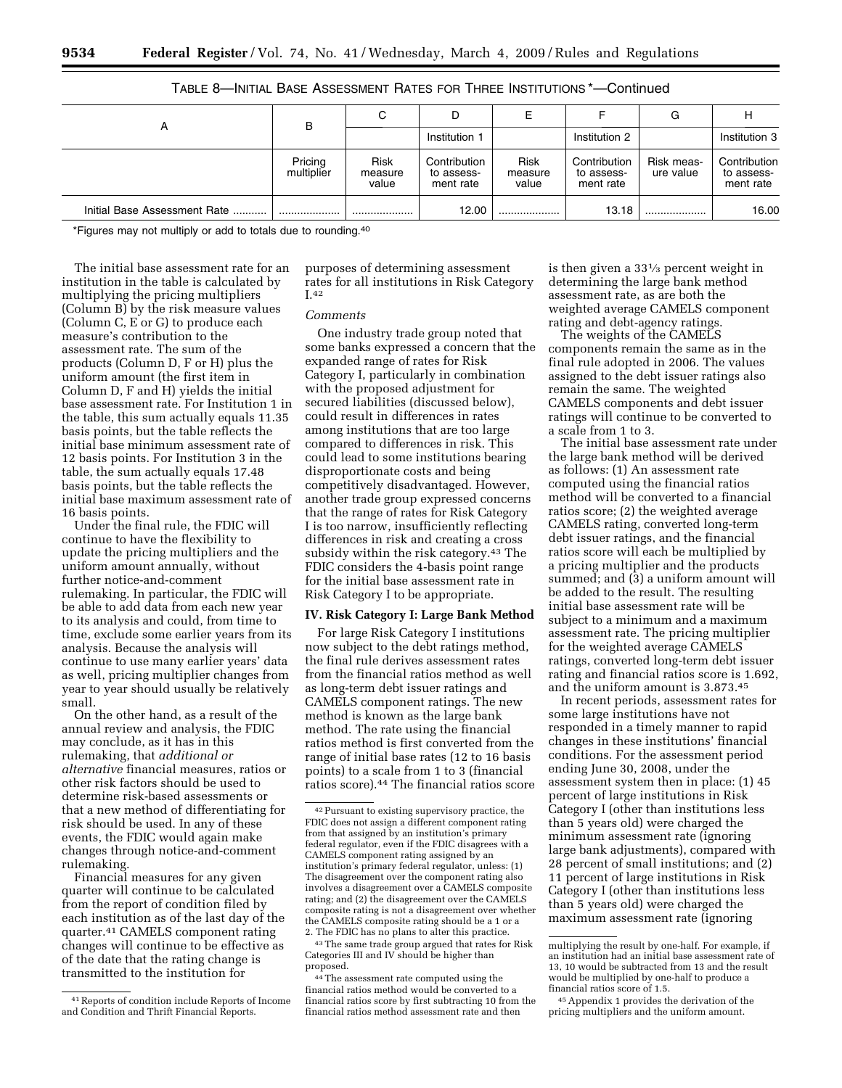|                              | в                     | C                               |                                         | ᄂ                        |                                         | G                       | н                                       |
|------------------------------|-----------------------|---------------------------------|-----------------------------------------|--------------------------|-----------------------------------------|-------------------------|-----------------------------------------|
| А                            |                       |                                 | Institution 1                           |                          | Institution 2                           |                         | Institution 3                           |
|                              | Pricing<br>multiplier | <b>Risk</b><br>measure<br>value | Contribution<br>to assess-<br>ment rate | Risk<br>measure<br>value | Contribution<br>to assess-<br>ment rate | Risk meas-<br>ure value | Contribution<br>to assess-<br>ment rate |
| Initial Base Assessment Rate |                       |                                 | 12.00                                   |                          | 13.18                                   |                         | 16.00                                   |

# TABLE 8—INITIAL BASE ASSESSMENT RATES FOR THREE INSTITUTIONS \*—Continued

\*Figures may not multiply or add to totals due to rounding.40

The initial base assessment rate for an institution in the table is calculated by multiplying the pricing multipliers (Column B) by the risk measure values (Column C, E or G) to produce each measure's contribution to the assessment rate. The sum of the products (Column D, F or H) plus the uniform amount (the first item in Column D, F and H) yields the initial base assessment rate. For Institution 1 in the table, this sum actually equals 11.35 basis points, but the table reflects the initial base minimum assessment rate of 12 basis points. For Institution 3 in the table, the sum actually equals 17.48 basis points, but the table reflects the initial base maximum assessment rate of 16 basis points.

Under the final rule, the FDIC will continue to have the flexibility to update the pricing multipliers and the uniform amount annually, without further notice-and-comment rulemaking. In particular, the FDIC will be able to add data from each new year to its analysis and could, from time to time, exclude some earlier years from its analysis. Because the analysis will continue to use many earlier years' data as well, pricing multiplier changes from year to year should usually be relatively small.

On the other hand, as a result of the annual review and analysis, the FDIC may conclude, as it has in this rulemaking, that *additional or alternative* financial measures, ratios or other risk factors should be used to determine risk-based assessments or that a new method of differentiating for risk should be used. In any of these events, the FDIC would again make changes through notice-and-comment rulemaking.

Financial measures for any given quarter will continue to be calculated from the report of condition filed by each institution as of the last day of the quarter.41 CAMELS component rating changes will continue to be effective as of the date that the rating change is transmitted to the institution for

purposes of determining assessment rates for all institutions in Risk Category I.42

### *Comments*

One industry trade group noted that some banks expressed a concern that the expanded range of rates for Risk Category I, particularly in combination with the proposed adjustment for secured liabilities (discussed below), could result in differences in rates among institutions that are too large compared to differences in risk. This could lead to some institutions bearing disproportionate costs and being competitively disadvantaged. However, another trade group expressed concerns that the range of rates for Risk Category I is too narrow, insufficiently reflecting differences in risk and creating a cross subsidy within the risk category.43 The FDIC considers the 4-basis point range for the initial base assessment rate in Risk Category I to be appropriate.

#### **IV. Risk Category I: Large Bank Method**

For large Risk Category I institutions now subject to the debt ratings method, the final rule derives assessment rates from the financial ratios method as well as long-term debt issuer ratings and CAMELS component ratings. The new method is known as the large bank method. The rate using the financial ratios method is first converted from the range of initial base rates (12 to 16 basis points) to a scale from 1 to 3 (financial ratios score).44 The financial ratios score

 $^{\rm 43}$  The same trade group argued that rates for Risk Categories III and IV should be higher than proposed.

44The assessment rate computed using the financial ratios method would be converted to a financial ratios score by first subtracting 10 from the financial ratios method assessment rate and then

is then given a 331⁄3 percent weight in determining the large bank method assessment rate, as are both the weighted average CAMELS component rating and debt-agency ratings.

The weights of the CAMELS components remain the same as in the final rule adopted in 2006. The values assigned to the debt issuer ratings also remain the same. The weighted CAMELS components and debt issuer ratings will continue to be converted to a scale from 1 to 3.

The initial base assessment rate under the large bank method will be derived as follows: (1) An assessment rate computed using the financial ratios method will be converted to a financial ratios score; (2) the weighted average CAMELS rating, converted long-term debt issuer ratings, and the financial ratios score will each be multiplied by a pricing multiplier and the products summed; and (3) a uniform amount will be added to the result. The resulting initial base assessment rate will be subject to a minimum and a maximum assessment rate. The pricing multiplier for the weighted average CAMELS ratings, converted long-term debt issuer rating and financial ratios score is 1.692, and the uniform amount is 3.873.45

In recent periods, assessment rates for some large institutions have not responded in a timely manner to rapid changes in these institutions' financial conditions. For the assessment period ending June 30, 2008, under the assessment system then in place: (1) 45 percent of large institutions in Risk Category I (other than institutions less than 5 years old) were charged the minimum assessment rate (ignoring large bank adjustments), compared with 28 percent of small institutions; and (2) 11 percent of large institutions in Risk Category I (other than institutions less than 5 years old) were charged the maximum assessment rate (ignoring

<sup>41</sup>Reports of condition include Reports of Income and Condition and Thrift Financial Reports.

<sup>42</sup>Pursuant to existing supervisory practice, the FDIC does not assign a different component rating from that assigned by an institution's primary federal regulator, even if the FDIC disagrees with a CAMELS component rating assigned by an institution's primary federal regulator, unless: (1) The disagreement over the component rating also involves a disagreement over a CAMELS composite rating; and (2) the disagreement over the CAMELS composite rating is not a disagreement over whether the CAMELS composite rating should be a 1 or a 2. The FDIC has no plans to alter this practice.

multiplying the result by one-half. For example, if an institution had an initial base assessment rate of 13, 10 would be subtracted from 13 and the result would be multiplied by one-half to produce a financial ratios score of 1.5.

<sup>45</sup>Appendix 1 provides the derivation of the pricing multipliers and the uniform amount.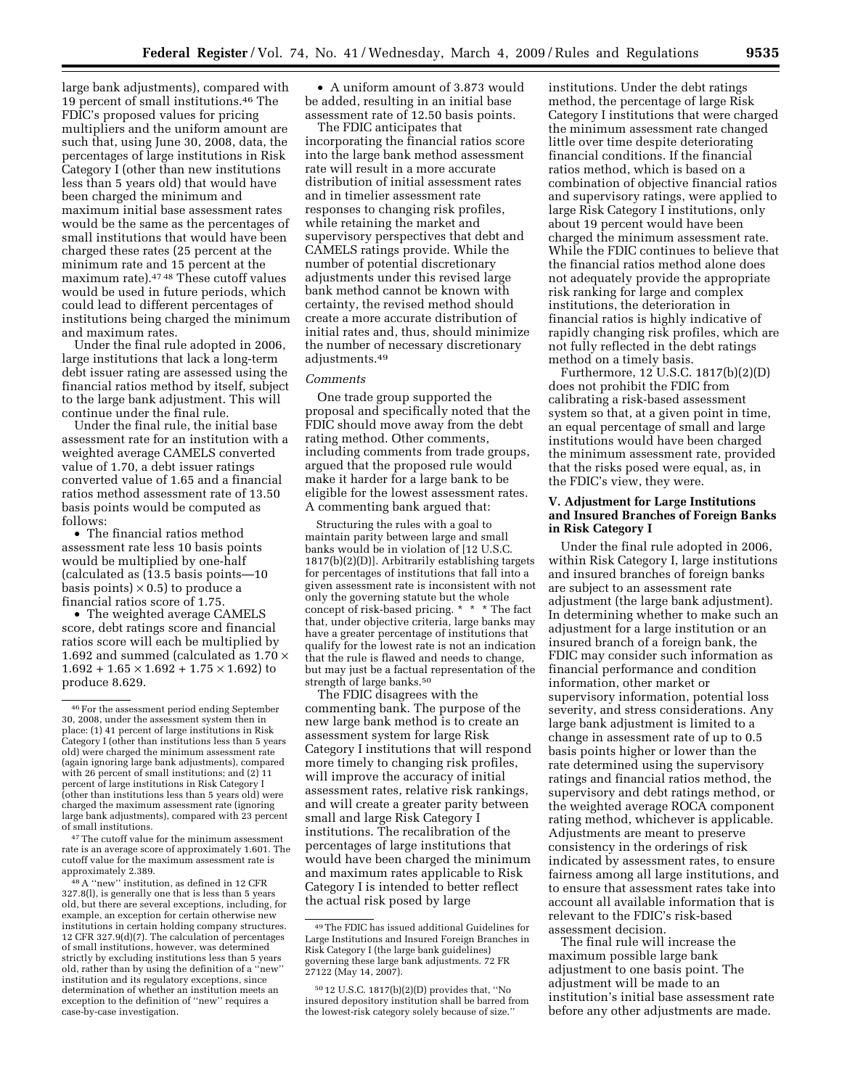large bank adjustments), compared with 19 percent of small institutions.46 The FDIC's proposed values for pricing multipliers and the uniform amount are such that, using June 30, 2008, data, the percentages of large institutions in Risk Category I (other than new institutions less than 5 years old) that would have been charged the minimum and maximum initial base assessment rates would be the same as the percentages of small institutions that would have been charged these rates (25 percent at the minimum rate and 15 percent at the maximum rate).47 48 These cutoff values would be used in future periods, which could lead to different percentages of institutions being charged the minimum and maximum rates.

Under the final rule adopted in 2006, large institutions that lack a long-term debt issuer rating are assessed using the financial ratios method by itself, subject to the large bank adjustment. This will continue under the final rule.

Under the final rule, the initial base assessment rate for an institution with a weighted average CAMELS converted value of 1.70, a debt issuer ratings converted value of 1.65 and a financial ratios method assessment rate of 13.50 basis points would be computed as follows:

• The financial ratios method assessment rate less 10 basis points would be multiplied by one-half (calculated as (13.5 basis points—10 basis points)  $\times$  0.5) to produce a financial ratios score of 1.75.

• The weighted average CAMELS score, debt ratings score and financial ratios score will each be multiplied by 1.692 and summed (calculated as  $1.70 \times$  $1.692 + 1.65 \times 1.692 + 1.75 \times 1.692$  to produce 8.629.

<sup>47</sup> The cutoff value for the minimum assessment rate is an average score of approximately 1.601. The cutoff value for the maximum assessment rate is

<sup>48</sup> A "new" institution, as defined in 12 CFR 327.8(l), is generally one that is less than 5 years old, but there are several exceptions, including, for example, an exception for certain otherwise new institutions in certain holding company structures. 12 CFR 327.9(d)(7). The calculation of percentages of small institutions, however, was determined strictly by excluding institutions less than 5 years old, rather than by using the definition of a ''new'' institution and its regulatory exceptions, since determination of whether an institution meets an exception to the definition of ''new'' requires a case-by-case investigation.

• A uniform amount of 3.873 would be added, resulting in an initial base assessment rate of 12.50 basis points.

The FDIC anticipates that incorporating the financial ratios score into the large bank method assessment rate will result in a more accurate distribution of initial assessment rates and in timelier assessment rate responses to changing risk profiles, while retaining the market and supervisory perspectives that debt and CAMELS ratings provide. While the number of potential discretionary adjustments under this revised large bank method cannot be known with certainty, the revised method should create a more accurate distribution of initial rates and, thus, should minimize the number of necessary discretionary adjustments.49

#### *Comments*

One trade group supported the proposal and specifically noted that the FDIC should move away from the debt rating method. Other comments, including comments from trade groups, argued that the proposed rule would make it harder for a large bank to be eligible for the lowest assessment rates. A commenting bank argued that:

Structuring the rules with a goal to maintain parity between large and small banks would be in violation of [12 U.S.C. 1817(b)(2)(D)]. Arbitrarily establishing targets for percentages of institutions that fall into a given assessment rate is inconsistent with not only the governing statute but the whole concept of risk-based pricing. \* \* \* The fact that, under objective criteria, large banks may have a greater percentage of institutions that qualify for the lowest rate is not an indication that the rule is flawed and needs to change, but may just be a factual representation of the strength of large banks.50

The FDIC disagrees with the commenting bank. The purpose of the new large bank method is to create an assessment system for large Risk Category I institutions that will respond more timely to changing risk profiles, will improve the accuracy of initial assessment rates, relative risk rankings, and will create a greater parity between small and large Risk Category I institutions. The recalibration of the percentages of large institutions that would have been charged the minimum and maximum rates applicable to Risk Category I is intended to better reflect the actual risk posed by large

institutions. Under the debt ratings method, the percentage of large Risk Category I institutions that were charged the minimum assessment rate changed little over time despite deteriorating financial conditions. If the financial ratios method, which is based on a combination of objective financial ratios and supervisory ratings, were applied to large Risk Category I institutions, only about 19 percent would have been charged the minimum assessment rate. While the FDIC continues to believe that the financial ratios method alone does not adequately provide the appropriate risk ranking for large and complex institutions, the deterioration in financial ratios is highly indicative of rapidly changing risk profiles, which are not fully reflected in the debt ratings method on a timely basis.

Furthermore, 12 U.S.C. 1817(b)(2)(D) does not prohibit the FDIC from calibrating a risk-based assessment system so that, at a given point in time, an equal percentage of small and large institutions would have been charged the minimum assessment rate, provided that the risks posed were equal, as, in the FDIC's view, they were.

### **V. Adjustment for Large Institutions and Insured Branches of Foreign Banks in Risk Category I**

Under the final rule adopted in 2006, within Risk Category I, large institutions and insured branches of foreign banks are subject to an assessment rate adjustment (the large bank adjustment). In determining whether to make such an adjustment for a large institution or an insured branch of a foreign bank, the FDIC may consider such information as financial performance and condition information, other market or supervisory information, potential loss severity, and stress considerations. Any large bank adjustment is limited to a change in assessment rate of up to 0.5 basis points higher or lower than the rate determined using the supervisory ratings and financial ratios method, the supervisory and debt ratings method, or the weighted average ROCA component rating method, whichever is applicable. Adjustments are meant to preserve consistency in the orderings of risk indicated by assessment rates, to ensure fairness among all large institutions, and to ensure that assessment rates take into account all available information that is relevant to the FDIC's risk-based assessment decision.

The final rule will increase the maximum possible large bank adjustment to one basis point. The adjustment will be made to an institution's initial base assessment rate before any other adjustments are made.

<sup>46</sup>For the assessment period ending September 30, 2008, under the assessment system then in place: (1) 41 percent of large institutions in Risk Category I (other than institutions less than 5 years old) were charged the minimum assessment rate (again ignoring large bank adjustments), compared with 26 percent of small institutions; and (2) 11 percent of large institutions in Risk Category I (other than institutions less than 5 years old) were charged the maximum assessment rate (ignoring large bank adjustments), compared with 23 percent

<sup>49</sup>The FDIC has issued additional Guidelines for Large Institutions and Insured Foreign Branches in Risk Category I (the large bank guidelines) governing these large bank adjustments. 72 FR 27122 (May 14, 2007).

<sup>50</sup> 12 U.S.C. 1817(b)(2)(D) provides that, ''No insured depository institution shall be barred from the lowest-risk category solely because of size.''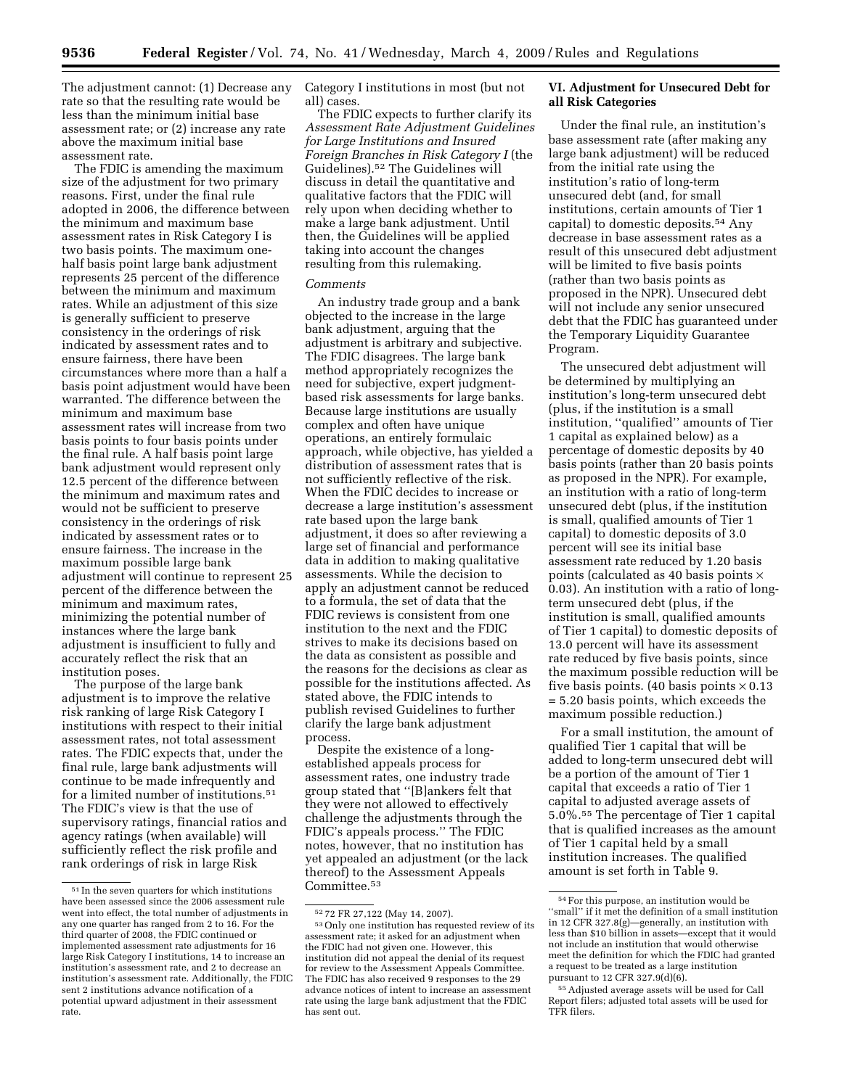**9536 Federal Register** / Vol. 74, No. 41 / Wednesday, March 4, 2009 / Rules and Regulations

The adjustment cannot: (1) Decrease any rate so that the resulting rate would be less than the minimum initial base assessment rate; or (2) increase any rate above the maximum initial base assessment rate.

The FDIC is amending the maximum size of the adjustment for two primary reasons. First, under the final rule adopted in 2006, the difference between the minimum and maximum base assessment rates in Risk Category I is two basis points. The maximum onehalf basis point large bank adjustment represents 25 percent of the difference between the minimum and maximum rates. While an adjustment of this size is generally sufficient to preserve consistency in the orderings of risk indicated by assessment rates and to ensure fairness, there have been circumstances where more than a half a basis point adjustment would have been warranted. The difference between the minimum and maximum base assessment rates will increase from two basis points to four basis points under the final rule. A half basis point large bank adjustment would represent only 12.5 percent of the difference between the minimum and maximum rates and would not be sufficient to preserve consistency in the orderings of risk indicated by assessment rates or to ensure fairness. The increase in the maximum possible large bank adjustment will continue to represent 25 percent of the difference between the minimum and maximum rates, minimizing the potential number of instances where the large bank adjustment is insufficient to fully and accurately reflect the risk that an institution poses.

The purpose of the large bank adjustment is to improve the relative risk ranking of large Risk Category I institutions with respect to their initial assessment rates, not total assessment rates. The FDIC expects that, under the final rule, large bank adjustments will continue to be made infrequently and for a limited number of institutions.<sup>51</sup> The FDIC's view is that the use of supervisory ratings, financial ratios and agency ratings (when available) will sufficiently reflect the risk profile and rank orderings of risk in large Risk

Category I institutions in most (but not all) cases.

The FDIC expects to further clarify its *Assessment Rate Adjustment Guidelines for Large Institutions and Insured Foreign Branches in Risk Category I* (the Guidelines).52 The Guidelines will discuss in detail the quantitative and qualitative factors that the FDIC will rely upon when deciding whether to make a large bank adjustment. Until then, the Guidelines will be applied taking into account the changes resulting from this rulemaking.

#### *Comments*

An industry trade group and a bank objected to the increase in the large bank adjustment, arguing that the adjustment is arbitrary and subjective. The FDIC disagrees. The large bank method appropriately recognizes the need for subjective, expert judgmentbased risk assessments for large banks. Because large institutions are usually complex and often have unique operations, an entirely formulaic approach, while objective, has yielded a distribution of assessment rates that is not sufficiently reflective of the risk. When the FDIC decides to increase or decrease a large institution's assessment rate based upon the large bank adjustment, it does so after reviewing a large set of financial and performance data in addition to making qualitative assessments. While the decision to apply an adjustment cannot be reduced to a formula, the set of data that the FDIC reviews is consistent from one institution to the next and the FDIC strives to make its decisions based on the data as consistent as possible and the reasons for the decisions as clear as possible for the institutions affected. As stated above, the FDIC intends to publish revised Guidelines to further clarify the large bank adjustment process.

Despite the existence of a longestablished appeals process for assessment rates, one industry trade group stated that ''[B]ankers felt that they were not allowed to effectively challenge the adjustments through the FDIC's appeals process.'' The FDIC notes, however, that no institution has yet appealed an adjustment (or the lack thereof) to the Assessment Appeals Committee.53

### **VI. Adjustment for Unsecured Debt for all Risk Categories**

Under the final rule, an institution's base assessment rate (after making any large bank adjustment) will be reduced from the initial rate using the institution's ratio of long-term unsecured debt (and, for small institutions, certain amounts of Tier 1 capital) to domestic deposits.54 Any decrease in base assessment rates as a result of this unsecured debt adjustment will be limited to five basis points (rather than two basis points as proposed in the NPR). Unsecured debt will not include any senior unsecured debt that the FDIC has guaranteed under the Temporary Liquidity Guarantee Program.

The unsecured debt adjustment will be determined by multiplying an institution's long-term unsecured debt (plus, if the institution is a small institution, ''qualified'' amounts of Tier 1 capital as explained below) as a percentage of domestic deposits by 40 basis points (rather than 20 basis points as proposed in the NPR). For example, an institution with a ratio of long-term unsecured debt (plus, if the institution is small, qualified amounts of Tier 1 capital) to domestic deposits of 3.0 percent will see its initial base assessment rate reduced by 1.20 basis points (calculated as 40 basis points × 0.03). An institution with a ratio of longterm unsecured debt (plus, if the institution is small, qualified amounts of Tier 1 capital) to domestic deposits of 13.0 percent will have its assessment rate reduced by five basis points, since the maximum possible reduction will be five basis points. (40 basis points  $\times$  0.13 = 5.20 basis points, which exceeds the maximum possible reduction.)

For a small institution, the amount of qualified Tier 1 capital that will be added to long-term unsecured debt will be a portion of the amount of Tier 1 capital that exceeds a ratio of Tier 1 capital to adjusted average assets of 5.0%.55 The percentage of Tier 1 capital that is qualified increases as the amount of Tier 1 capital held by a small institution increases. The qualified amount is set forth in Table 9.

 $^{\rm 51}$  In the seven quarters for which institutions have been assessed since the 2006 assessment rule went into effect, the total number of adjustments in any one quarter has ranged from 2 to 16. For the third quarter of 2008, the FDIC continued or implemented assessment rate adjustments for 16 large Risk Category I institutions, 14 to increase an institution's assessment rate, and 2 to decrease an institution's assessment rate. Additionally, the FDIC sent 2 institutions advance notification of a potential upward adjustment in their assessment rate.

 $^{52}$  72 FR 27,122 (May 14, 2007).  $^{53}$  Only one institution has requested review of its assessment rate; it asked for an adjustment when the FDIC had not given one. However, this institution did not appeal the denial of its request for review to the Assessment Appeals Committee. The FDIC has also received 9 responses to the 29 advance notices of intent to increase an assessment rate using the large bank adjustment that the FDIC has sent out.

<sup>54</sup>For this purpose, an institution would be ''small'' if it met the definition of a small institution in 12 CFR 327.8(g)—generally, an institution with less than \$10 billion in assets—except that it would not include an institution that would otherwise meet the definition for which the FDIC had granted a request to be treated as a large institution pursuant to 12 CFR 327.9(d)(6).

<sup>55</sup>Adjusted average assets will be used for Call Report filers; adjusted total assets will be used for TFR filers.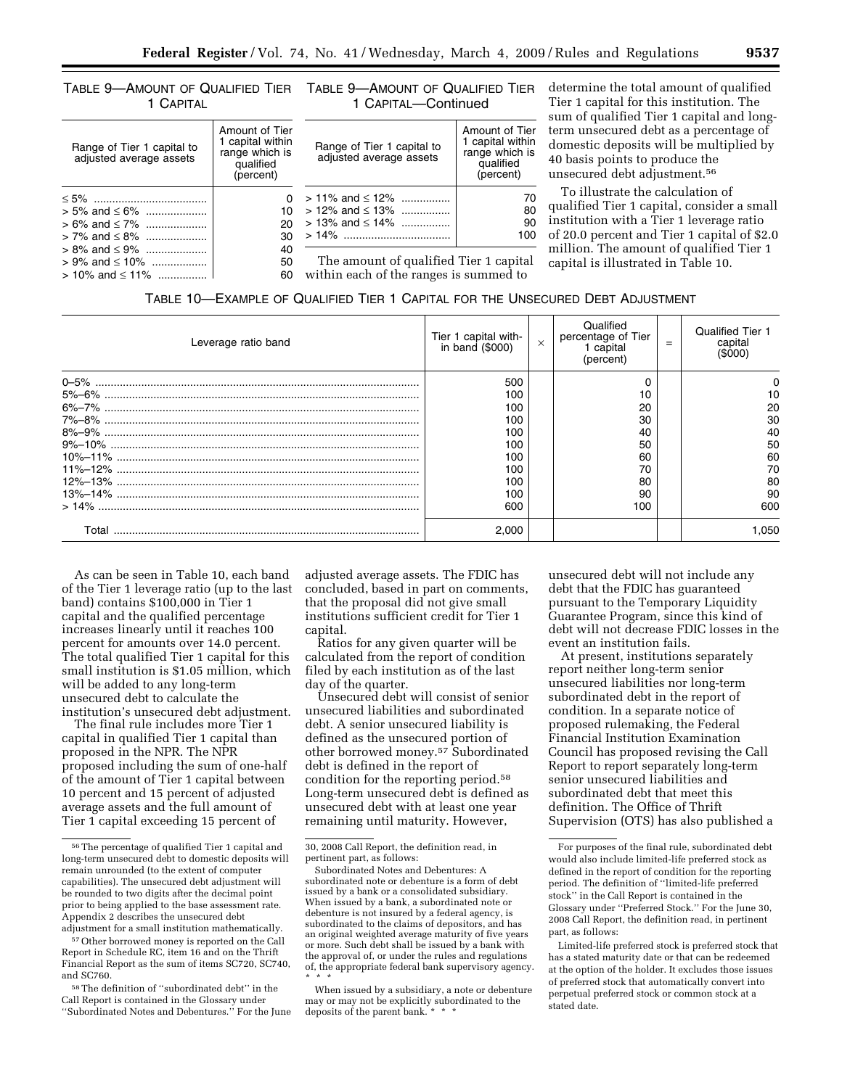range which is qualified (percent)

TABLE 9—AMOUNT OF QUALIFIED TIER TABLE 9—AMOUNT OF QUALIFIED TIER 1 CAPIT

≤ 5% ..................................... 0 > 5% and ≤ 6% .................... 10

> 7% and ≤ 8% .................... 30 > 8% and ≤ 9% .................... 40

> 10% and ≤ 11% ................ 60

range which is qualified (percent)

adjusted average assets

 $> 6\%$  and  $\leq 7\%$  ....................

> 9% and ≤ 10% ..................

| 1 CAPITAL                  |                                                      | 1 CAPITAL-Continued        |                                                      |
|----------------------------|------------------------------------------------------|----------------------------|------------------------------------------------------|
| Range of Tier 1 capital to | Amount of Tier<br>1 capital within<br>ronon ubioh io | Range of Tier 1 capital to | Amount of Tier<br>1 capital within<br>rongo which is |

adjusted average assets

 $> 12\%$  and  $\leq 13\%$  ................

determine the total amount of qualified Tier 1 capital for this institution. The sum of qualified Tier 1 capital and longterm unsecured debt as a percentage of domestic deposits will be multiplied by 40 basis points to produce the unsecured debt adjustment.56

To illustrate the calculation of qualified Tier 1 capital, consider a small institution with a Tier 1 leverage ratio of 20.0 percent and Tier 1 capital of \$2.0 million. The amount of qualified Tier 1 capital is illustrated in Table 10.

| % |  | 60 within each of the ranges is summed to                                      |  |  |  |
|---|--|--------------------------------------------------------------------------------|--|--|--|
|   |  | TABLE 10-EXAMPLE OF QUALIFIED TIER 1 CAPITAL FOR THE UNSECURED DEBT ADJUSTMENT |  |  |  |

> 11% and ≤ 12% ................ 70

> 13% and ≤ 14% ................ 90 > 14% ................................... 100 The amount of qualified Tier 1 capital

| Leverage ratio band | Tier 1 capital with-<br>in band (\$000) | $\times$ | Qualified<br>percentage of Tier<br>1 capital<br>(percent) | $=$ | <b>Qualified Tier 1</b><br>capital<br>(\$000) |
|---------------------|-----------------------------------------|----------|-----------------------------------------------------------|-----|-----------------------------------------------|
|                     | 500                                     |          |                                                           |     |                                               |
|                     | 100                                     |          | 10                                                        |     | 10                                            |
|                     | 100                                     |          | 20                                                        |     | 20                                            |
|                     | 100                                     |          | 30                                                        |     | 30                                            |
|                     | 100                                     |          | 40                                                        |     | 40                                            |
|                     | 100                                     |          | 50                                                        |     | 50                                            |
|                     | 100                                     |          | 60                                                        |     | 60                                            |
|                     | 100                                     |          | 70                                                        |     | 70                                            |
|                     | 100                                     |          | 80                                                        |     | 80                                            |
|                     | 100                                     |          | 90                                                        |     | 90                                            |
|                     | 600                                     |          | 100                                                       |     | 600                                           |
| Total               | 2.000                                   |          |                                                           |     | 1.050                                         |

As can be seen in Table 10, each band of the Tier 1 leverage ratio (up to the last band) contains \$100,000 in Tier 1 capital and the qualified percentage increases linearly until it reaches 100 percent for amounts over 14.0 percent. The total qualified Tier 1 capital for this small institution is \$1.05 million, which will be added to any long-term unsecured debt to calculate the institution's unsecured debt adjustment.

The final rule includes more Tier 1 capital in qualified Tier 1 capital than proposed in the NPR. The NPR proposed including the sum of one-half of the amount of Tier 1 capital between 10 percent and 15 percent of adjusted average assets and the full amount of Tier 1 capital exceeding 15 percent of

adjusted average assets. The FDIC has concluded, based in part on comments, that the proposal did not give small institutions sufficient credit for Tier 1 capital.

Ratios for any given quarter will be calculated from the report of condition filed by each institution as of the last day of the quarter.

Unsecured debt will consist of senior unsecured liabilities and subordinated debt. A senior unsecured liability is defined as the unsecured portion of other borrowed money.57 Subordinated debt is defined in the report of condition for the reporting period.58 Long-term unsecured debt is defined as unsecured debt with at least one year remaining until maturity. However,

unsecured debt will not include any debt that the FDIC has guaranteed pursuant to the Temporary Liquidity Guarantee Program, since this kind of debt will not decrease FDIC losses in the event an institution fails.

At present, institutions separately report neither long-term senior unsecured liabilities nor long-term subordinated debt in the report of condition. In a separate notice of proposed rulemaking, the Federal Financial Institution Examination Council has proposed revising the Call Report to report separately long-term senior unsecured liabilities and subordinated debt that meet this definition. The Office of Thrift Supervision (OTS) has also published a

<sup>56</sup>The percentage of qualified Tier 1 capital and long-term unsecured debt to domestic deposits will remain unrounded (to the extent of computer capabilities). The unsecured debt adjustment will be rounded to two digits after the decimal point prior to being applied to the base assessment rate. Appendix 2 describes the unsecured debt adjustment for a small institution mathematically.

<sup>57</sup>Other borrowed money is reported on the Call Report in Schedule RC, item 16 and on the Thrift Financial Report as the sum of items SC720, SC740, and SC760.

 $^{58}\mathrm{\,The}$  definition of ''subordinated debt'' in the Call Report is contained in the Glossary under ''Subordinated Notes and Debentures.'' For the June

<sup>30, 2008</sup> Call Report, the definition read, in pertinent part, as follows:

Subordinated Notes and Debentures: A subordinated note or debenture is a form of debt issued by a bank or a consolidated subsidiary. When issued by a bank, a subordinated note or debenture is not insured by a federal agency, is subordinated to the claims of depositors, and has an original weighted average maturity of five years or more. Such debt shall be issued by a bank with the approval of, or under the rules and regulations of, the appropriate federal bank supervisory agency. \* \* \*

When issued by a subsidiary, a note or debenture may or may not be explicitly subordinated to the deposits of the parent bank. \* \* \*

For purposes of the final rule, subordinated debt would also include limited-life preferred stock as defined in the report of condition for the reporting period. The definition of ''limited-life preferred stock'' in the Call Report is contained in the Glossary under ''Preferred Stock.'' For the June 30, 2008 Call Report, the definition read, in pertinent part, as follows:

Limited-life preferred stock is preferred stock that has a stated maturity date or that can be redeemed at the option of the holder. It excludes those issues of preferred stock that automatically convert into perpetual preferred stock or common stock at a stated date.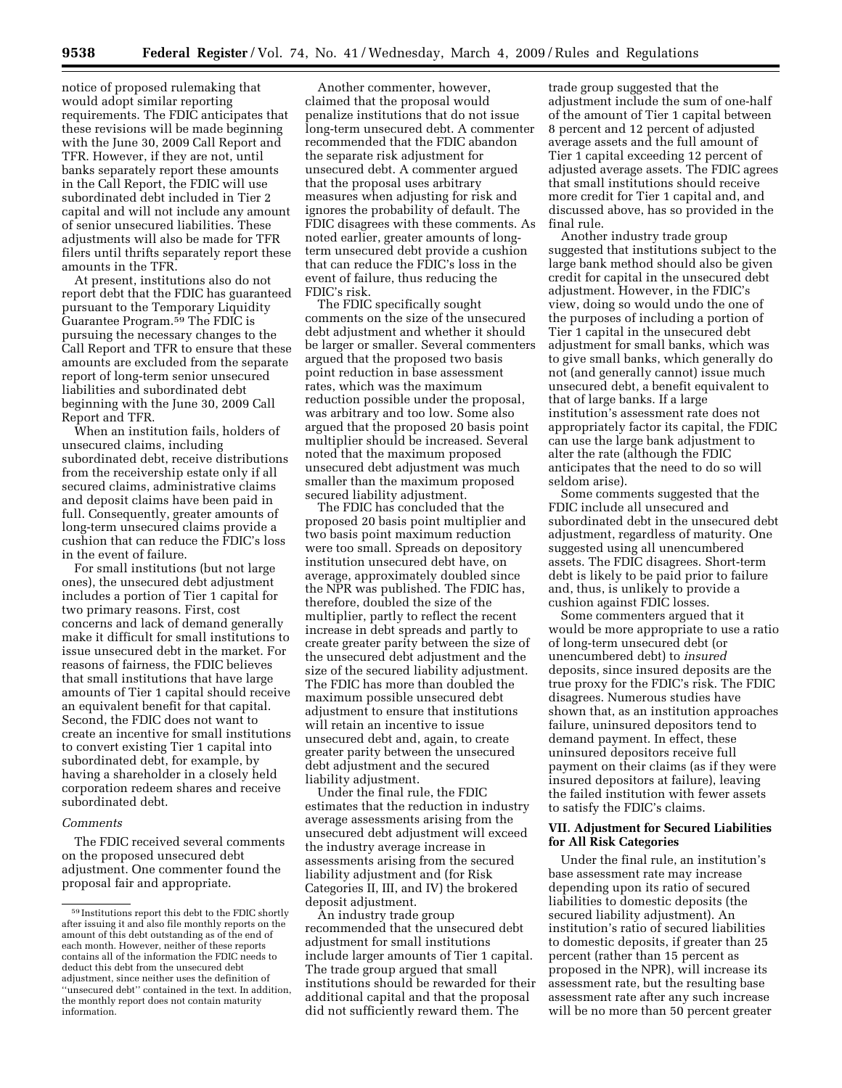notice of proposed rulemaking that would adopt similar reporting requirements. The FDIC anticipates that these revisions will be made beginning with the June 30, 2009 Call Report and TFR. However, if they are not, until banks separately report these amounts in the Call Report, the FDIC will use subordinated debt included in Tier 2 capital and will not include any amount of senior unsecured liabilities. These adjustments will also be made for TFR filers until thrifts separately report these amounts in the TFR.

At present, institutions also do not report debt that the FDIC has guaranteed pursuant to the Temporary Liquidity Guarantee Program.59 The FDIC is pursuing the necessary changes to the Call Report and TFR to ensure that these amounts are excluded from the separate report of long-term senior unsecured liabilities and subordinated debt beginning with the June 30, 2009 Call Report and TFR.

When an institution fails, holders of unsecured claims, including subordinated debt, receive distributions from the receivership estate only if all secured claims, administrative claims and deposit claims have been paid in full. Consequently, greater amounts of long-term unsecured claims provide a cushion that can reduce the FDIC's loss in the event of failure.

For small institutions (but not large ones), the unsecured debt adjustment includes a portion of Tier 1 capital for two primary reasons. First, cost concerns and lack of demand generally make it difficult for small institutions to issue unsecured debt in the market. For reasons of fairness, the FDIC believes that small institutions that have large amounts of Tier 1 capital should receive an equivalent benefit for that capital. Second, the FDIC does not want to create an incentive for small institutions to convert existing Tier 1 capital into subordinated debt, for example, by having a shareholder in a closely held corporation redeem shares and receive subordinated debt.

#### *Comments*

The FDIC received several comments on the proposed unsecured debt adjustment. One commenter found the proposal fair and appropriate.

Another commenter, however, claimed that the proposal would penalize institutions that do not issue long-term unsecured debt. A commenter recommended that the FDIC abandon the separate risk adjustment for unsecured debt. A commenter argued that the proposal uses arbitrary measures when adjusting for risk and ignores the probability of default. The FDIC disagrees with these comments. As noted earlier, greater amounts of longterm unsecured debt provide a cushion that can reduce the FDIC's loss in the event of failure, thus reducing the FDIC's risk.

The FDIC specifically sought comments on the size of the unsecured debt adjustment and whether it should be larger or smaller. Several commenters argued that the proposed two basis point reduction in base assessment rates, which was the maximum reduction possible under the proposal, was arbitrary and too low. Some also argued that the proposed 20 basis point multiplier should be increased. Several noted that the maximum proposed unsecured debt adjustment was much smaller than the maximum proposed secured liability adjustment.

The FDIC has concluded that the proposed 20 basis point multiplier and two basis point maximum reduction were too small. Spreads on depository institution unsecured debt have, on average, approximately doubled since the NPR was published. The FDIC has, therefore, doubled the size of the multiplier, partly to reflect the recent increase in debt spreads and partly to create greater parity between the size of the unsecured debt adjustment and the size of the secured liability adjustment. The FDIC has more than doubled the maximum possible unsecured debt adjustment to ensure that institutions will retain an incentive to issue unsecured debt and, again, to create greater parity between the unsecured debt adjustment and the secured liability adjustment.

Under the final rule, the FDIC estimates that the reduction in industry average assessments arising from the unsecured debt adjustment will exceed the industry average increase in assessments arising from the secured liability adjustment and (for Risk Categories II, III, and IV) the brokered deposit adjustment.

An industry trade group recommended that the unsecured debt adjustment for small institutions include larger amounts of Tier 1 capital. The trade group argued that small institutions should be rewarded for their additional capital and that the proposal did not sufficiently reward them. The

trade group suggested that the adjustment include the sum of one-half of the amount of Tier 1 capital between 8 percent and 12 percent of adjusted average assets and the full amount of Tier 1 capital exceeding 12 percent of adjusted average assets. The FDIC agrees that small institutions should receive more credit for Tier 1 capital and, and discussed above, has so provided in the final rule.

Another industry trade group suggested that institutions subject to the large bank method should also be given credit for capital in the unsecured debt adjustment. However, in the FDIC's view, doing so would undo the one of the purposes of including a portion of Tier 1 capital in the unsecured debt adjustment for small banks, which was to give small banks, which generally do not (and generally cannot) issue much unsecured debt, a benefit equivalent to that of large banks. If a large institution's assessment rate does not appropriately factor its capital, the FDIC can use the large bank adjustment to alter the rate (although the FDIC anticipates that the need to do so will seldom arise).

Some comments suggested that the FDIC include all unsecured and subordinated debt in the unsecured debt adjustment, regardless of maturity. One suggested using all unencumbered assets. The FDIC disagrees. Short-term debt is likely to be paid prior to failure and, thus, is unlikely to provide a cushion against FDIC losses.

Some commenters argued that it would be more appropriate to use a ratio of long-term unsecured debt (or unencumbered debt) to *insured*  deposits, since insured deposits are the true proxy for the FDIC's risk. The FDIC disagrees. Numerous studies have shown that, as an institution approaches failure, uninsured depositors tend to demand payment. In effect, these uninsured depositors receive full payment on their claims (as if they were insured depositors at failure), leaving the failed institution with fewer assets to satisfy the FDIC's claims.

### **VII. Adjustment for Secured Liabilities for All Risk Categories**

Under the final rule, an institution's base assessment rate may increase depending upon its ratio of secured liabilities to domestic deposits (the secured liability adjustment). An institution's ratio of secured liabilities to domestic deposits, if greater than 25 percent (rather than 15 percent as proposed in the NPR), will increase its assessment rate, but the resulting base assessment rate after any such increase will be no more than 50 percent greater

<sup>59</sup> Institutions report this debt to the FDIC shortly after issuing it and also file monthly reports on the amount of this debt outstanding as of the end of each month. However, neither of these reports contains all of the information the FDIC needs to deduct this debt from the unsecured debt adjustment, since neither uses the definition of ''unsecured debt'' contained in the text. In addition, the monthly report does not contain maturity information.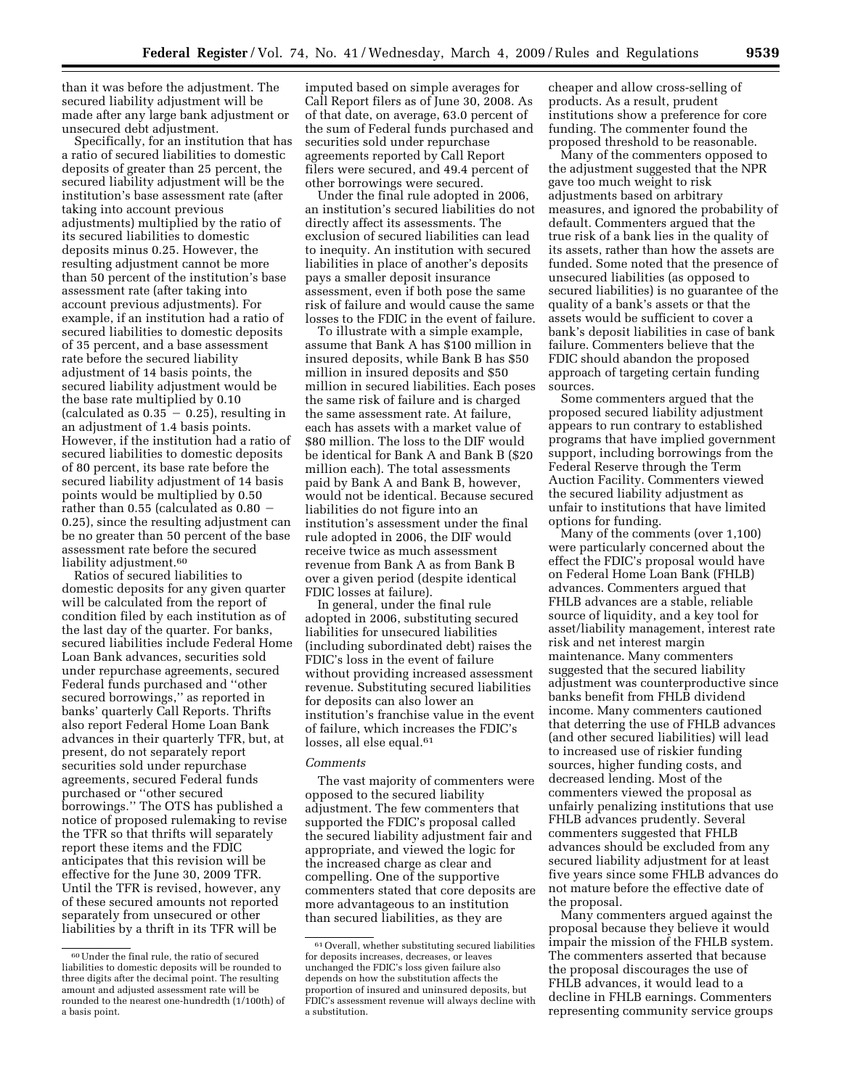than it was before the adjustment. The secured liability adjustment will be made after any large bank adjustment or

unsecured debt adjustment. Specifically, for an institution that has a ratio of secured liabilities to domestic deposits of greater than 25 percent, the secured liability adjustment will be the institution's base assessment rate (after taking into account previous adjustments) multiplied by the ratio of its secured liabilities to domestic deposits minus 0.25. However, the resulting adjustment cannot be more than 50 percent of the institution's base assessment rate (after taking into account previous adjustments). For example, if an institution had a ratio of secured liabilities to domestic deposits of 35 percent, and a base assessment rate before the secured liability adjustment of 14 basis points, the secured liability adjustment would be the base rate multiplied by 0.10 (calculated as  $0.35 - 0.25$ ), resulting in an adjustment of 1.4 basis points. However, if the institution had a ratio of secured liabilities to domestic deposits of 80 percent, its base rate before the secured liability adjustment of 14 basis points would be multiplied by 0.50 rather than  $0.55$  (calculated as  $0.80 -$ 0.25), since the resulting adjustment can be no greater than 50 percent of the base assessment rate before the secured liability adjustment.<sup>60</sup>

Ratios of secured liabilities to domestic deposits for any given quarter will be calculated from the report of condition filed by each institution as of the last day of the quarter. For banks, secured liabilities include Federal Home Loan Bank advances, securities sold under repurchase agreements, secured Federal funds purchased and ''other secured borrowings,'' as reported in banks' quarterly Call Reports. Thrifts also report Federal Home Loan Bank advances in their quarterly TFR, but, at present, do not separately report securities sold under repurchase agreements, secured Federal funds purchased or ''other secured borrowings.'' The OTS has published a notice of proposed rulemaking to revise the TFR so that thrifts will separately report these items and the FDIC anticipates that this revision will be effective for the June 30, 2009 TFR. Until the TFR is revised, however, any of these secured amounts not reported separately from unsecured or other liabilities by a thrift in its TFR will be

imputed based on simple averages for Call Report filers as of June 30, 2008. As of that date, on average, 63.0 percent of the sum of Federal funds purchased and securities sold under repurchase agreements reported by Call Report filers were secured, and 49.4 percent of other borrowings were secured.

Under the final rule adopted in 2006, an institution's secured liabilities do not directly affect its assessments. The exclusion of secured liabilities can lead to inequity. An institution with secured liabilities in place of another's deposits pays a smaller deposit insurance assessment, even if both pose the same risk of failure and would cause the same losses to the FDIC in the event of failure.

To illustrate with a simple example, assume that Bank A has \$100 million in insured deposits, while Bank B has \$50 million in insured deposits and \$50 million in secured liabilities. Each poses the same risk of failure and is charged the same assessment rate. At failure, each has assets with a market value of \$80 million. The loss to the DIF would be identical for Bank A and Bank B (\$20 million each). The total assessments paid by Bank A and Bank B, however, would not be identical. Because secured liabilities do not figure into an institution's assessment under the final rule adopted in 2006, the DIF would receive twice as much assessment revenue from Bank A as from Bank B over a given period (despite identical FDIC losses at failure).

In general, under the final rule adopted in 2006, substituting secured liabilities for unsecured liabilities (including subordinated debt) raises the FDIC's loss in the event of failure without providing increased assessment revenue. Substituting secured liabilities for deposits can also lower an institution's franchise value in the event of failure, which increases the FDIC's losses, all else equal.<sup>61</sup>

#### *Comments*

The vast majority of commenters were opposed to the secured liability adjustment. The few commenters that supported the FDIC's proposal called the secured liability adjustment fair and appropriate, and viewed the logic for the increased charge as clear and compelling. One of the supportive commenters stated that core deposits are more advantageous to an institution than secured liabilities, as they are

cheaper and allow cross-selling of products. As a result, prudent institutions show a preference for core funding. The commenter found the proposed threshold to be reasonable.

Many of the commenters opposed to the adjustment suggested that the NPR gave too much weight to risk adjustments based on arbitrary measures, and ignored the probability of default. Commenters argued that the true risk of a bank lies in the quality of its assets, rather than how the assets are funded. Some noted that the presence of unsecured liabilities (as opposed to secured liabilities) is no guarantee of the quality of a bank's assets or that the assets would be sufficient to cover a bank's deposit liabilities in case of bank failure. Commenters believe that the FDIC should abandon the proposed approach of targeting certain funding sources.

Some commenters argued that the proposed secured liability adjustment appears to run contrary to established programs that have implied government support, including borrowings from the Federal Reserve through the Term Auction Facility. Commenters viewed the secured liability adjustment as unfair to institutions that have limited options for funding.

Many of the comments (over 1,100) were particularly concerned about the effect the FDIC's proposal would have on Federal Home Loan Bank (FHLB) advances. Commenters argued that FHLB advances are a stable, reliable source of liquidity, and a key tool for asset/liability management, interest rate risk and net interest margin maintenance. Many commenters suggested that the secured liability adjustment was counterproductive since banks benefit from FHLB dividend income. Many commenters cautioned that deterring the use of FHLB advances (and other secured liabilities) will lead to increased use of riskier funding sources, higher funding costs, and decreased lending. Most of the commenters viewed the proposal as unfairly penalizing institutions that use FHLB advances prudently. Several commenters suggested that FHLB advances should be excluded from any secured liability adjustment for at least five years since some FHLB advances do not mature before the effective date of the proposal.

Many commenters argued against the proposal because they believe it would impair the mission of the FHLB system. The commenters asserted that because the proposal discourages the use of FHLB advances, it would lead to a decline in FHLB earnings. Commenters representing community service groups

<sup>60</sup>Under the final rule, the ratio of secured liabilities to domestic deposits will be rounded to three digits after the decimal point. The resulting amount and adjusted assessment rate will be rounded to the nearest one-hundredth (1/100th) of a basis point.

 $\rm ^{61}$  Overall, whether substituting secured liabilities for deposits increases, decreases, or leaves unchanged the FDIC's loss given failure also depends on how the substitution affects the proportion of insured and uninsured deposits, but FDIC's assessment revenue will always decline with a substitution.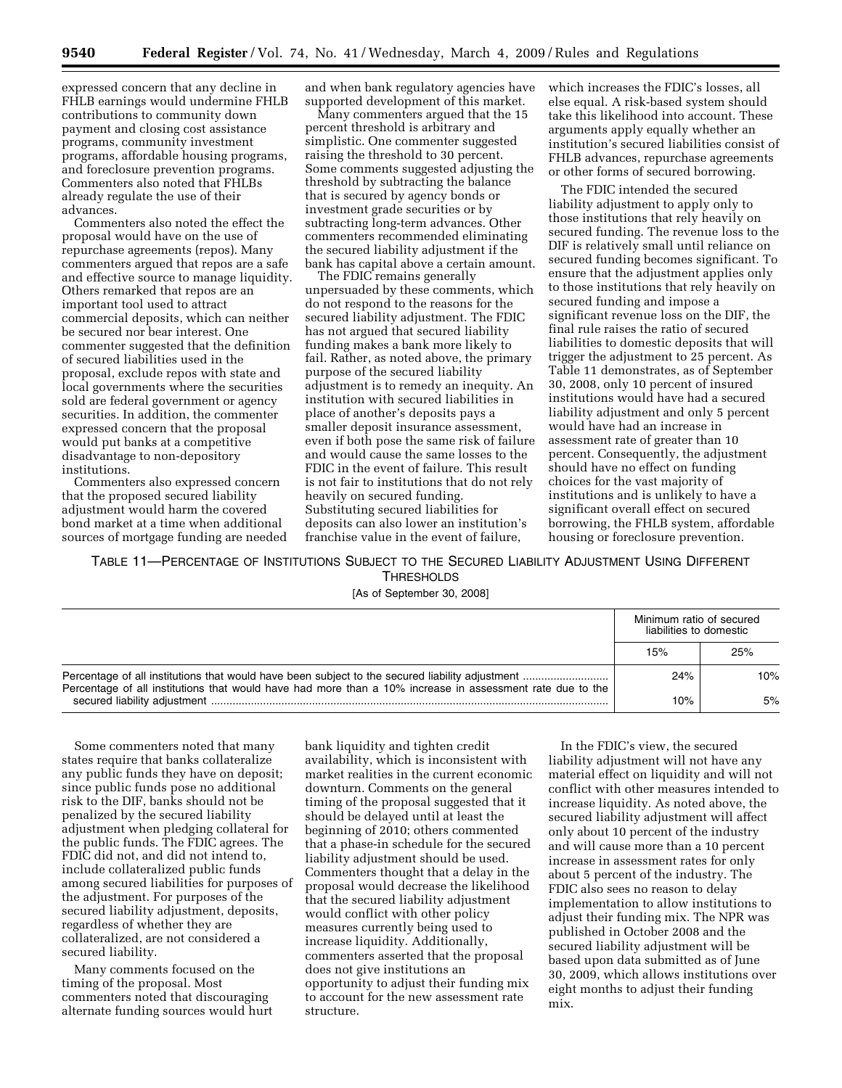**9540 Federal Register** / Vol. 74, No. 41 / Wednesday, March 4, 2009 / Rules and Regulations

expressed concern that any decline in FHLB earnings would undermine FHLB contributions to community down payment and closing cost assistance programs, community investment programs, affordable housing programs, and foreclosure prevention programs. Commenters also noted that FHLBs already regulate the use of their advances.

Commenters also noted the effect the proposal would have on the use of repurchase agreements (repos). Many commenters argued that repos are a safe and effective source to manage liquidity. Others remarked that repos are an important tool used to attract commercial deposits, which can neither be secured nor bear interest. One commenter suggested that the definition of secured liabilities used in the proposal, exclude repos with state and local governments where the securities sold are federal government or agency securities. In addition, the commenter expressed concern that the proposal would put banks at a competitive disadvantage to non-depository institutions.

Commenters also expressed concern that the proposed secured liability adjustment would harm the covered bond market at a time when additional sources of mortgage funding are needed and when bank regulatory agencies have supported development of this market.

Many commenters argued that the 15 percent threshold is arbitrary and simplistic. One commenter suggested raising the threshold to 30 percent. Some comments suggested adjusting the threshold by subtracting the balance that is secured by agency bonds or investment grade securities or by subtracting long-term advances. Other commenters recommended eliminating the secured liability adjustment if the bank has capital above a certain amount.

The FDIC remains generally unpersuaded by these comments, which do not respond to the reasons for the secured liability adjustment. The FDIC has not argued that secured liability funding makes a bank more likely to fail. Rather, as noted above, the primary purpose of the secured liability adjustment is to remedy an inequity. An institution with secured liabilities in place of another's deposits pays a smaller deposit insurance assessment, even if both pose the same risk of failure and would cause the same losses to the FDIC in the event of failure. This result is not fair to institutions that do not rely heavily on secured funding. Substituting secured liabilities for deposits can also lower an institution's franchise value in the event of failure,

which increases the FDIC's losses, all else equal. A risk-based system should take this likelihood into account. These arguments apply equally whether an institution's secured liabilities consist of FHLB advances, repurchase agreements or other forms of secured borrowing.

The FDIC intended the secured liability adjustment to apply only to those institutions that rely heavily on secured funding. The revenue loss to the DIF is relatively small until reliance on secured funding becomes significant. To ensure that the adjustment applies only to those institutions that rely heavily on secured funding and impose a significant revenue loss on the DIF, the final rule raises the ratio of secured liabilities to domestic deposits that will trigger the adjustment to 25 percent. As Table 11 demonstrates, as of September 30, 2008, only 10 percent of insured institutions would have had a secured liability adjustment and only 5 percent would have had an increase in assessment rate of greater than 10 percent. Consequently, the adjustment should have no effect on funding choices for the vast majority of institutions and is unlikely to have a significant overall effect on secured borrowing, the FHLB system, affordable housing or foreclosure prevention.

TABLE 11—PERCENTAGE OF INSTITUTIONS SUBJECT TO THE SECURED LIABILITY ADJUSTMENT USING DIFFERENT **THRESHOLDS** 

[As of September 30, 2008]

|                                                                                                           | Minimum ratio of secured<br>liabilities to domestic |     |
|-----------------------------------------------------------------------------------------------------------|-----------------------------------------------------|-----|
|                                                                                                           | 15%                                                 | 25% |
|                                                                                                           | 24%                                                 | 10% |
| Percentage of all institutions that would have had more than a 10% increase in assessment rate due to the |                                                     | 5%  |

Some commenters noted that many states require that banks collateralize any public funds they have on deposit; since public funds pose no additional risk to the DIF, banks should not be penalized by the secured liability adjustment when pledging collateral for the public funds. The FDIC agrees. The FDIC did not, and did not intend to, include collateralized public funds among secured liabilities for purposes of the adjustment. For purposes of the secured liability adjustment, deposits, regardless of whether they are collateralized, are not considered a secured liability.

Many comments focused on the timing of the proposal. Most commenters noted that discouraging alternate funding sources would hurt

bank liquidity and tighten credit availability, which is inconsistent with market realities in the current economic downturn. Comments on the general timing of the proposal suggested that it should be delayed until at least the beginning of 2010; others commented that a phase-in schedule for the secured liability adjustment should be used. Commenters thought that a delay in the proposal would decrease the likelihood that the secured liability adjustment would conflict with other policy measures currently being used to increase liquidity. Additionally, commenters asserted that the proposal does not give institutions an opportunity to adjust their funding mix to account for the new assessment rate structure.

In the FDIC's view, the secured liability adjustment will not have any material effect on liquidity and will not conflict with other measures intended to increase liquidity. As noted above, the secured liability adjustment will affect only about 10 percent of the industry and will cause more than a 10 percent increase in assessment rates for only about 5 percent of the industry. The FDIC also sees no reason to delay implementation to allow institutions to adjust their funding mix. The NPR was published in October 2008 and the secured liability adjustment will be based upon data submitted as of June 30, 2009, which allows institutions over eight months to adjust their funding mix.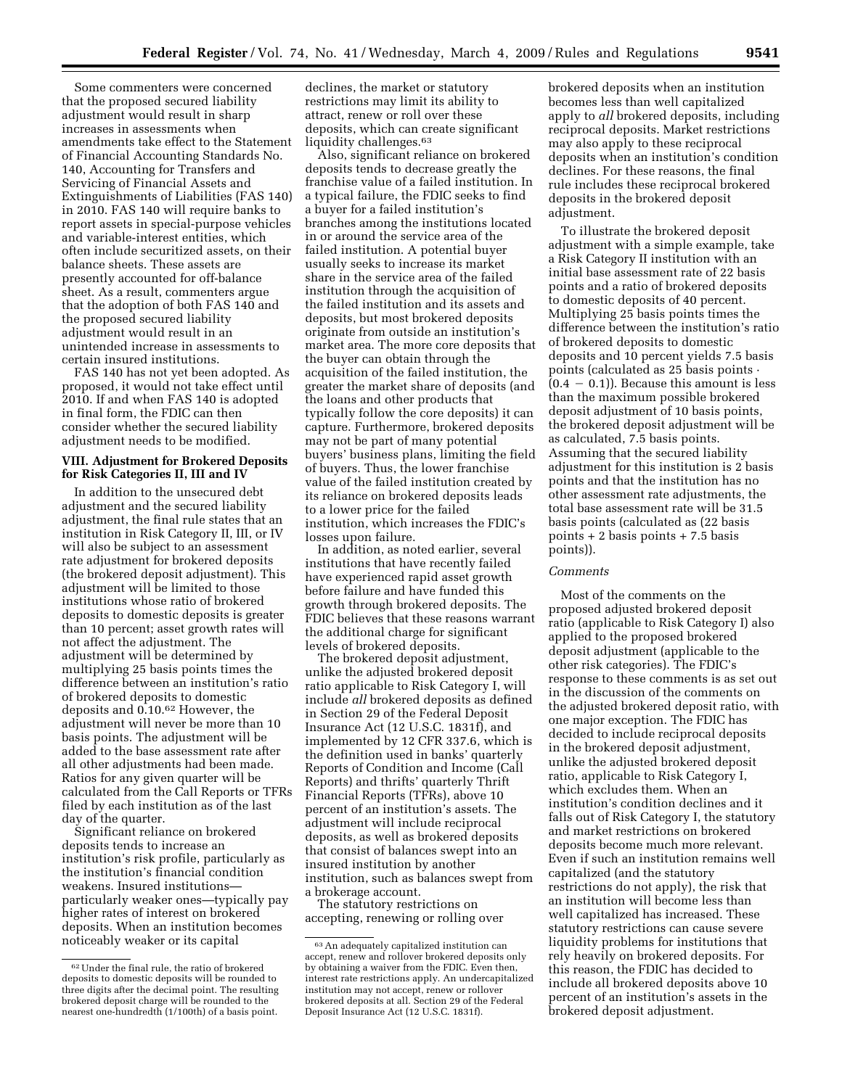Some commenters were concerned that the proposed secured liability adjustment would result in sharp increases in assessments when amendments take effect to the Statement of Financial Accounting Standards No. 140, Accounting for Transfers and Servicing of Financial Assets and Extinguishments of Liabilities (FAS 140) in 2010. FAS 140 will require banks to report assets in special-purpose vehicles and variable-interest entities, which often include securitized assets, on their balance sheets. These assets are presently accounted for off-balance sheet. As a result, commenters argue that the adoption of both FAS 140 and the proposed secured liability adjustment would result in an unintended increase in assessments to certain insured institutions.

FAS 140 has not yet been adopted. As proposed, it would not take effect until 2010. If and when FAS 140 is adopted in final form, the FDIC can then consider whether the secured liability adjustment needs to be modified.

## **VIII. Adjustment for Brokered Deposits for Risk Categories II, III and IV**

In addition to the unsecured debt adjustment and the secured liability adjustment, the final rule states that an institution in Risk Category II, III, or IV will also be subject to an assessment rate adjustment for brokered deposits (the brokered deposit adjustment). This adjustment will be limited to those institutions whose ratio of brokered deposits to domestic deposits is greater than 10 percent; asset growth rates will not affect the adjustment. The adjustment will be determined by multiplying 25 basis points times the difference between an institution's ratio of brokered deposits to domestic deposits and 0.10.62 However, the adjustment will never be more than 10 basis points. The adjustment will be added to the base assessment rate after all other adjustments had been made. Ratios for any given quarter will be calculated from the Call Reports or TFRs filed by each institution as of the last day of the quarter.

Significant reliance on brokered deposits tends to increase an institution's risk profile, particularly as the institution's financial condition weakens. Insured institutions particularly weaker ones—typically pay higher rates of interest on brokered deposits. When an institution becomes noticeably weaker or its capital

declines, the market or statutory restrictions may limit its ability to attract, renew or roll over these deposits, which can create significant liquidity challenges.<sup>63</sup>

Also, significant reliance on brokered deposits tends to decrease greatly the franchise value of a failed institution. In a typical failure, the FDIC seeks to find a buyer for a failed institution's branches among the institutions located in or around the service area of the failed institution. A potential buyer usually seeks to increase its market share in the service area of the failed institution through the acquisition of the failed institution and its assets and deposits, but most brokered deposits originate from outside an institution's market area. The more core deposits that the buyer can obtain through the acquisition of the failed institution, the greater the market share of deposits (and the loans and other products that typically follow the core deposits) it can capture. Furthermore, brokered deposits may not be part of many potential buyers' business plans, limiting the field of buyers. Thus, the lower franchise value of the failed institution created by its reliance on brokered deposits leads to a lower price for the failed institution, which increases the FDIC's losses upon failure.

In addition, as noted earlier, several institutions that have recently failed have experienced rapid asset growth before failure and have funded this growth through brokered deposits. The FDIC believes that these reasons warrant the additional charge for significant levels of brokered deposits.

The brokered deposit adjustment, unlike the adjusted brokered deposit ratio applicable to Risk Category I, will include *all* brokered deposits as defined in Section 29 of the Federal Deposit Insurance Act (12 U.S.C. 1831f), and implemented by 12 CFR 337.6, which is the definition used in banks' quarterly Reports of Condition and Income (Call Reports) and thrifts' quarterly Thrift Financial Reports (TFRs), above 10 percent of an institution's assets. The adjustment will include reciprocal deposits, as well as brokered deposits that consist of balances swept into an insured institution by another institution, such as balances swept from a brokerage account.

The statutory restrictions on accepting, renewing or rolling over brokered deposits when an institution becomes less than well capitalized apply to *all* brokered deposits, including reciprocal deposits. Market restrictions may also apply to these reciprocal deposits when an institution's condition declines. For these reasons, the final rule includes these reciprocal brokered deposits in the brokered deposit adjustment.

To illustrate the brokered deposit adjustment with a simple example, take a Risk Category II institution with an initial base assessment rate of 22 basis points and a ratio of brokered deposits to domestic deposits of 40 percent. Multiplying 25 basis points times the difference between the institution's ratio of brokered deposits to domestic deposits and 10 percent yields 7.5 basis points (calculated as 25 basis points ·  $(0.4 - 0.1)$ ). Because this amount is less than the maximum possible brokered deposit adjustment of 10 basis points, the brokered deposit adjustment will be as calculated, 7.5 basis points. Assuming that the secured liability adjustment for this institution is 2 basis points and that the institution has no other assessment rate adjustments, the total base assessment rate will be 31.5 basis points (calculated as (22 basis points + 2 basis points + 7.5 basis points)).

### *Comments*

Most of the comments on the proposed adjusted brokered deposit ratio (applicable to Risk Category I) also applied to the proposed brokered deposit adjustment (applicable to the other risk categories). The FDIC's response to these comments is as set out in the discussion of the comments on the adjusted brokered deposit ratio, with one major exception. The FDIC has decided to include reciprocal deposits in the brokered deposit adjustment, unlike the adjusted brokered deposit ratio, applicable to Risk Category I, which excludes them. When an institution's condition declines and it falls out of Risk Category I, the statutory and market restrictions on brokered deposits become much more relevant. Even if such an institution remains well capitalized (and the statutory restrictions do not apply), the risk that an institution will become less than well capitalized has increased. These statutory restrictions can cause severe liquidity problems for institutions that rely heavily on brokered deposits. For this reason, the FDIC has decided to include all brokered deposits above 10 percent of an institution's assets in the brokered deposit adjustment.

<sup>62</sup>Under the final rule, the ratio of brokered deposits to domestic deposits will be rounded to three digits after the decimal point. The resulting brokered deposit charge will be rounded to the nearest one-hundredth (1/100th) of a basis point.

<sup>63</sup>An adequately capitalized institution can accept, renew and rollover brokered deposits only by obtaining a waiver from the FDIC. Even then, interest rate restrictions apply. An undercapitalized institution may not accept, renew or rollover brokered deposits at all. Section 29 of the Federal Deposit Insurance Act (12 U.S.C. 1831f).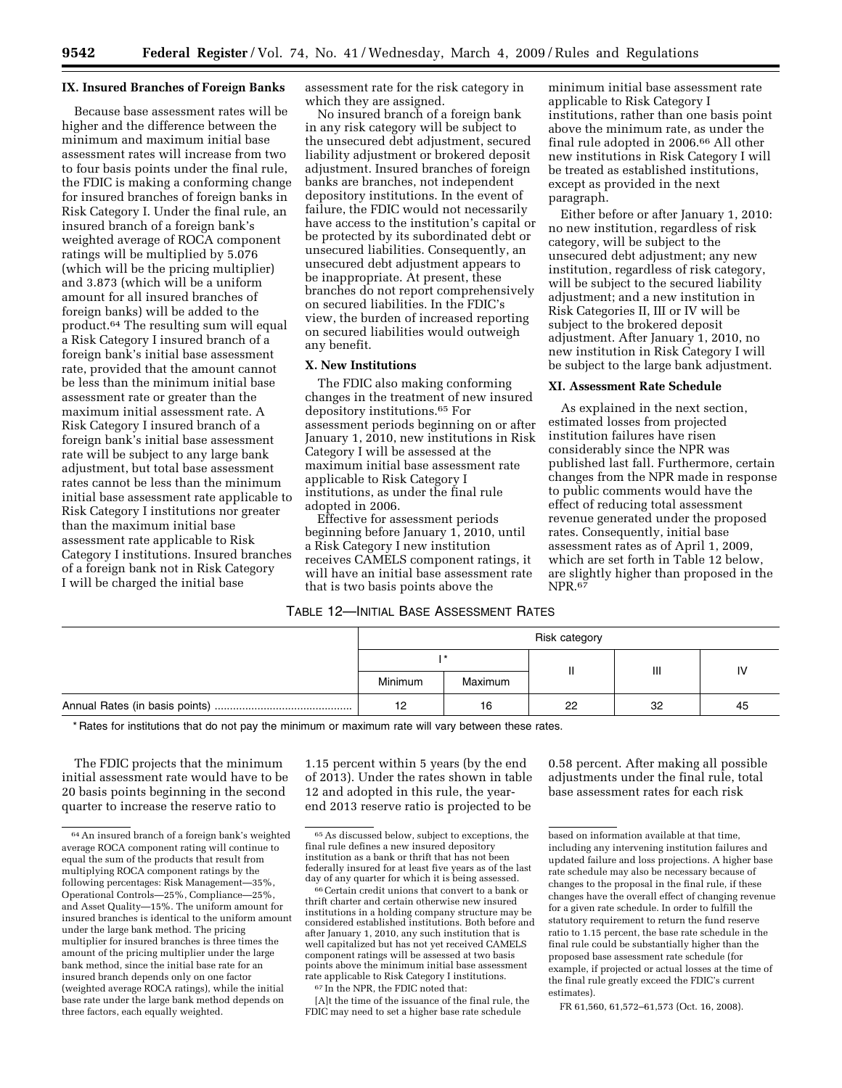### **IX. Insured Branches of Foreign Banks**

Because base assessment rates will be higher and the difference between the minimum and maximum initial base assessment rates will increase from two to four basis points under the final rule, the FDIC is making a conforming change for insured branches of foreign banks in Risk Category I. Under the final rule, an insured branch of a foreign bank's weighted average of ROCA component ratings will be multiplied by 5.076 (which will be the pricing multiplier) and 3.873 (which will be a uniform amount for all insured branches of foreign banks) will be added to the product.64 The resulting sum will equal a Risk Category I insured branch of a foreign bank's initial base assessment rate, provided that the amount cannot be less than the minimum initial base assessment rate or greater than the maximum initial assessment rate. A Risk Category I insured branch of a foreign bank's initial base assessment rate will be subject to any large bank adjustment, but total base assessment rates cannot be less than the minimum initial base assessment rate applicable to Risk Category I institutions nor greater than the maximum initial base assessment rate applicable to Risk Category I institutions. Insured branches of a foreign bank not in Risk Category I will be charged the initial base

assessment rate for the risk category in which they are assigned.

No insured branch of a foreign bank in any risk category will be subject to the unsecured debt adjustment, secured liability adjustment or brokered deposit adjustment. Insured branches of foreign banks are branches, not independent depository institutions. In the event of failure, the FDIC would not necessarily have access to the institution's capital or be protected by its subordinated debt or unsecured liabilities. Consequently, an unsecured debt adjustment appears to be inappropriate. At present, these branches do not report comprehensively on secured liabilities. In the FDIC's view, the burden of increased reporting on secured liabilities would outweigh any benefit.

### **X. New Institutions**

The FDIC also making conforming changes in the treatment of new insured depository institutions.65 For assessment periods beginning on or after January 1, 2010, new institutions in Risk Category I will be assessed at the maximum initial base assessment rate applicable to Risk Category I institutions, as under the final rule adopted in 2006.

Effective for assessment periods beginning before January 1, 2010, until a Risk Category I new institution receives CAMELS component ratings, it will have an initial base assessment rate that is two basis points above the

# TABLE 12—INITIAL BASE ASSESSMENT RATES

minimum initial base assessment rate applicable to Risk Category I institutions, rather than one basis point above the minimum rate, as under the final rule adopted in 2006.66 All other new institutions in Risk Category I will be treated as established institutions, except as provided in the next paragraph.

Either before or after January 1, 2010: no new institution, regardless of risk category, will be subject to the unsecured debt adjustment; any new institution, regardless of risk category, will be subject to the secured liability adjustment; and a new institution in Risk Categories II, III or IV will be subject to the brokered deposit adjustment. After January 1, 2010, no new institution in Risk Category I will be subject to the large bank adjustment.

### **XI. Assessment Rate Schedule**

As explained in the next section, estimated losses from projected institution failures have risen considerably since the NPR was published last fall. Furthermore, certain changes from the NPR made in response to public comments would have the effect of reducing total assessment revenue generated under the proposed rates. Consequently, initial base assessment rates as of April 1, 2009, which are set forth in Table 12 below, are slightly higher than proposed in the NPR.<sup>67</sup>

| Risk category |         |    |    |    |  |
|---------------|---------|----|----|----|--|
|               |         |    |    |    |  |
| Minimum       | Maximum |    | Ш  |    |  |
| 12            | 16      | 22 | 32 | 45 |  |

\* Rates for institutions that do not pay the minimum or maximum rate will vary between these rates.

The FDIC projects that the minimum initial assessment rate would have to be 20 basis points beginning in the second quarter to increase the reserve ratio to

1.15 percent within 5 years (by the end of 2013). Under the rates shown in table 12 and adopted in this rule, the yearend 2013 reserve ratio is projected to be

[A]t the time of the issuance of the final rule, the FDIC may need to set a higher base rate schedule

0.58 percent. After making all possible adjustments under the final rule, total base assessment rates for each risk

<sup>64</sup>An insured branch of a foreign bank's weighted average ROCA component rating will continue to equal the sum of the products that result from multiplying ROCA component ratings by the following percentages: Risk Management—35%, Operational Controls—25%, Compliance—25%, and Asset Quality—15%. The uniform amount for insured branches is identical to the uniform amount under the large bank method. The pricing multiplier for insured branches is three times the amount of the pricing multiplier under the large bank method, since the initial base rate for an insured branch depends only on one factor (weighted average ROCA ratings), while the initial base rate under the large bank method depends on three factors, each equally weighted.

<sup>65</sup>As discussed below, subject to exceptions, the final rule defines a new insured depository institution as a bank or thrift that has not been federally insured for at least five years as of the last

day of any quarter for which it is being assessed. 66Certain credit unions that convert to a bank or thrift charter and certain otherwise new insured institutions in a holding company structure may be considered established institutions. Both before and after January 1, 2010, any such institution that is well capitalized but has not yet received CAMELS component ratings will be assessed at two basis points above the minimum initial base assessment rate applicable to Risk Category I institutions. 67 In the NPR, the FDIC noted that:

based on information available at that time, including any intervening institution failures and updated failure and loss projections. A higher base rate schedule may also be necessary because of changes to the proposal in the final rule, if these changes have the overall effect of changing revenue for a given rate schedule. In order to fulfill the statutory requirement to return the fund reserve ratio to 1.15 percent, the base rate schedule in the final rule could be substantially higher than the proposed base assessment rate schedule (for example, if projected or actual losses at the time of the final rule greatly exceed the FDIC's current estimates).

FR 61,560, 61,572–61,573 (Oct. 16, 2008).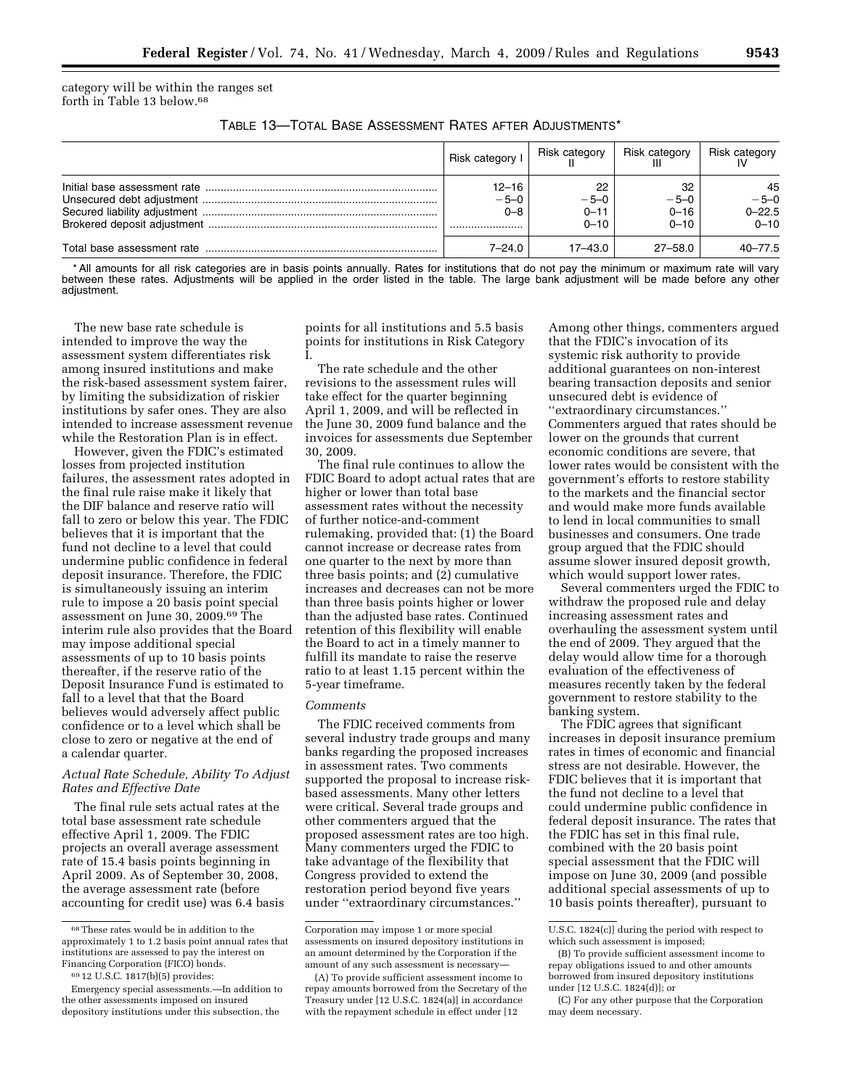category will be within the ranges set forth in Table 13 below.68

| Table 13—Total Base Assessment Rates after Adjustments* . |  |  |
|-----------------------------------------------------------|--|--|
|-----------------------------------------------------------|--|--|

| Risk category !                | Risk category                        | <b>Risk category</b>                 | Risk category                          |
|--------------------------------|--------------------------------------|--------------------------------------|----------------------------------------|
| $12 - 16$<br>$-5-0$<br>$0 - 8$ | 22<br>$-5-0$<br>$0 - 11$<br>$0 - 10$ | 32<br>$-5-0$<br>$0 - 16$<br>$0 - 10$ | 45<br>$-5-0$<br>$0 - 22.5$<br>$0 - 10$ |
| $7 - 24.0$                     | $17 - 43.0$                          | $27 - 58.0$                          | $40 - 77.5$                            |

\* All amounts for all risk categories are in basis points annually. Rates for institutions that do not pay the minimum or maximum rate will vary between these rates. Adjustments will be applied in the order listed in the table. The large bank adjustment will be made before any other adjustment.

The new base rate schedule is intended to improve the way the assessment system differentiates risk among insured institutions and make the risk-based assessment system fairer, by limiting the subsidization of riskier institutions by safer ones. They are also intended to increase assessment revenue while the Restoration Plan is in effect.

However, given the FDIC's estimated losses from projected institution failures, the assessment rates adopted in the final rule raise make it likely that the DIF balance and reserve ratio will fall to zero or below this year. The FDIC believes that it is important that the fund not decline to a level that could undermine public confidence in federal deposit insurance. Therefore, the FDIC is simultaneously issuing an interim rule to impose a 20 basis point special assessment on June 30, 2009.69 The interim rule also provides that the Board may impose additional special assessments of up to 10 basis points thereafter, if the reserve ratio of the Deposit Insurance Fund is estimated to fall to a level that that the Board believes would adversely affect public confidence or to a level which shall be close to zero or negative at the end of a calendar quarter.

## *Actual Rate Schedule, Ability To Adjust Rates and Effective Date*

The final rule sets actual rates at the total base assessment rate schedule effective April 1, 2009. The FDIC projects an overall average assessment rate of 15.4 basis points beginning in April 2009. As of September 30, 2008, the average assessment rate (before accounting for credit use) was 6.4 basis points for all institutions and 5.5 basis points for institutions in Risk Category I.

The rate schedule and the other revisions to the assessment rules will take effect for the quarter beginning April 1, 2009, and will be reflected in the June 30, 2009 fund balance and the invoices for assessments due September 30, 2009.

The final rule continues to allow the FDIC Board to adopt actual rates that are higher or lower than total base assessment rates without the necessity of further notice-and-comment rulemaking, provided that: (1) the Board cannot increase or decrease rates from one quarter to the next by more than three basis points; and (2) cumulative increases and decreases can not be more than three basis points higher or lower than the adjusted base rates. Continued retention of this flexibility will enable the Board to act in a timely manner to fulfill its mandate to raise the reserve ratio to at least 1.15 percent within the 5-year timeframe.

#### *Comments*

The FDIC received comments from several industry trade groups and many banks regarding the proposed increases in assessment rates. Two comments supported the proposal to increase riskbased assessments. Many other letters were critical. Several trade groups and other commenters argued that the proposed assessment rates are too high. Many commenters urged the FDIC to take advantage of the flexibility that Congress provided to extend the restoration period beyond five years under ''extraordinary circumstances.''

Among other things, commenters argued that the FDIC's invocation of its systemic risk authority to provide additional guarantees on non-interest bearing transaction deposits and senior unsecured debt is evidence of ''extraordinary circumstances.'' Commenters argued that rates should be lower on the grounds that current economic conditions are severe, that lower rates would be consistent with the government's efforts to restore stability to the markets and the financial sector and would make more funds available to lend in local communities to small businesses and consumers. One trade group argued that the FDIC should assume slower insured deposit growth, which would support lower rates.

Several commenters urged the FDIC to withdraw the proposed rule and delay increasing assessment rates and overhauling the assessment system until the end of 2009. They argued that the delay would allow time for a thorough evaluation of the effectiveness of measures recently taken by the federal government to restore stability to the banking system.

The FDIC agrees that significant increases in deposit insurance premium rates in times of economic and financial stress are not desirable. However, the FDIC believes that it is important that the fund not decline to a level that could undermine public confidence in federal deposit insurance. The rates that the FDIC has set in this final rule, combined with the 20 basis point special assessment that the FDIC will impose on June 30, 2009 (and possible additional special assessments of up to 10 basis points thereafter), pursuant to

 $^{68}\mathrm{These}$  rates would be in addition to the approximately 1 to 1.2 basis point annual rates that institutions are assessed to pay the interest on Financing Corporation (FICO) bonds.

<sup>69</sup> 12 U.S.C. 1817(b)(5) provides:

Emergency special assessments.—In addition to the other assessments imposed on insured depository institutions under this subsection, the

Corporation may impose 1 or more special assessments on insured depository institutions in an amount determined by the Corporation if the amount of any such assessment is necessary—

<sup>(</sup>A) To provide sufficient assessment income to repay amounts borrowed from the Secretary of the Treasury under [12 U.S.C. 1824(a)] in accordance with the repayment schedule in effect under [12

U.S.C. 1824(c)] during the period with respect to which such assessment is imposed;

<sup>(</sup>B) To provide sufficient assessment income to repay obligations issued to and other amounts borrowed from insured depository institutions under [12 U.S.C. 1824(d)]; or

<sup>(</sup>C) For any other purpose that the Corporation may deem necessary.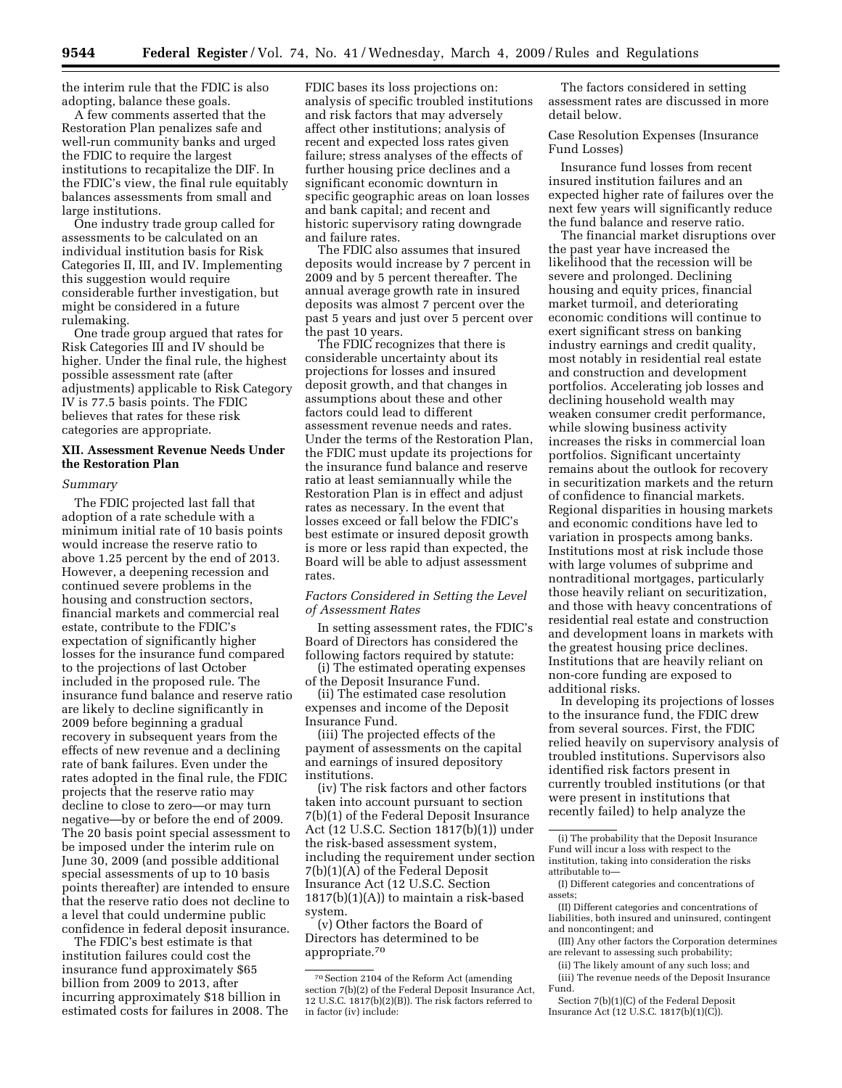the interim rule that the FDIC is also adopting, balance these goals.

A few comments asserted that the Restoration Plan penalizes safe and well-run community banks and urged the FDIC to require the largest institutions to recapitalize the DIF. In the FDIC's view, the final rule equitably balances assessments from small and large institutions.

One industry trade group called for assessments to be calculated on an individual institution basis for Risk Categories II, III, and IV. Implementing this suggestion would require considerable further investigation, but might be considered in a future rulemaking.

One trade group argued that rates for Risk Categories III and IV should be higher. Under the final rule, the highest possible assessment rate (after adjustments) applicable to Risk Category IV is 77.5 basis points. The FDIC believes that rates for these risk categories are appropriate.

## **XII. Assessment Revenue Needs Under the Restoration Plan**

#### *Summary*

The FDIC projected last fall that adoption of a rate schedule with a minimum initial rate of 10 basis points would increase the reserve ratio to above 1.25 percent by the end of 2013. However, a deepening recession and continued severe problems in the housing and construction sectors, financial markets and commercial real estate, contribute to the FDIC's expectation of significantly higher losses for the insurance fund compared to the projections of last October included in the proposed rule. The insurance fund balance and reserve ratio are likely to decline significantly in 2009 before beginning a gradual recovery in subsequent years from the effects of new revenue and a declining rate of bank failures. Even under the rates adopted in the final rule, the FDIC projects that the reserve ratio may decline to close to zero—or may turn negative—by or before the end of 2009. The 20 basis point special assessment to be imposed under the interim rule on June 30, 2009 (and possible additional special assessments of up to 10 basis points thereafter) are intended to ensure that the reserve ratio does not decline to a level that could undermine public confidence in federal deposit insurance.

The FDIC's best estimate is that institution failures could cost the insurance fund approximately \$65 billion from 2009 to 2013, after incurring approximately \$18 billion in estimated costs for failures in 2008. The

FDIC bases its loss projections on: analysis of specific troubled institutions and risk factors that may adversely affect other institutions; analysis of recent and expected loss rates given failure; stress analyses of the effects of further housing price declines and a significant economic downturn in specific geographic areas on loan losses and bank capital; and recent and historic supervisory rating downgrade and failure rates.

The FDIC also assumes that insured deposits would increase by 7 percent in 2009 and by 5 percent thereafter. The annual average growth rate in insured deposits was almost 7 percent over the past 5 years and just over 5 percent over the past 10 years.

The FDIC recognizes that there is considerable uncertainty about its projections for losses and insured deposit growth, and that changes in assumptions about these and other factors could lead to different assessment revenue needs and rates. Under the terms of the Restoration Plan, the FDIC must update its projections for the insurance fund balance and reserve ratio at least semiannually while the Restoration Plan is in effect and adjust rates as necessary. In the event that losses exceed or fall below the FDIC's best estimate or insured deposit growth is more or less rapid than expected, the Board will be able to adjust assessment rates.

## *Factors Considered in Setting the Level of Assessment Rates*

In setting assessment rates, the FDIC's Board of Directors has considered the following factors required by statute:

(i) The estimated operating expenses of the Deposit Insurance Fund.

(ii) The estimated case resolution expenses and income of the Deposit Insurance Fund.

(iii) The projected effects of the payment of assessments on the capital and earnings of insured depository institutions.

(iv) The risk factors and other factors taken into account pursuant to section 7(b)(1) of the Federal Deposit Insurance Act (12 U.S.C. Section 1817(b)(1)) under the risk-based assessment system, including the requirement under section 7(b)(1)(A) of the Federal Deposit Insurance Act (12 U.S.C. Section  $1817(b)(1)(A)$  to maintain a risk-based system.

(v) Other factors the Board of Directors has determined to be appropriate.70

The factors considered in setting assessment rates are discussed in more detail below.

Case Resolution Expenses (Insurance Fund Losses)

Insurance fund losses from recent insured institution failures and an expected higher rate of failures over the next few years will significantly reduce the fund balance and reserve ratio.

The financial market disruptions over the past year have increased the likelihood that the recession will be severe and prolonged. Declining housing and equity prices, financial market turmoil, and deteriorating economic conditions will continue to exert significant stress on banking industry earnings and credit quality, most notably in residential real estate and construction and development portfolios. Accelerating job losses and declining household wealth may weaken consumer credit performance, while slowing business activity increases the risks in commercial loan portfolios. Significant uncertainty remains about the outlook for recovery in securitization markets and the return of confidence to financial markets. Regional disparities in housing markets and economic conditions have led to variation in prospects among banks. Institutions most at risk include those with large volumes of subprime and nontraditional mortgages, particularly those heavily reliant on securitization, and those with heavy concentrations of residential real estate and construction and development loans in markets with the greatest housing price declines. Institutions that are heavily reliant on non-core funding are exposed to additional risks.

In developing its projections of losses to the insurance fund, the FDIC drew from several sources. First, the FDIC relied heavily on supervisory analysis of troubled institutions. Supervisors also identified risk factors present in currently troubled institutions (or that were present in institutions that recently failed) to help analyze the

<sup>70</sup>Section 2104 of the Reform Act (amending section 7(b)(2) of the Federal Deposit Insurance Act, 12 U.S.C. 1817(b)(2)(B)). The risk factors referred to in factor (iv) include:

<sup>(</sup>i) The probability that the Deposit Insurance Fund will incur a loss with respect to the institution, taking into consideration the risks attributable to—

<sup>(</sup>I) Different categories and concentrations of assets;

<sup>(</sup>II) Different categories and concentrations of liabilities, both insured and uninsured, contingent and noncontingent; and

<sup>(</sup>III) Any other factors the Corporation determines are relevant to assessing such probability;

<sup>(</sup>ii) The likely amount of any such loss; and (iii) The revenue needs of the Deposit Insurance

Fund.

Section 7(b)(1)(C) of the Federal Deposit Insurance Act (12 U.S.C. 1817(b)(1)(C)).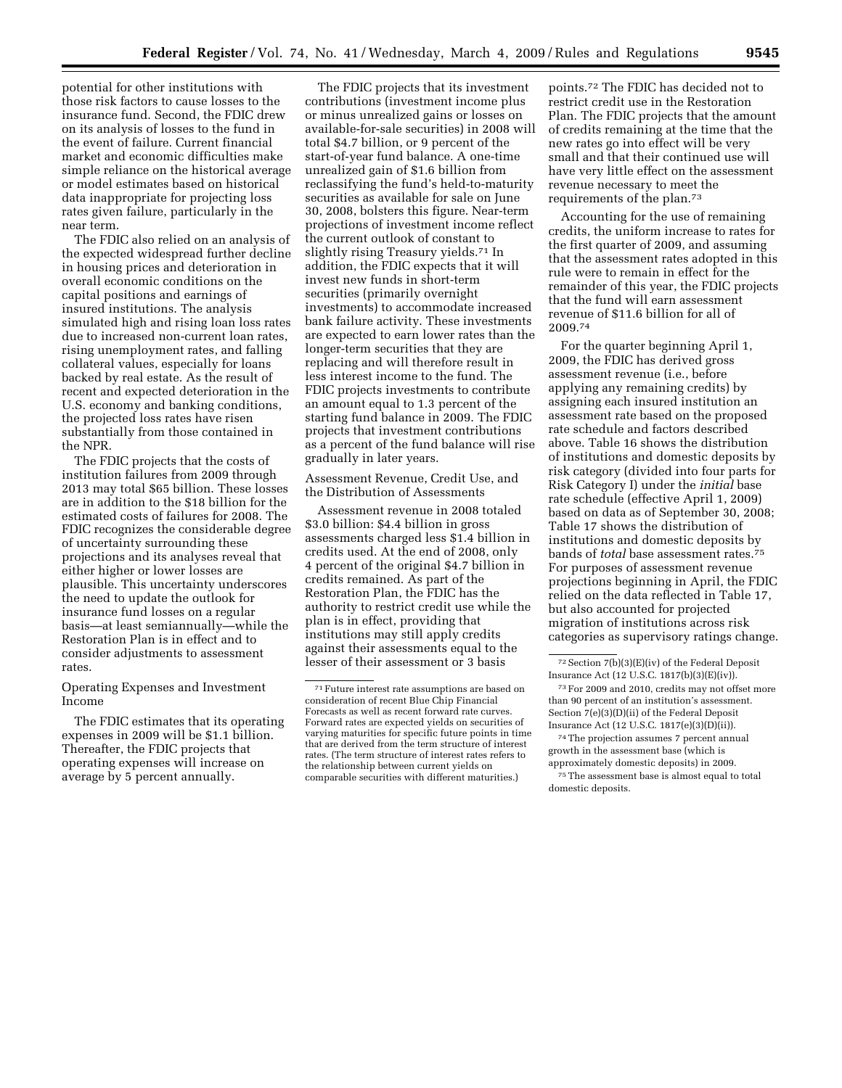potential for other institutions with those risk factors to cause losses to the insurance fund. Second, the FDIC drew on its analysis of losses to the fund in the event of failure. Current financial market and economic difficulties make simple reliance on the historical average or model estimates based on historical data inappropriate for projecting loss rates given failure, particularly in the near term.

The FDIC also relied on an analysis of the expected widespread further decline in housing prices and deterioration in overall economic conditions on the capital positions and earnings of insured institutions. The analysis simulated high and rising loan loss rates due to increased non-current loan rates, rising unemployment rates, and falling collateral values, especially for loans backed by real estate. As the result of recent and expected deterioration in the U.S. economy and banking conditions, the projected loss rates have risen substantially from those contained in the NPR.

The FDIC projects that the costs of institution failures from 2009 through 2013 may total \$65 billion. These losses are in addition to the \$18 billion for the estimated costs of failures for 2008. The FDIC recognizes the considerable degree of uncertainty surrounding these projections and its analyses reveal that either higher or lower losses are plausible. This uncertainty underscores the need to update the outlook for insurance fund losses on a regular basis—at least semiannually—while the Restoration Plan is in effect and to consider adjustments to assessment rates.

Operating Expenses and Investment Income

The FDIC estimates that its operating expenses in 2009 will be \$1.1 billion. Thereafter, the FDIC projects that operating expenses will increase on average by 5 percent annually.

The FDIC projects that its investment contributions (investment income plus or minus unrealized gains or losses on available-for-sale securities) in 2008 will total \$4.7 billion, or 9 percent of the start-of-year fund balance. A one-time unrealized gain of \$1.6 billion from reclassifying the fund's held-to-maturity securities as available for sale on June 30, 2008, bolsters this figure. Near-term projections of investment income reflect the current outlook of constant to slightly rising Treasury yields.71 In addition, the FDIC expects that it will invest new funds in short-term securities (primarily overnight investments) to accommodate increased bank failure activity. These investments are expected to earn lower rates than the longer-term securities that they are replacing and will therefore result in less interest income to the fund. The FDIC projects investments to contribute an amount equal to 1.3 percent of the starting fund balance in 2009. The FDIC projects that investment contributions as a percent of the fund balance will rise gradually in later years.

Assessment Revenue, Credit Use, and the Distribution of Assessments

Assessment revenue in 2008 totaled \$3.0 billion: \$4.4 billion in gross assessments charged less \$1.4 billion in credits used. At the end of 2008, only 4 percent of the original \$4.7 billion in credits remained. As part of the Restoration Plan, the FDIC has the authority to restrict credit use while the plan is in effect, providing that institutions may still apply credits against their assessments equal to the lesser of their assessment or 3 basis

points.72 The FDIC has decided not to restrict credit use in the Restoration Plan. The FDIC projects that the amount of credits remaining at the time that the new rates go into effect will be very small and that their continued use will have very little effect on the assessment revenue necessary to meet the requirements of the plan.73

Accounting for the use of remaining credits, the uniform increase to rates for the first quarter of 2009, and assuming that the assessment rates adopted in this rule were to remain in effect for the remainder of this year, the FDIC projects that the fund will earn assessment revenue of \$11.6 billion for all of 2009.74

For the quarter beginning April 1, 2009, the FDIC has derived gross assessment revenue (i.e., before applying any remaining credits) by assigning each insured institution an assessment rate based on the proposed rate schedule and factors described above. Table 16 shows the distribution of institutions and domestic deposits by risk category (divided into four parts for Risk Category I) under the *initial* base rate schedule (effective April 1, 2009) based on data as of September 30, 2008; Table 17 shows the distribution of institutions and domestic deposits by bands of *total* base assessment rates.75 For purposes of assessment revenue projections beginning in April, the FDIC relied on the data reflected in Table 17, but also accounted for projected migration of institutions across risk categories as supervisory ratings change.

<sup>71</sup>Future interest rate assumptions are based on consideration of recent Blue Chip Financial Forecasts as well as recent forward rate curves. Forward rates are expected yields on securities of varying maturities for specific future points in time that are derived from the term structure of interest rates. (The term structure of interest rates refers to the relationship between current yields on comparable securities with different maturities.)

<sup>72</sup>Section 7(b)(3)(E)(iv) of the Federal Deposit Insurance Act (12 U.S.C. 1817(b)(3)(E)(iv)).

<sup>73</sup>For 2009 and 2010, credits may not offset more than 90 percent of an institution's assessment. Section 7(e)(3)(D)(ii) of the Federal Deposit Insurance Act (12 U.S.C. 1817(e)(3)(D)(ii)).

<sup>74</sup>The projection assumes 7 percent annual growth in the assessment base (which is approximately domestic deposits) in 2009.

<sup>75</sup>The assessment base is almost equal to total domestic deposits.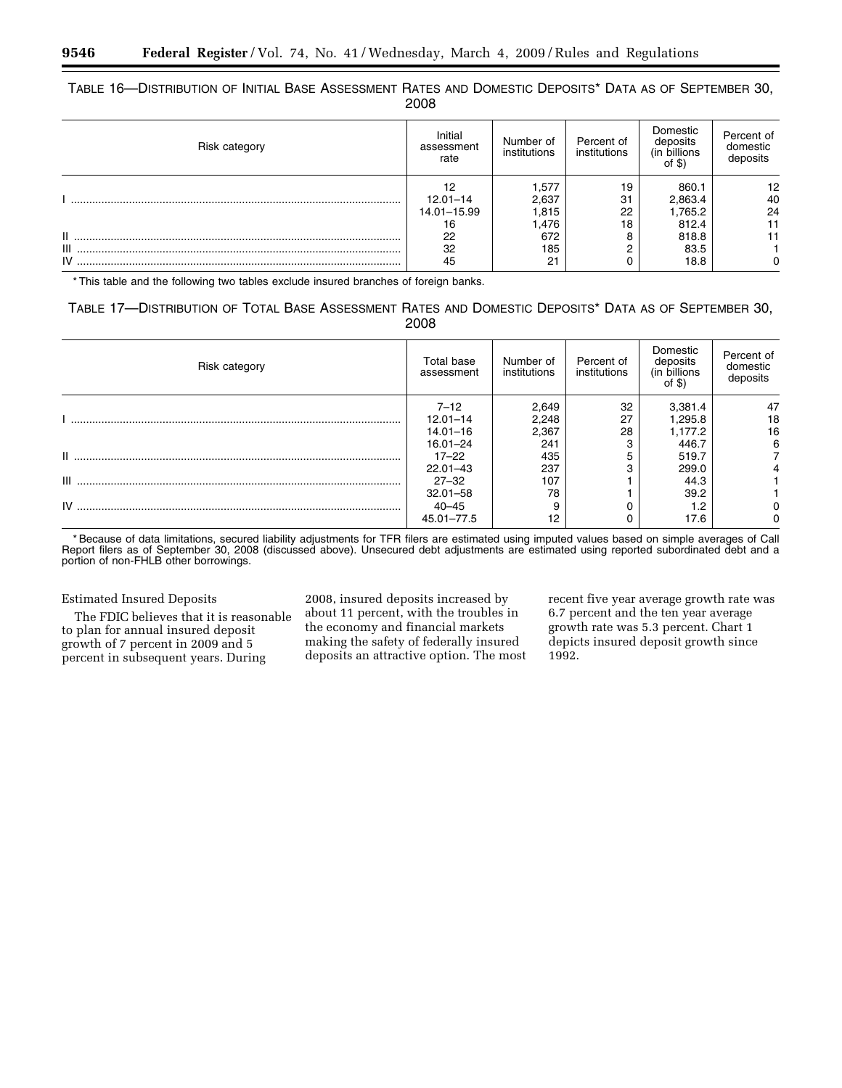# TABLE 16—DISTRIBUTION OF INITIAL BASE ASSESSMENT RATES AND DOMESTIC DEPOSITS\* DATA AS OF SEPTEMBER 30, 2008

| Risk category | Initial<br>assessment<br>rate           | Number of<br>institutions         | Percent of<br>institutions       | Domestic<br>deposits<br>(in billions)<br>of $$)$ | Percent of<br>domestic<br>deposits |
|---------------|-----------------------------------------|-----------------------------------|----------------------------------|--------------------------------------------------|------------------------------------|
|               | 12<br>$12.01 - 14$<br>14.01-15.99<br>16 | 1,577<br>2.637<br>1,815<br>476. ا | 19<br>3 <sup>1</sup><br>22<br>18 | 860.1<br>2,863.4<br>1,765.2<br>812.4             | 12<br>40<br>24                     |
| П.<br>Ш       | 22<br>32                                | 672<br>185                        |                                  | 818.8<br>83.5                                    |                                    |
| IV            | 45                                      | 21                                |                                  | 18.8                                             |                                    |

\* This table and the following two tables exclude insured branches of foreign banks.

# TABLE 17—DISTRIBUTION OF TOTAL BASE ASSESSMENT RATES AND DOMESTIC DEPOSITS\* DATA AS OF SEPTEMBER 30, 2008

| Risk category | Total base<br>assessment | Number of<br>institutions | Percent of<br>institutions | Domestic<br>deposits<br>(in billions<br>of $$)$ | Percent of<br>domestic<br>deposits |
|---------------|--------------------------|---------------------------|----------------------------|-------------------------------------------------|------------------------------------|
|               | $7 - 12$                 | 2,649                     | 32                         | 3,381.4                                         | 47                                 |
|               | $12.01 - 14$             | 2,248                     | 27                         | 1,295.8                                         | 18                                 |
|               | $14.01 - 16$             | 2,367                     | 28                         | 1,177.2                                         | 16                                 |
|               | $16.01 - 24$             | 241                       | C                          | 446.7                                           | 6                                  |
|               | $17 - 22$                | 435                       |                            | 519.7                                           |                                    |
|               | $22.01 - 43$             | 237                       |                            | 299.0                                           |                                    |
| $III$         | $27 - 32$                | 107                       |                            | 44.3                                            |                                    |
|               | $32.01 - 58$             | 78                        |                            | 39.2                                            |                                    |
| $IV$          | $40 - 45$                |                           |                            |                                                 |                                    |
|               | $45.01 - 77.5$           | 12                        |                            | 17.6                                            |                                    |

\* Because of data limitations, secured liability adjustments for TFR filers are estimated using imputed values based on simple averages of Call Report filers as of September 30, 2008 (discussed above). Unsecured debt adjustments are estimated using reported subordinated debt and a portion of non-FHLB other borrowings.

### Estimated Insured Deposits

The FDIC believes that it is reasonable to plan for annual insured deposit growth of 7 percent in 2009 and 5 percent in subsequent years. During

2008, insured deposits increased by about 11 percent, with the troubles in the economy and financial markets making the safety of federally insured deposits an attractive option. The most

recent five year average growth rate was 6.7 percent and the ten year average growth rate was 5.3 percent. Chart 1 depicts insured deposit growth since 1992.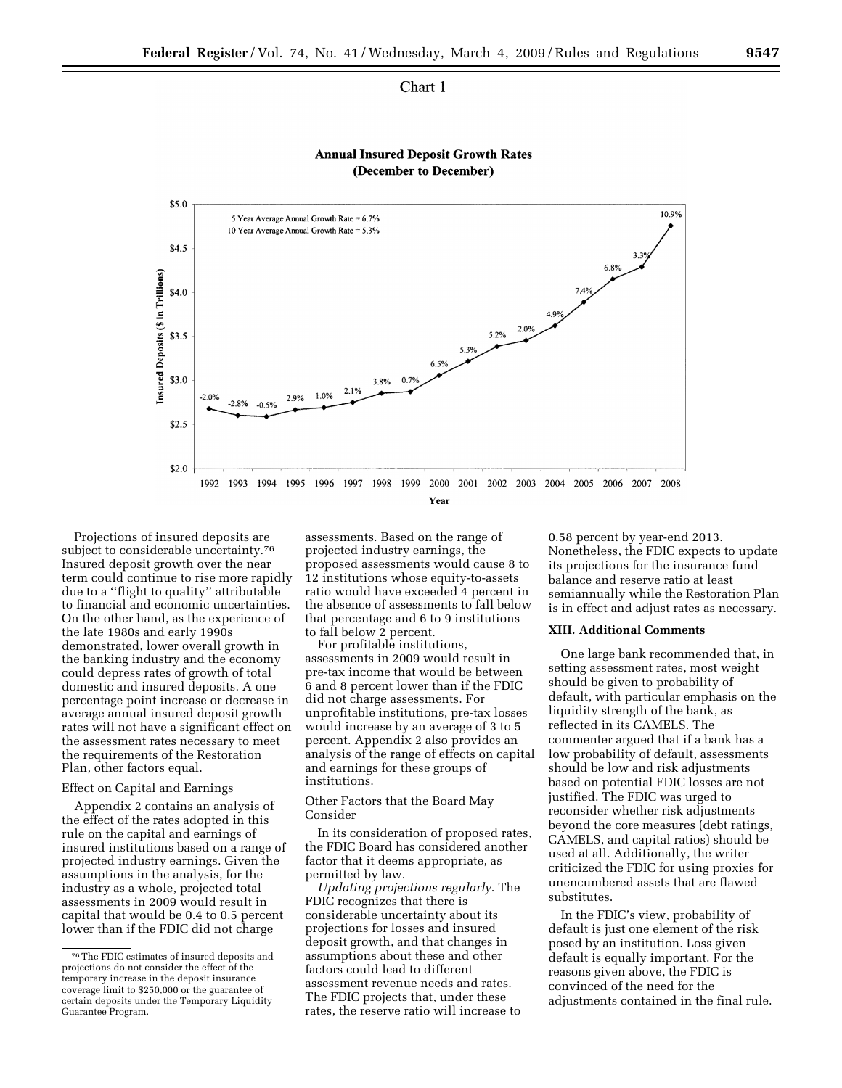## Chart 1



**Annual Insured Deposit Growth Rates** (December to December)

Projections of insured deposits are subject to considerable uncertainty.<sup>76</sup> Insured deposit growth over the near term could continue to rise more rapidly due to a ''flight to quality'' attributable to financial and economic uncertainties. On the other hand, as the experience of the late 1980s and early 1990s demonstrated, lower overall growth in the banking industry and the economy could depress rates of growth of total domestic and insured deposits. A one percentage point increase or decrease in average annual insured deposit growth rates will not have a significant effect on the assessment rates necessary to meet the requirements of the Restoration Plan, other factors equal.

#### Effect on Capital and Earnings

Appendix 2 contains an analysis of the effect of the rates adopted in this rule on the capital and earnings of insured institutions based on a range of projected industry earnings. Given the assumptions in the analysis, for the industry as a whole, projected total assessments in 2009 would result in capital that would be 0.4 to 0.5 percent lower than if the FDIC did not charge

assessments. Based on the range of projected industry earnings, the proposed assessments would cause 8 to 12 institutions whose equity-to-assets ratio would have exceeded 4 percent in the absence of assessments to fall below that percentage and 6 to 9 institutions to fall below 2 percent.

For profitable institutions, assessments in 2009 would result in pre-tax income that would be between 6 and 8 percent lower than if the FDIC did not charge assessments. For unprofitable institutions, pre-tax losses would increase by an average of 3 to 5 percent. Appendix 2 also provides an analysis of the range of effects on capital and earnings for these groups of institutions.

### Other Factors that the Board May Consider

In its consideration of proposed rates, the FDIC Board has considered another factor that it deems appropriate, as permitted by law.

*Updating projections regularly*. The FDIC recognizes that there is considerable uncertainty about its projections for losses and insured deposit growth, and that changes in assumptions about these and other factors could lead to different assessment revenue needs and rates. The FDIC projects that, under these rates, the reserve ratio will increase to

0.58 percent by year-end 2013. Nonetheless, the FDIC expects to update its projections for the insurance fund balance and reserve ratio at least semiannually while the Restoration Plan is in effect and adjust rates as necessary.

### **XIII. Additional Comments**

One large bank recommended that, in setting assessment rates, most weight should be given to probability of default, with particular emphasis on the liquidity strength of the bank, as reflected in its CAMELS. The commenter argued that if a bank has a low probability of default, assessments should be low and risk adjustments based on potential FDIC losses are not justified. The FDIC was urged to reconsider whether risk adjustments beyond the core measures (debt ratings, CAMELS, and capital ratios) should be used at all. Additionally, the writer criticized the FDIC for using proxies for unencumbered assets that are flawed substitutes.

In the FDIC's view, probability of default is just one element of the risk posed by an institution. Loss given default is equally important. For the reasons given above, the FDIC is convinced of the need for the adjustments contained in the final rule.

<sup>76</sup>The FDIC estimates of insured deposits and projections do not consider the effect of the temporary increase in the deposit insurance coverage limit to \$250,000 or the guarantee of certain deposits under the Temporary Liquidity Guarantee Program.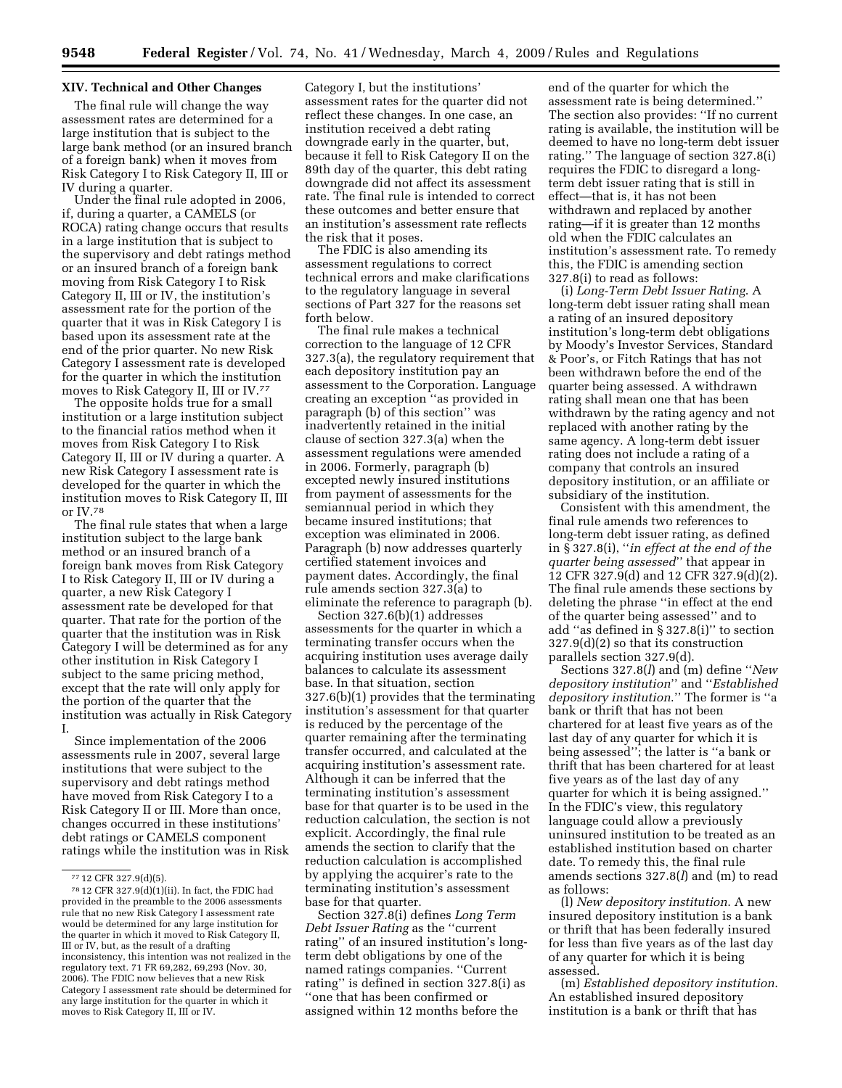### **XIV. Technical and Other Changes**

The final rule will change the way assessment rates are determined for a large institution that is subject to the large bank method (or an insured branch of a foreign bank) when it moves from Risk Category I to Risk Category II, III or IV during a quarter.

Under the final rule adopted in 2006, if, during a quarter, a CAMELS (or ROCA) rating change occurs that results in a large institution that is subject to the supervisory and debt ratings method or an insured branch of a foreign bank moving from Risk Category I to Risk Category II, III or IV, the institution's assessment rate for the portion of the quarter that it was in Risk Category I is based upon its assessment rate at the end of the prior quarter. No new Risk Category I assessment rate is developed for the quarter in which the institution moves to Risk Category II, III or IV.77

The opposite holds true for a small institution or a large institution subject to the financial ratios method when it moves from Risk Category I to Risk Category II, III or IV during a quarter. A new Risk Category I assessment rate is developed for the quarter in which the institution moves to Risk Category II, III or IV.78

The final rule states that when a large institution subject to the large bank method or an insured branch of a foreign bank moves from Risk Category I to Risk Category II, III or IV during a quarter, a new Risk Category I assessment rate be developed for that quarter. That rate for the portion of the quarter that the institution was in Risk Category I will be determined as for any other institution in Risk Category I subject to the same pricing method, except that the rate will only apply for the portion of the quarter that the institution was actually in Risk Category I.

Since implementation of the 2006 assessments rule in 2007, several large institutions that were subject to the supervisory and debt ratings method have moved from Risk Category I to a Risk Category II or III. More than once, changes occurred in these institutions' debt ratings or CAMELS component ratings while the institution was in Risk Category I, but the institutions' assessment rates for the quarter did not reflect these changes. In one case, an institution received a debt rating downgrade early in the quarter, but, because it fell to Risk Category II on the 89th day of the quarter, this debt rating downgrade did not affect its assessment rate. The final rule is intended to correct these outcomes and better ensure that an institution's assessment rate reflects the risk that it poses.

The FDIC is also amending its assessment regulations to correct technical errors and make clarifications to the regulatory language in several sections of Part 327 for the reasons set forth below.

The final rule makes a technical correction to the language of 12 CFR 327.3(a), the regulatory requirement that each depository institution pay an assessment to the Corporation. Language creating an exception ''as provided in paragraph (b) of this section'' was inadvertently retained in the initial clause of section 327.3(a) when the assessment regulations were amended in 2006. Formerly, paragraph (b) excepted newly insured institutions from payment of assessments for the semiannual period in which they became insured institutions; that exception was eliminated in 2006. Paragraph (b) now addresses quarterly certified statement invoices and payment dates. Accordingly, the final rule amends section 327.3(a) to eliminate the reference to paragraph (b).

Section 327.6(b)(1) addresses assessments for the quarter in which a terminating transfer occurs when the acquiring institution uses average daily balances to calculate its assessment base. In that situation, section 327.6(b)(1) provides that the terminating institution's assessment for that quarter is reduced by the percentage of the quarter remaining after the terminating transfer occurred, and calculated at the acquiring institution's assessment rate. Although it can be inferred that the terminating institution's assessment base for that quarter is to be used in the reduction calculation, the section is not explicit. Accordingly, the final rule amends the section to clarify that the reduction calculation is accomplished by applying the acquirer's rate to the terminating institution's assessment base for that quarter.

Section 327.8(i) defines *Long Term Debt Issuer Rating* as the ''current rating'' of an insured institution's longterm debt obligations by one of the named ratings companies. ''Current rating'' is defined in section 327.8(i) as ''one that has been confirmed or assigned within 12 months before the

end of the quarter for which the assessment rate is being determined.'' The section also provides: ''If no current rating is available, the institution will be deemed to have no long-term debt issuer rating.'' The language of section 327.8(i) requires the FDIC to disregard a longterm debt issuer rating that is still in effect—that is, it has not been withdrawn and replaced by another rating—if it is greater than 12 months old when the FDIC calculates an institution's assessment rate. To remedy this, the FDIC is amending section 327.8(i) to read as follows:

(i) *Long-Term Debt Issuer Rating*. A long-term debt issuer rating shall mean a rating of an insured depository institution's long-term debt obligations by Moody's Investor Services, Standard & Poor's, or Fitch Ratings that has not been withdrawn before the end of the quarter being assessed. A withdrawn rating shall mean one that has been withdrawn by the rating agency and not replaced with another rating by the same agency. A long-term debt issuer rating does not include a rating of a company that controls an insured depository institution, or an affiliate or subsidiary of the institution.

Consistent with this amendment, the final rule amends two references to long-term debt issuer rating, as defined in § 327.8(i), ''*in effect at the end of the quarter being assessed*'' that appear in 12 CFR 327.9(d) and 12 CFR 327.9(d)(2). The final rule amends these sections by deleting the phrase ''in effect at the end of the quarter being assessed'' and to add ''as defined in § 327.8(i)'' to section 327.9(d)(2) so that its construction parallels section 327.9(d).

Sections 327.8(*l*) and (m) define ''*New depository institution*'' and ''*Established depository institution*.'' The former is ''a bank or thrift that has not been chartered for at least five years as of the last day of any quarter for which it is being assessed''; the latter is ''a bank or thrift that has been chartered for at least five years as of the last day of any quarter for which it is being assigned.'' In the FDIC's view, this regulatory language could allow a previously uninsured institution to be treated as an established institution based on charter date. To remedy this, the final rule amends sections 327.8(*l*) and (m) to read as follows:

(l) *New depository institution*. A new insured depository institution is a bank or thrift that has been federally insured for less than five years as of the last day of any quarter for which it is being assessed.

(m) *Established depository institution*. An established insured depository institution is a bank or thrift that has

<sup>77</sup> 12 CFR 327.9(d)(5).

 $^{78}\,12$  CFR 327.9(d)(1)(ii). In fact, the FDIC had provided in the preamble to the 2006 assessments rule that no new Risk Category I assessment rate would be determined for any large institution for the quarter in which it moved to Risk Category II, III or IV, but, as the result of a drafting inconsistency, this intention was not realized in the regulatory text. 71 FR 69,282, 69,293 (Nov. 30, 2006). The FDIC now believes that a new Risk Category I assessment rate should be determined for any large institution for the quarter in which it moves to Risk Category II, III or IV.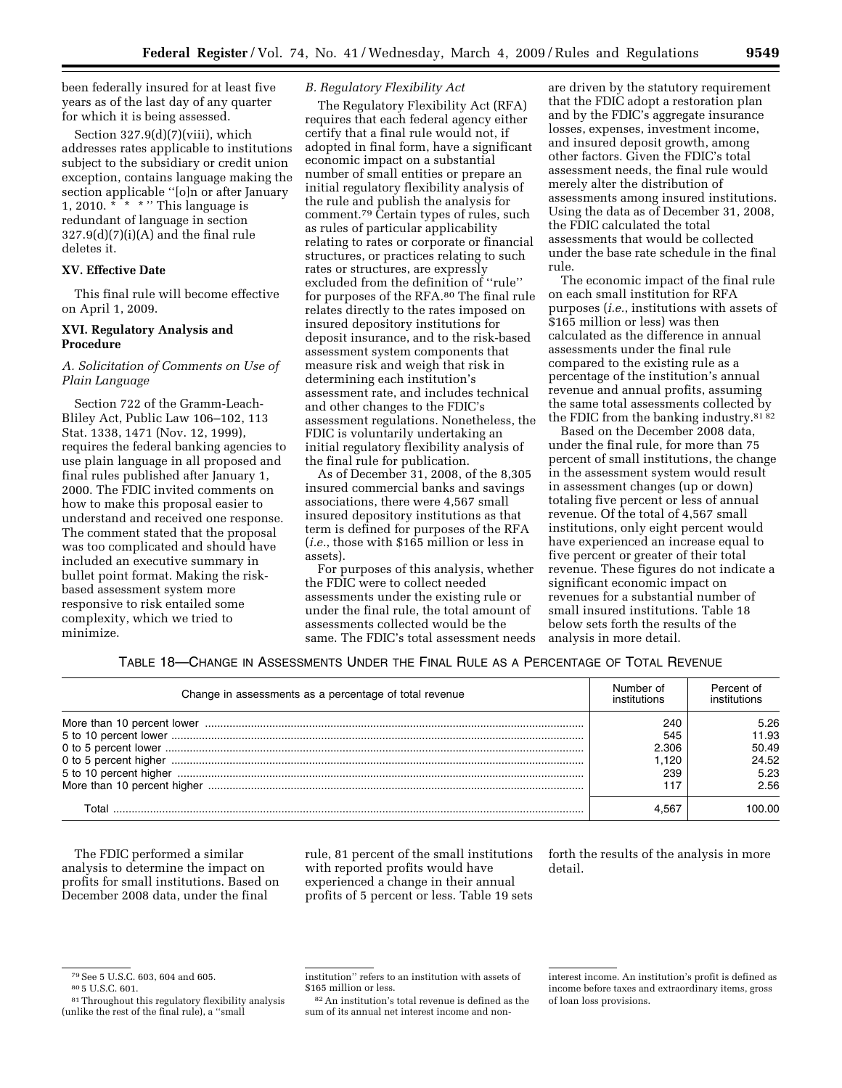been federally insured for at least five years as of the last day of any quarter for which it is being assessed.

Section 327.9(d)(7)(viii), which addresses rates applicable to institutions subject to the subsidiary or credit union exception, contains language making the section applicable ''[o]n or after January 1, 2010.  $* * * " This language is$ redundant of language in section  $327.9(d)(7)(i)(A)$  and the final rule deletes it.

## **XV. Effective Date**

This final rule will become effective on April 1, 2009.

## **XVI. Regulatory Analysis and Procedure**

## *A. Solicitation of Comments on Use of Plain Language*

Section 722 of the Gramm-Leach-Bliley Act, Public Law 106–102, 113 Stat. 1338, 1471 (Nov. 12, 1999), requires the federal banking agencies to use plain language in all proposed and final rules published after January 1, 2000. The FDIC invited comments on how to make this proposal easier to understand and received one response. The comment stated that the proposal was too complicated and should have included an executive summary in bullet point format. Making the riskbased assessment system more responsive to risk entailed some complexity, which we tried to minimize.

## *B. Regulatory Flexibility Act*

The Regulatory Flexibility Act (RFA) requires that each federal agency either certify that a final rule would not, if adopted in final form, have a significant economic impact on a substantial number of small entities or prepare an initial regulatory flexibility analysis of the rule and publish the analysis for comment.79 Certain types of rules, such as rules of particular applicability relating to rates or corporate or financial structures, or practices relating to such rates or structures, are expressly excluded from the definition of ''rule'' for purposes of the RFA.80 The final rule relates directly to the rates imposed on insured depository institutions for deposit insurance, and to the risk-based assessment system components that measure risk and weigh that risk in determining each institution's assessment rate, and includes technical and other changes to the FDIC's assessment regulations. Nonetheless, the FDIC is voluntarily undertaking an initial regulatory flexibility analysis of the final rule for publication.

As of December 31, 2008, of the 8,305 insured commercial banks and savings associations, there were 4,567 small insured depository institutions as that term is defined for purposes of the RFA (*i.e.*, those with \$165 million or less in assets).

For purposes of this analysis, whether the FDIC were to collect needed assessments under the existing rule or under the final rule, the total amount of assessments collected would be the same. The FDIC's total assessment needs are driven by the statutory requirement that the FDIC adopt a restoration plan and by the FDIC's aggregate insurance losses, expenses, investment income, and insured deposit growth, among other factors. Given the FDIC's total assessment needs, the final rule would merely alter the distribution of assessments among insured institutions. Using the data as of December 31, 2008, the FDIC calculated the total assessments that would be collected under the base rate schedule in the final rule.

The economic impact of the final rule on each small institution for RFA purposes (*i.e.*, institutions with assets of \$165 million or less) was then calculated as the difference in annual assessments under the final rule compared to the existing rule as a percentage of the institution's annual revenue and annual profits, assuming the same total assessments collected by the FDIC from the banking industry.81 82

Based on the December 2008 data, under the final rule, for more than 75 percent of small institutions, the change in the assessment system would result in assessment changes (up or down) totaling five percent or less of annual revenue. Of the total of 4,567 small institutions, only eight percent would have experienced an increase equal to five percent or greater of their total revenue. These figures do not indicate a significant economic impact on revenues for a substantial number of small insured institutions. Table 18 below sets forth the results of the analysis in more detail.

## TABLE 18—CHANGE IN ASSESSMENTS UNDER THE FINAL RULE AS A PERCENTAGE OF TOTAL REVENUE

| Change in assessments as a percentage of total revenue | Number of<br>institutions | Percent of |
|--------------------------------------------------------|---------------------------|------------|
|                                                        | 240                       | 5.26       |
|                                                        | 545                       | 11.93      |
|                                                        | 2.306                     | 50.49      |
|                                                        | 1.120                     | 24.52      |
|                                                        | 239                       | 5.23       |
|                                                        |                           | 2.56       |
|                                                        |                           | იი იი      |

The FDIC performed a similar analysis to determine the impact on profits for small institutions. Based on December 2008 data, under the final

rule, 81 percent of the small institutions with reported profits would have experienced a change in their annual profits of 5 percent or less. Table 19 sets forth the results of the analysis in more detail.

82An institution's total revenue is defined as the sum of its annual net interest income and non-

<sup>&</sup>lt;sup>79</sup> See 5 U.S.C. 603, 604 and 605.<br><sup>80</sup> 5 U.S.C. 601.<br><sup>81</sup> Throughout this regulatory flexibility analysis (unlike the rest of the final rule), a ''small

institution'' refers to an institution with assets of \$165 million or less.

interest income. An institution's profit is defined as income before taxes and extraordinary items, gross of loan loss provisions.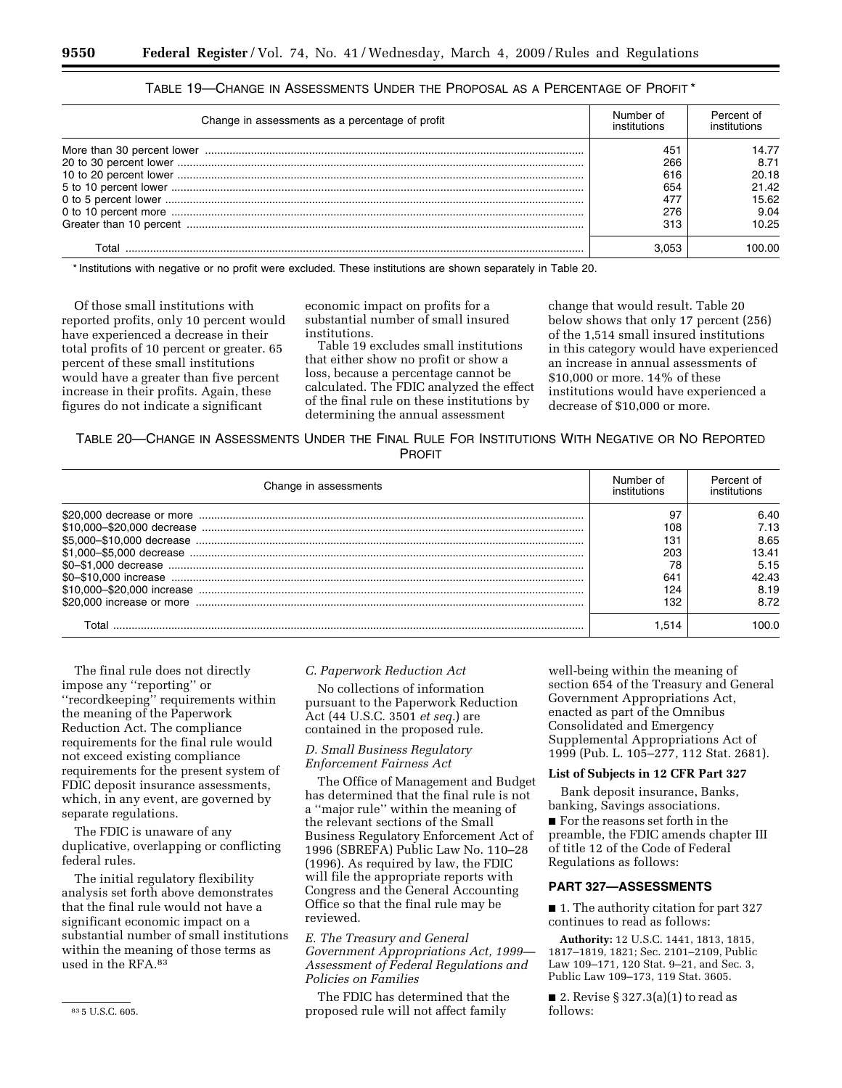| Number of<br>Change in assessments as a percentage of profit<br>institutions | Percent of<br>institutions |
|------------------------------------------------------------------------------|----------------------------|
| 451                                                                          | 14.77                      |
| 266                                                                          | 8.71                       |
| 616                                                                          | 20.18                      |
| 654                                                                          | 21.42                      |
| 477                                                                          | 15.62                      |
| 276                                                                          | 9.04                       |
| 313                                                                          | 10.25                      |
| 3.053                                                                        | 100.00.                    |
|                                                                              |                            |

| TABLE 19—CHANGE IN ASSESSMENTS UNDER THE PROPOSAL AS A PERCENTAGE OF PROFIT * |  |  |
|-------------------------------------------------------------------------------|--|--|
|-------------------------------------------------------------------------------|--|--|

\* Institutions with negative or no profit were excluded. These institutions are shown separately in Table 20.

Of those small institutions with reported profits, only 10 percent would have experienced a decrease in their total profits of 10 percent or greater. 65 percent of these small institutions would have a greater than five percent increase in their profits. Again, these figures do not indicate a significant

economic impact on profits for a substantial number of small insured institutions.

Table 19 excludes small institutions that either show no profit or show a loss, because a percentage cannot be calculated. The FDIC analyzed the effect of the final rule on these institutions by determining the annual assessment

change that would result. Table 20 below shows that only 17 percent (256) of the 1,514 small insured institutions in this category would have experienced an increase in annual assessments of \$10,000 or more. 14% of these institutions would have experienced a decrease of \$10,000 or more.

TABLE 20—CHANGE IN ASSESSMENTS UNDER THE FINAL RULE FOR INSTITUTIONS WITH NEGATIVE OR NO REPORTED **PROFIT** 

| Change in assessments | Number of<br>institutions | Percent of |
|-----------------------|---------------------------|------------|
|                       | 97                        | 6.40       |
|                       | 108                       | 7.13       |
|                       | 131                       | 8.65       |
|                       | 203                       | 13.41      |
|                       | 78                        | 5.15       |
|                       | 641                       | 42.43      |
|                       | 124                       | 8.19       |
|                       | 132                       | 8.72       |
|                       | 1.514                     |            |

The final rule does not directly impose any ''reporting'' or ''recordkeeping'' requirements within the meaning of the Paperwork Reduction Act. The compliance requirements for the final rule would not exceed existing compliance requirements for the present system of FDIC deposit insurance assessments, which, in any event, are governed by separate regulations.

The FDIC is unaware of any duplicative, overlapping or conflicting federal rules.

The initial regulatory flexibility analysis set forth above demonstrates that the final rule would not have a significant economic impact on a substantial number of small institutions within the meaning of those terms as used in the RFA.83

# *C. Paperwork Reduction Act*

No collections of information pursuant to the Paperwork Reduction Act (44 U.S.C. 3501 *et seq.*) are contained in the proposed rule.

# *D. Small Business Regulatory Enforcement Fairness Act*

The Office of Management and Budget has determined that the final rule is not a ''major rule'' within the meaning of the relevant sections of the Small Business Regulatory Enforcement Act of 1996 (SBREFA) Public Law No. 110–28 (1996). As required by law, the FDIC will file the appropriate reports with Congress and the General Accounting Office so that the final rule may be reviewed.

*E. The Treasury and General Government Appropriations Act, 1999— Assessment of Federal Regulations and Policies on Families* 

The FDIC has determined that the proposed rule will not affect family

well-being within the meaning of section 654 of the Treasury and General Government Appropriations Act, enacted as part of the Omnibus Consolidated and Emergency Supplemental Appropriations Act of 1999 (Pub. L. 105–277, 112 Stat. 2681).

### **List of Subjects in 12 CFR Part 327**

Bank deposit insurance, Banks, banking, Savings associations.

 $\blacksquare$  <br> For the reasons set forth in the preamble, the FDIC amends chapter III of title 12 of the Code of Federal Regulations as follows:

### **PART 327—ASSESSMENTS**

■ 1. The authority citation for part 327 continues to read as follows:

**Authority:** 12 U.S.C. 1441, 1813, 1815, 1817–1819, 1821; Sec. 2101–2109, Public Law 109–171, 120 Stat. 9–21, and Sec. 3, Public Law 109–173, 119 Stat. 3605.

■ 2. Revise § 327.3(a)(1) to read as follows: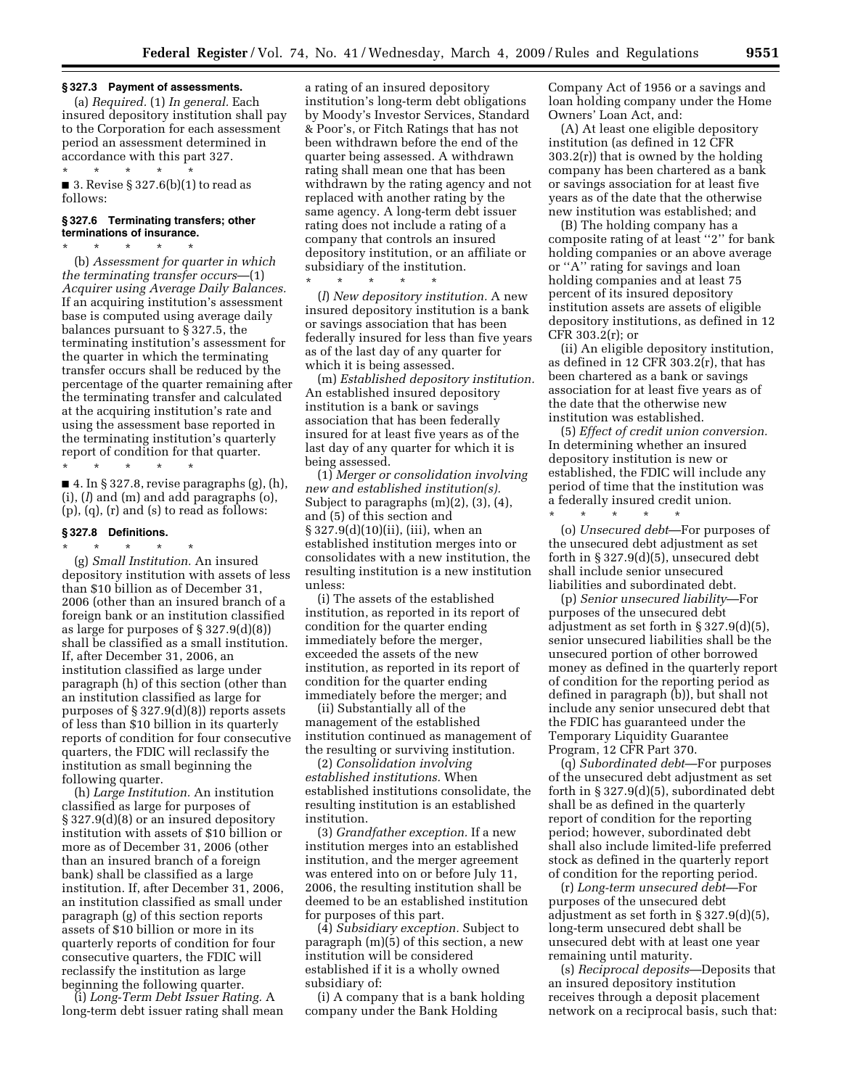#### **§ 327.3 Payment of assessments.**

(a) *Required.* (1) *In general.* Each insured depository institution shall pay to the Corporation for each assessment period an assessment determined in accordance with this part 327. \* \* \* \* \*

■ 3. Revise § 327.6(b)(1) to read as follows:

#### **§ 327.6 Terminating transfers; other terminations of insurance.**

\* \* \* \* \* (b) *Assessment for quarter in which the terminating transfer occurs*—(1) *Acquirer using Average Daily Balances.*  If an acquiring institution's assessment base is computed using average daily balances pursuant to § 327.5, the terminating institution's assessment for the quarter in which the terminating transfer occurs shall be reduced by the percentage of the quarter remaining after the terminating transfer and calculated at the acquiring institution's rate and using the assessment base reported in the terminating institution's quarterly report of condition for that quarter. \* \* \* \* \*

 $\blacksquare$  4. In § 327.8, revise paragraphs (g), (h), (i), (*l*) and (m) and add paragraphs (o), (p), (q), (r) and (s) to read as follows:

#### **§ 327.8 Definitions.**

\* \* \* \* \*

(g) *Small Institution.* An insured depository institution with assets of less than \$10 billion as of December 31, 2006 (other than an insured branch of a foreign bank or an institution classified as large for purposes of § 327.9(d)(8)) shall be classified as a small institution. If, after December 31, 2006, an institution classified as large under paragraph (h) of this section (other than an institution classified as large for purposes of  $\S 327.9(d)(8)$  reports assets of less than \$10 billion in its quarterly reports of condition for four consecutive quarters, the FDIC will reclassify the institution as small beginning the following quarter.

(h) *Large Institution.* An institution classified as large for purposes of § 327.9(d)(8) or an insured depository institution with assets of \$10 billion or more as of December 31, 2006 (other than an insured branch of a foreign bank) shall be classified as a large institution. If, after December 31, 2006, an institution classified as small under paragraph (g) of this section reports assets of \$10 billion or more in its quarterly reports of condition for four consecutive quarters, the FDIC will reclassify the institution as large beginning the following quarter.

(i) *Long-Term Debt Issuer Rating.* A long-term debt issuer rating shall mean a rating of an insured depository institution's long-term debt obligations by Moody's Investor Services, Standard & Poor's, or Fitch Ratings that has not been withdrawn before the end of the quarter being assessed. A withdrawn rating shall mean one that has been withdrawn by the rating agency and not replaced with another rating by the same agency. A long-term debt issuer rating does not include a rating of a company that controls an insured depository institution, or an affiliate or subsidiary of the institution. \* \* \* \* \*

(*l*) *New depository institution.* A new insured depository institution is a bank or savings association that has been federally insured for less than five years as of the last day of any quarter for which it is being assessed.

(m) *Established depository institution.*  An established insured depository institution is a bank or savings association that has been federally insured for at least five years as of the last day of any quarter for which it is being assessed.

(1) *Merger or consolidation involving new and established institution(s).*  Subject to paragraphs (m)(2), (3), (4), and (5) of this section and § 327.9(d)(10)(ii), (iii), when an established institution merges into or consolidates with a new institution, the resulting institution is a new institution unless:

(i) The assets of the established institution, as reported in its report of condition for the quarter ending immediately before the merger, exceeded the assets of the new institution, as reported in its report of condition for the quarter ending immediately before the merger; and

(ii) Substantially all of the management of the established institution continued as management of the resulting or surviving institution.

(2) *Consolidation involving established institutions.* When established institutions consolidate, the resulting institution is an established institution.

(3) *Grandfather exception.* If a new institution merges into an established institution, and the merger agreement was entered into on or before July 11, 2006, the resulting institution shall be deemed to be an established institution for purposes of this part.

(4) *Subsidiary exception.* Subject to paragraph (m)(5) of this section, a new institution will be considered established if it is a wholly owned subsidiary of:

(i) A company that is a bank holding company under the Bank Holding

Company Act of 1956 or a savings and loan holding company under the Home Owners' Loan Act, and:

(A) At least one eligible depository institution (as defined in 12 CFR 303.2(r)) that is owned by the holding company has been chartered as a bank or savings association for at least five years as of the date that the otherwise new institution was established; and

(B) The holding company has a composite rating of at least ''2'' for bank holding companies or an above average or ''A'' rating for savings and loan holding companies and at least 75 percent of its insured depository institution assets are assets of eligible depository institutions, as defined in 12 CFR 303.2(r); or

(ii) An eligible depository institution, as defined in 12 CFR 303.2(r), that has been chartered as a bank or savings association for at least five years as of the date that the otherwise new institution was established.

(5) *Effect of credit union conversion.*  In determining whether an insured depository institution is new or established, the FDIC will include any period of time that the institution was a federally insured credit union.

\* \* \* \* \* (o) *Unsecured debt*—For purposes of the unsecured debt adjustment as set forth in § 327.9(d)(5), unsecured debt shall include senior unsecured liabilities and subordinated debt.

(p) *Senior unsecured liability*—For purposes of the unsecured debt adjustment as set forth in § 327.9(d)(5), senior unsecured liabilities shall be the unsecured portion of other borrowed money as defined in the quarterly report of condition for the reporting period as defined in paragraph (b)), but shall not include any senior unsecured debt that the FDIC has guaranteed under the Temporary Liquidity Guarantee Program, 12 CFR Part 370.

(q) *Subordinated debt*—For purposes of the unsecured debt adjustment as set forth in § 327.9(d)(5), subordinated debt shall be as defined in the quarterly report of condition for the reporting period; however, subordinated debt shall also include limited-life preferred stock as defined in the quarterly report of condition for the reporting period.

(r) *Long-term unsecured debt*—For purposes of the unsecured debt adjustment as set forth in § 327.9(d)(5), long-term unsecured debt shall be unsecured debt with at least one year remaining until maturity.

(s) *Reciprocal deposits*—Deposits that an insured depository institution receives through a deposit placement network on a reciprocal basis, such that: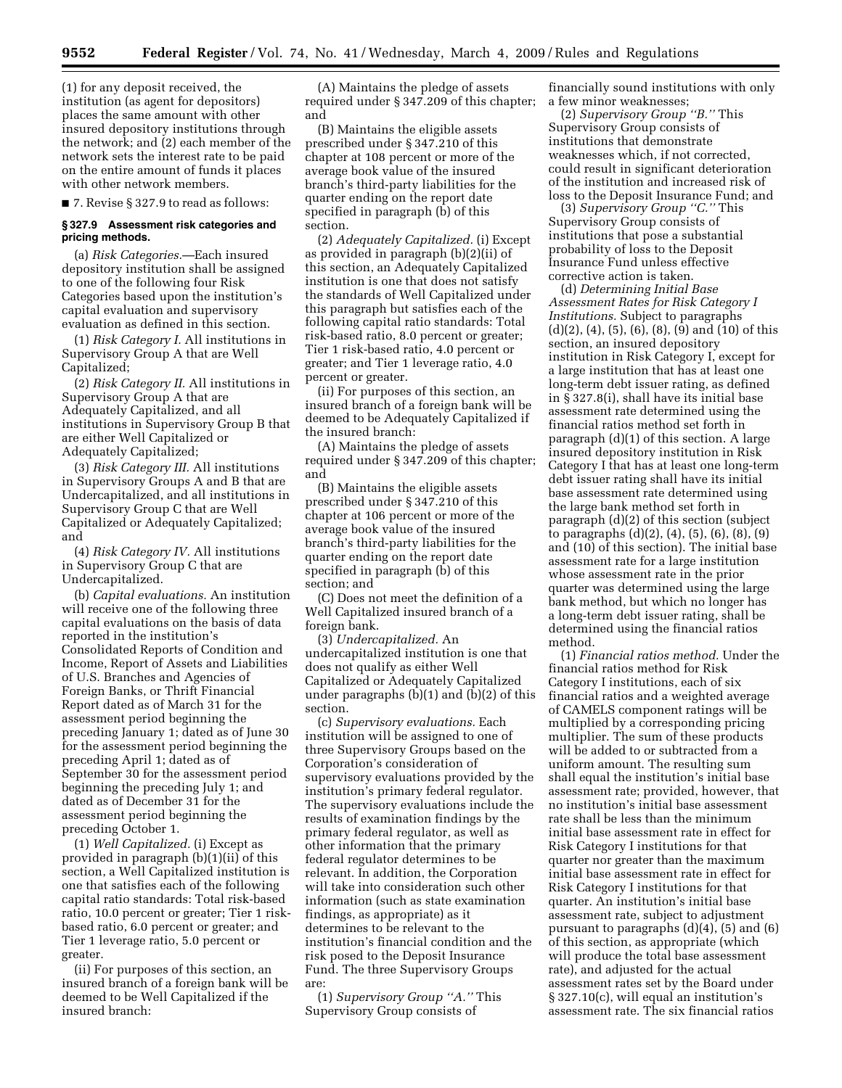(1) for any deposit received, the institution (as agent for depositors) places the same amount with other insured depository institutions through the network; and (2) each member of the network sets the interest rate to be paid on the entire amount of funds it places with other network members.

■ 7. Revise § 327.9 to read as follows:

#### **§ 327.9 Assessment risk categories and pricing methods.**

(a) *Risk Categories.*—Each insured depository institution shall be assigned to one of the following four Risk Categories based upon the institution's capital evaluation and supervisory evaluation as defined in this section.

(1) *Risk Category I.* All institutions in Supervisory Group A that are Well Capitalized;

(2) *Risk Category II.* All institutions in Supervisory Group A that are Adequately Capitalized, and all institutions in Supervisory Group B that are either Well Capitalized or Adequately Capitalized;

(3) *Risk Category III.* All institutions in Supervisory Groups A and B that are Undercapitalized, and all institutions in Supervisory Group C that are Well Capitalized or Adequately Capitalized; and

(4) *Risk Category IV.* All institutions in Supervisory Group C that are Undercapitalized.

(b) *Capital evaluations.* An institution will receive one of the following three capital evaluations on the basis of data reported in the institution's Consolidated Reports of Condition and Income, Report of Assets and Liabilities of U.S. Branches and Agencies of Foreign Banks, or Thrift Financial Report dated as of March 31 for the assessment period beginning the preceding January 1; dated as of June 30 for the assessment period beginning the preceding April 1; dated as of September 30 for the assessment period beginning the preceding July 1; and dated as of December 31 for the assessment period beginning the preceding October 1.

(1) *Well Capitalized.* (i) Except as provided in paragraph (b)(1)(ii) of this section, a Well Capitalized institution is one that satisfies each of the following capital ratio standards: Total risk-based ratio, 10.0 percent or greater; Tier 1 riskbased ratio, 6.0 percent or greater; and Tier 1 leverage ratio, 5.0 percent or greater.

(ii) For purposes of this section, an insured branch of a foreign bank will be deemed to be Well Capitalized if the insured branch:

(A) Maintains the pledge of assets required under § 347.209 of this chapter; and

(B) Maintains the eligible assets prescribed under § 347.210 of this chapter at 108 percent or more of the average book value of the insured branch's third-party liabilities for the quarter ending on the report date specified in paragraph (b) of this section.

(2) *Adequately Capitalized.* (i) Except as provided in paragraph (b)(2)(ii) of this section, an Adequately Capitalized institution is one that does not satisfy the standards of Well Capitalized under this paragraph but satisfies each of the following capital ratio standards: Total risk-based ratio, 8.0 percent or greater; Tier 1 risk-based ratio, 4.0 percent or greater; and Tier 1 leverage ratio, 4.0 percent or greater.

(ii) For purposes of this section, an insured branch of a foreign bank will be deemed to be Adequately Capitalized if the insured branch:

(A) Maintains the pledge of assets required under § 347.209 of this chapter; and

(B) Maintains the eligible assets prescribed under § 347.210 of this chapter at 106 percent or more of the average book value of the insured branch's third-party liabilities for the quarter ending on the report date specified in paragraph (b) of this section; and

(C) Does not meet the definition of a Well Capitalized insured branch of a foreign bank.

(3) *Undercapitalized.* An undercapitalized institution is one that does not qualify as either Well Capitalized or Adequately Capitalized under paragraphs (b)(1) and (b)(2) of this section.

(c) *Supervisory evaluations.* Each institution will be assigned to one of three Supervisory Groups based on the Corporation's consideration of supervisory evaluations provided by the institution's primary federal regulator. The supervisory evaluations include the results of examination findings by the primary federal regulator, as well as other information that the primary federal regulator determines to be relevant. In addition, the Corporation will take into consideration such other information (such as state examination findings, as appropriate) as it determines to be relevant to the institution's financial condition and the risk posed to the Deposit Insurance Fund. The three Supervisory Groups are:

(1) *Supervisory Group ''A.''* This Supervisory Group consists of

financially sound institutions with only a few minor weaknesses;

(2) *Supervisory Group ''B.''* This Supervisory Group consists of institutions that demonstrate weaknesses which, if not corrected, could result in significant deterioration of the institution and increased risk of loss to the Deposit Insurance Fund; and

(3) *Supervisory Group ''C.''* This Supervisory Group consists of institutions that pose a substantial probability of loss to the Deposit Insurance Fund unless effective corrective action is taken.

(d) *Determining Initial Base Assessment Rates for Risk Category I Institutions.* Subject to paragraphs (d)(2), (4), (5), (6), (8), (9) and (10) of this section, an insured depository institution in Risk Category I, except for a large institution that has at least one long-term debt issuer rating, as defined in § 327.8(i), shall have its initial base assessment rate determined using the financial ratios method set forth in paragraph (d)(1) of this section. A large insured depository institution in Risk Category I that has at least one long-term debt issuer rating shall have its initial base assessment rate determined using the large bank method set forth in paragraph (d)(2) of this section (subject to paragraphs (d)(2), (4), (5), (6), (8), (9) and (10) of this section). The initial base assessment rate for a large institution whose assessment rate in the prior quarter was determined using the large bank method, but which no longer has a long-term debt issuer rating, shall be determined using the financial ratios method.

(1) *Financial ratios method.* Under the financial ratios method for Risk Category I institutions, each of six financial ratios and a weighted average of CAMELS component ratings will be multiplied by a corresponding pricing multiplier. The sum of these products will be added to or subtracted from a uniform amount. The resulting sum shall equal the institution's initial base assessment rate; provided, however, that no institution's initial base assessment rate shall be less than the minimum initial base assessment rate in effect for Risk Category I institutions for that quarter nor greater than the maximum initial base assessment rate in effect for Risk Category I institutions for that quarter. An institution's initial base assessment rate, subject to adjustment pursuant to paragraphs (d)(4), (5) and (6) of this section, as appropriate (which will produce the total base assessment rate), and adjusted for the actual assessment rates set by the Board under § 327.10(c), will equal an institution's assessment rate. The six financial ratios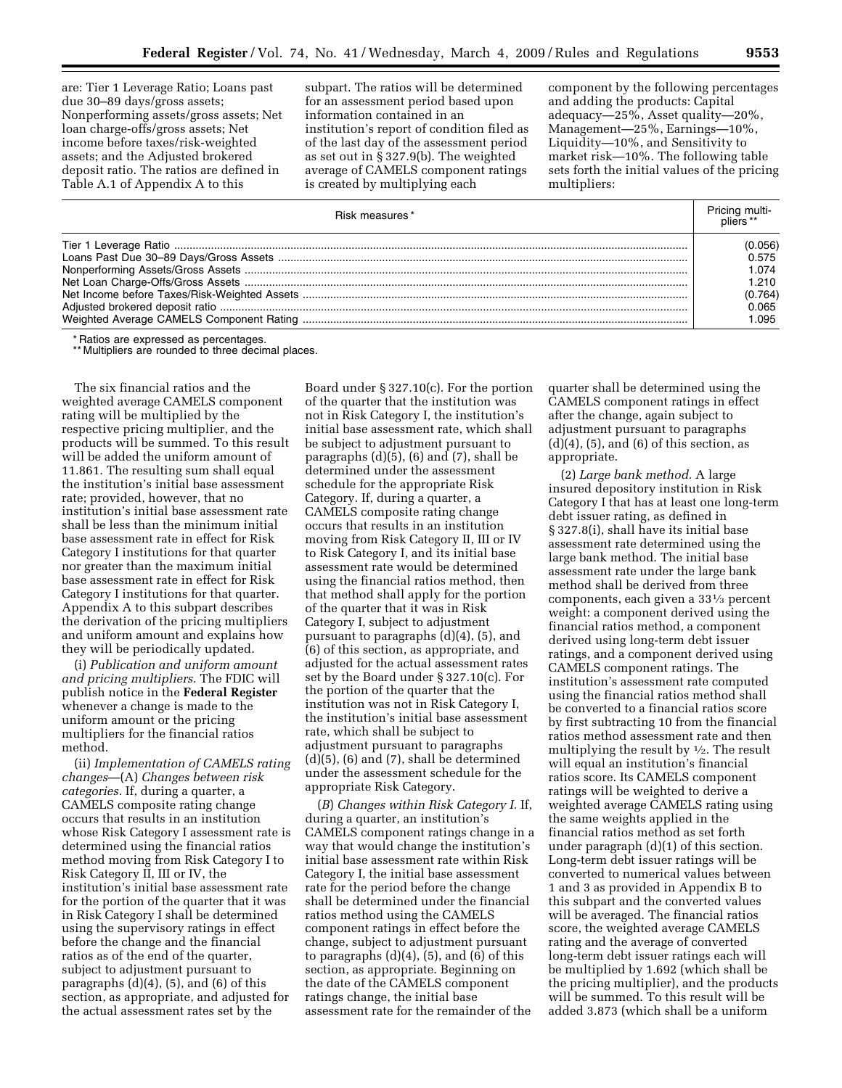are: Tier 1 Leverage Ratio; Loans past due 30–89 days/gross assets; Nonperforming assets/gross assets; Net loan charge-offs/gross assets; Net income before taxes/risk-weighted assets; and the Adjusted brokered deposit ratio. The ratios are defined in Table A.1 of Appendix A to this

subpart. The ratios will be determined for an assessment period based upon information contained in an institution's report of condition filed as of the last day of the assessment period as set out in § 327.9(b). The weighted average of CAMELS component ratings is created by multiplying each

component by the following percentages and adding the products: Capital adequacy—25%, Asset quality—20%, Management—25%, Earnings—10%, Liquidity—10%, and Sensitivity to market risk—10%. The following table sets forth the initial values of the pricing multipliers:

| Risk measures* | Pricing multi-<br>bliers ** |
|----------------|-----------------------------|
|                | (0.056)                     |
|                | 0.575                       |
|                | 1.074                       |
|                | 1.210                       |
|                | (0.764)                     |
|                | 0.065                       |
|                | L.095                       |

\* Ratios are expressed as percentages.

\*\* Multipliers are rounded to three decimal places.

The six financial ratios and the weighted average CAMELS component rating will be multiplied by the respective pricing multiplier, and the products will be summed. To this result will be added the uniform amount of 11.861. The resulting sum shall equal the institution's initial base assessment rate; provided, however, that no institution's initial base assessment rate shall be less than the minimum initial base assessment rate in effect for Risk Category I institutions for that quarter nor greater than the maximum initial base assessment rate in effect for Risk Category I institutions for that quarter. Appendix A to this subpart describes the derivation of the pricing multipliers and uniform amount and explains how they will be periodically updated.

(i) *Publication and uniform amount and pricing multipliers.* The FDIC will publish notice in the **Federal Register**  whenever a change is made to the uniform amount or the pricing multipliers for the financial ratios method.

(ii) *Implementation of CAMELS rating changes*—(A) *Changes between risk categories.* If, during a quarter, a CAMELS composite rating change occurs that results in an institution whose Risk Category I assessment rate is determined using the financial ratios method moving from Risk Category I to Risk Category II, III or IV, the institution's initial base assessment rate for the portion of the quarter that it was in Risk Category I shall be determined using the supervisory ratings in effect before the change and the financial ratios as of the end of the quarter, subject to adjustment pursuant to paragraphs  $(d)(4)$ ,  $(5)$ , and  $(6)$  of this section, as appropriate, and adjusted for the actual assessment rates set by the

Board under § 327.10(c). For the portion of the quarter that the institution was not in Risk Category I, the institution's initial base assessment rate, which shall be subject to adjustment pursuant to paragraphs (d)(5), (6) and (7), shall be determined under the assessment schedule for the appropriate Risk Category. If, during a quarter, a CAMELS composite rating change occurs that results in an institution moving from Risk Category II, III or IV to Risk Category I, and its initial base assessment rate would be determined using the financial ratios method, then that method shall apply for the portion of the quarter that it was in Risk Category I, subject to adjustment pursuant to paragraphs (d)(4), (5), and (6) of this section, as appropriate, and adjusted for the actual assessment rates set by the Board under § 327.10(c). For the portion of the quarter that the institution was not in Risk Category I, the institution's initial base assessment rate, which shall be subject to adjustment pursuant to paragraphs (d)(5), (6) and (7), shall be determined under the assessment schedule for the appropriate Risk Category.

(*B*) *Changes within Risk Category I.* If, during a quarter, an institution's CAMELS component ratings change in a way that would change the institution's initial base assessment rate within Risk Category I, the initial base assessment rate for the period before the change shall be determined under the financial ratios method using the CAMELS component ratings in effect before the change, subject to adjustment pursuant to paragraphs  $(d)(4)$ ,  $(5)$ , and  $(6)$  of this section, as appropriate. Beginning on the date of the CAMELS component ratings change, the initial base assessment rate for the remainder of the

quarter shall be determined using the CAMELS component ratings in effect after the change, again subject to adjustment pursuant to paragraphs  $(d)(4)$ ,  $(5)$ , and  $(6)$  of this section, as appropriate.

(2) *Large bank method.* A large insured depository institution in Risk Category I that has at least one long-term debt issuer rating, as defined in § 327.8(i), shall have its initial base assessment rate determined using the large bank method. The initial base assessment rate under the large bank method shall be derived from three components, each given a 331⁄3 percent weight: a component derived using the financial ratios method, a component derived using long-term debt issuer ratings, and a component derived using CAMELS component ratings. The institution's assessment rate computed using the financial ratios method shall be converted to a financial ratios score by first subtracting 10 from the financial ratios method assessment rate and then multiplying the result by  $\frac{1}{2}$ . The result will equal an institution's financial ratios score. Its CAMELS component ratings will be weighted to derive a weighted average CAMELS rating using the same weights applied in the financial ratios method as set forth under paragraph (d)(1) of this section. Long-term debt issuer ratings will be converted to numerical values between 1 and 3 as provided in Appendix B to this subpart and the converted values will be averaged. The financial ratios score, the weighted average CAMELS rating and the average of converted long-term debt issuer ratings each will be multiplied by 1.692 (which shall be the pricing multiplier), and the products will be summed. To this result will be added 3.873 (which shall be a uniform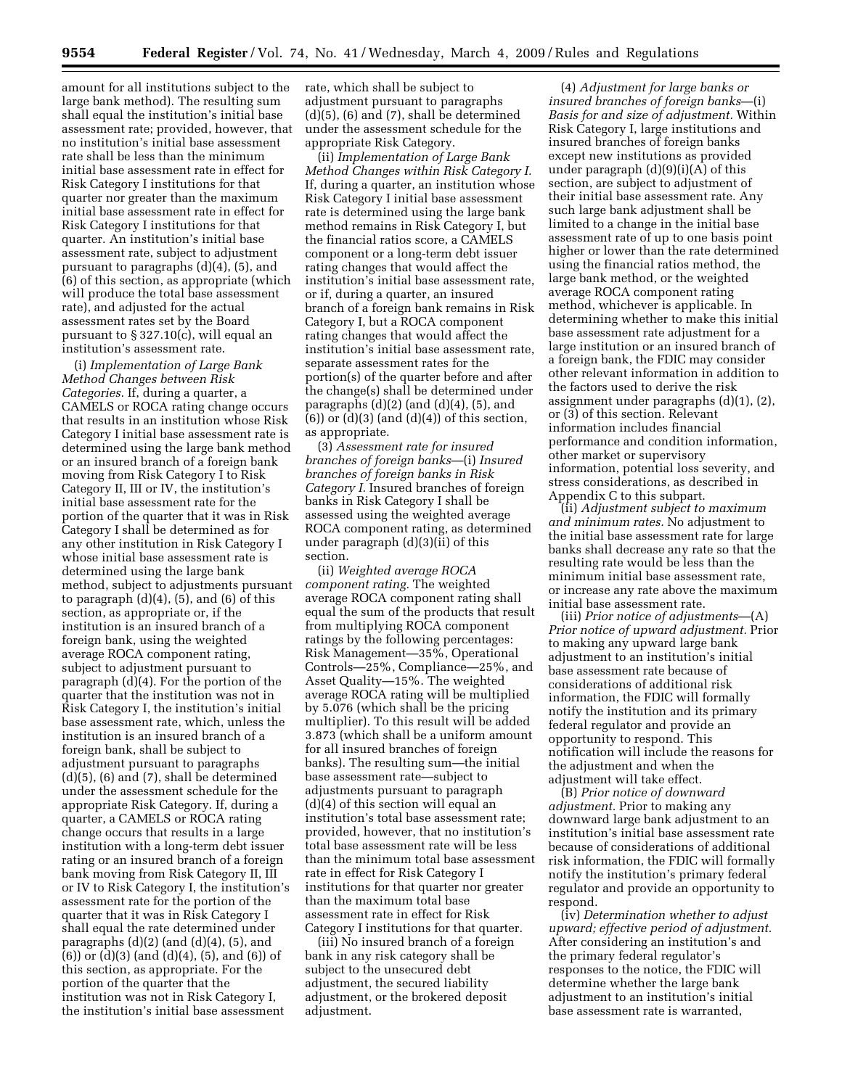amount for all institutions subject to the large bank method). The resulting sum shall equal the institution's initial base assessment rate; provided, however, that no institution's initial base assessment rate shall be less than the minimum initial base assessment rate in effect for Risk Category I institutions for that quarter nor greater than the maximum initial base assessment rate in effect for Risk Category I institutions for that quarter. An institution's initial base assessment rate, subject to adjustment pursuant to paragraphs (d)(4), (5), and (6) of this section, as appropriate (which will produce the total base assessment rate), and adjusted for the actual assessment rates set by the Board pursuant to § 327.10(c), will equal an institution's assessment rate.

(i) *Implementation of Large Bank Method Changes between Risk Categories.* If, during a quarter, a CAMELS or ROCA rating change occurs that results in an institution whose Risk Category I initial base assessment rate is determined using the large bank method or an insured branch of a foreign bank moving from Risk Category I to Risk Category II, III or IV, the institution's initial base assessment rate for the portion of the quarter that it was in Risk Category I shall be determined as for any other institution in Risk Category I whose initial base assessment rate is determined using the large bank method, subject to adjustments pursuant to paragraph  $(d)(4)$ ,  $(5)$ , and  $(6)$  of this section, as appropriate or, if the institution is an insured branch of a foreign bank, using the weighted average ROCA component rating, subject to adjustment pursuant to paragraph (d)(4). For the portion of the quarter that the institution was not in Risk Category I, the institution's initial base assessment rate, which, unless the institution is an insured branch of a foreign bank, shall be subject to adjustment pursuant to paragraphs (d)(5), (6) and (7), shall be determined under the assessment schedule for the appropriate Risk Category. If, during a quarter, a CAMELS or ROCA rating change occurs that results in a large institution with a long-term debt issuer rating or an insured branch of a foreign bank moving from Risk Category II, III or IV to Risk Category I, the institution's assessment rate for the portion of the quarter that it was in Risk Category I shall equal the rate determined under paragraphs  $(d)(2)$  (and  $(d)(4)$ ,  $(5)$ , and  $(6)$ ) or  $(d)(3)$  (and  $(d)(4)$ ,  $(5)$ , and  $(6)$ ) of this section, as appropriate. For the portion of the quarter that the institution was not in Risk Category I, the institution's initial base assessment

rate, which shall be subject to adjustment pursuant to paragraphs (d)(5), (6) and (7), shall be determined under the assessment schedule for the appropriate Risk Category.

(ii) *Implementation of Large Bank Method Changes within Risk Category I.*  If, during a quarter, an institution whose Risk Category I initial base assessment rate is determined using the large bank method remains in Risk Category I, but the financial ratios score, a CAMELS component or a long-term debt issuer rating changes that would affect the institution's initial base assessment rate, or if, during a quarter, an insured branch of a foreign bank remains in Risk Category I, but a ROCA component rating changes that would affect the institution's initial base assessment rate, separate assessment rates for the portion(s) of the quarter before and after the change(s) shall be determined under paragraphs  $(d)(2)$  (and  $(d)(4)$ ,  $(5)$ , and  $(6)$ ) or  $(d)(3)$  (and  $(d)(4)$ ) of this section, as appropriate.

(3) *Assessment rate for insured branches of foreign banks*—(i) *Insured branches of foreign banks in Risk Category I.* Insured branches of foreign banks in Risk Category I shall be assessed using the weighted average ROCA component rating, as determined under paragraph (d)(3)(ii) of this section.

(ii) *Weighted average ROCA component rating.* The weighted average ROCA component rating shall equal the sum of the products that result from multiplying ROCA component ratings by the following percentages: Risk Management—35%, Operational Controls—25%, Compliance—25%, and Asset Quality—15%. The weighted average ROCA rating will be multiplied by 5.076 (which shall be the pricing multiplier). To this result will be added 3.873 (which shall be a uniform amount for all insured branches of foreign banks). The resulting sum—the initial base assessment rate—subject to adjustments pursuant to paragraph (d)(4) of this section will equal an institution's total base assessment rate; provided, however, that no institution's total base assessment rate will be less than the minimum total base assessment rate in effect for Risk Category I institutions for that quarter nor greater than the maximum total base assessment rate in effect for Risk Category I institutions for that quarter.

(iii) No insured branch of a foreign bank in any risk category shall be subject to the unsecured debt adjustment, the secured liability adjustment, or the brokered deposit adjustment.

(4) *Adjustment for large banks or insured branches of foreign banks*—(i) *Basis for and size of adjustment.* Within Risk Category I, large institutions and insured branches of foreign banks except new institutions as provided under paragraph  $(d)(9)(i)(A)$  of this section, are subject to adjustment of their initial base assessment rate. Any such large bank adjustment shall be limited to a change in the initial base assessment rate of up to one basis point higher or lower than the rate determined using the financial ratios method, the large bank method, or the weighted average ROCA component rating method, whichever is applicable. In determining whether to make this initial base assessment rate adjustment for a large institution or an insured branch of a foreign bank, the FDIC may consider other relevant information in addition to the factors used to derive the risk assignment under paragraphs (d)(1), (2), or (3) of this section. Relevant information includes financial performance and condition information, other market or supervisory information, potential loss severity, and stress considerations, as described in Appendix C to this subpart.

(ii) *Adjustment subject to maximum and minimum rates.* No adjustment to the initial base assessment rate for large banks shall decrease any rate so that the resulting rate would be less than the minimum initial base assessment rate, or increase any rate above the maximum initial base assessment rate.

(iii) *Prior notice of adjustments*—(A) *Prior notice of upward adjustment.* Prior to making any upward large bank adjustment to an institution's initial base assessment rate because of considerations of additional risk information, the FDIC will formally notify the institution and its primary federal regulator and provide an opportunity to respond. This notification will include the reasons for the adjustment and when the adjustment will take effect.

(B) *Prior notice of downward adjustment.* Prior to making any downward large bank adjustment to an institution's initial base assessment rate because of considerations of additional risk information, the FDIC will formally notify the institution's primary federal regulator and provide an opportunity to respond.

(iv) *Determination whether to adjust upward; effective period of adjustment.*  After considering an institution's and the primary federal regulator's responses to the notice, the FDIC will determine whether the large bank adjustment to an institution's initial base assessment rate is warranted,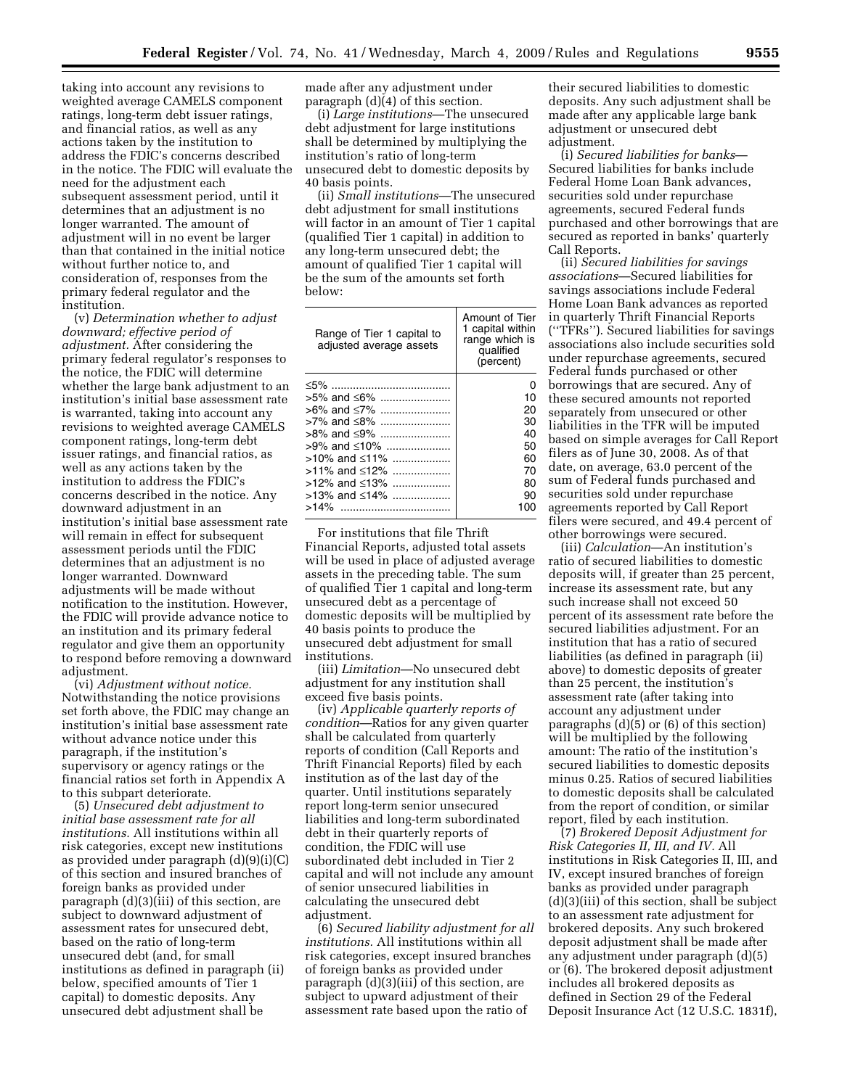taking into account any revisions to weighted average CAMELS component ratings, long-term debt issuer ratings, and financial ratios, as well as any actions taken by the institution to address the FDIC's concerns described in the notice. The FDIC will evaluate the need for the adjustment each subsequent assessment period, until it determines that an adjustment is no longer warranted. The amount of adjustment will in no event be larger than that contained in the initial notice without further notice to, and consideration of, responses from the primary federal regulator and the institution.

(v) *Determination whether to adjust downward; effective period of adjustment.* After considering the primary federal regulator's responses to the notice, the FDIC will determine whether the large bank adjustment to an institution's initial base assessment rate is warranted, taking into account any revisions to weighted average CAMELS component ratings, long-term debt issuer ratings, and financial ratios, as well as any actions taken by the institution to address the FDIC's concerns described in the notice. Any downward adjustment in an institution's initial base assessment rate will remain in effect for subsequent assessment periods until the FDIC determines that an adjustment is no longer warranted. Downward adjustments will be made without notification to the institution. However, the FDIC will provide advance notice to an institution and its primary federal regulator and give them an opportunity to respond before removing a downward adjustment.

(vi) *Adjustment without notice.*  Notwithstanding the notice provisions set forth above, the FDIC may change an institution's initial base assessment rate without advance notice under this paragraph, if the institution's supervisory or agency ratings or the financial ratios set forth in Appendix A to this subpart deteriorate.

(5) *Unsecured debt adjustment to initial base assessment rate for all institutions.* All institutions within all risk categories, except new institutions as provided under paragraph (d)(9)(i)(C) of this section and insured branches of foreign banks as provided under paragraph (d)(3)(iii) of this section, are subject to downward adjustment of assessment rates for unsecured debt, based on the ratio of long-term unsecured debt (and, for small institutions as defined in paragraph (ii) below, specified amounts of Tier 1 capital) to domestic deposits. Any unsecured debt adjustment shall be

made after any adjustment under paragraph (d)(4) of this section.

(i) *Large institutions*—The unsecured debt adjustment for large institutions shall be determined by multiplying the institution's ratio of long-term unsecured debt to domestic deposits by 40 basis points.

(ii) *Small institutions*—The unsecured debt adjustment for small institutions will factor in an amount of Tier 1 capital (qualified Tier 1 capital) in addition to any long-term unsecured debt; the amount of qualified Tier 1 capital will be the sum of the amounts set forth below:

| Range of Tier 1 capital to<br>adjusted average assets | Amount of Tier<br>1 capital within<br>range which is<br>qualified<br>(percent) |
|-------------------------------------------------------|--------------------------------------------------------------------------------|
| ≤5% ……………………………………                                    | O                                                                              |
| $>5\%$ and $\leq 6\%$                                 | 10                                                                             |
| $>6\%$ and $\leq 7\%$                                 | 20                                                                             |
| >7% and ≤8%                                           | 30                                                                             |
| $>8\%$ and $\leq 9\%$                                 | 40                                                                             |
| >9% and ≤10%                                          | 50                                                                             |
| >10% and ≤11%                                         | 60                                                                             |
| $>11\%$ and $\leq 12\%$                               | 70                                                                             |
| >12% and ≤13%                                         | 80                                                                             |
| >13% and ≤14%                                         | 90                                                                             |
| >14%<br>                                              | 100                                                                            |

For institutions that file Thrift Financial Reports, adjusted total assets will be used in place of adjusted average assets in the preceding table. The sum of qualified Tier 1 capital and long-term unsecured debt as a percentage of domestic deposits will be multiplied by 40 basis points to produce the unsecured debt adjustment for small institutions.

(iii) *Limitation*—No unsecured debt adjustment for any institution shall exceed five basis points.

(iv) *Applicable quarterly reports of condition*—Ratios for any given quarter shall be calculated from quarterly reports of condition (Call Reports and Thrift Financial Reports) filed by each institution as of the last day of the quarter. Until institutions separately report long-term senior unsecured liabilities and long-term subordinated debt in their quarterly reports of condition, the FDIC will use subordinated debt included in Tier 2 capital and will not include any amount of senior unsecured liabilities in calculating the unsecured debt adjustment.

(6) *Secured liability adjustment for all institutions.* All institutions within all risk categories, except insured branches of foreign banks as provided under paragraph (d)(3)(iii) of this section, are subject to upward adjustment of their assessment rate based upon the ratio of

their secured liabilities to domestic deposits. Any such adjustment shall be made after any applicable large bank adjustment or unsecured debt adjustment.

(i) *Secured liabilities for banks*— Secured liabilities for banks include Federal Home Loan Bank advances, securities sold under repurchase agreements, secured Federal funds purchased and other borrowings that are secured as reported in banks' quarterly Call Reports.

(ii) *Secured liabilities for savings associations*—Secured liabilities for savings associations include Federal Home Loan Bank advances as reported in quarterly Thrift Financial Reports (''TFRs''). Secured liabilities for savings associations also include securities sold under repurchase agreements, secured Federal funds purchased or other borrowings that are secured. Any of these secured amounts not reported separately from unsecured or other liabilities in the TFR will be imputed based on simple averages for Call Report filers as of June 30, 2008. As of that date, on average, 63.0 percent of the sum of Federal funds purchased and securities sold under repurchase agreements reported by Call Report filers were secured, and 49.4 percent of other borrowings were secured.

(iii) *Calculation*—An institution's ratio of secured liabilities to domestic deposits will, if greater than 25 percent, increase its assessment rate, but any such increase shall not exceed 50 percent of its assessment rate before the secured liabilities adjustment. For an institution that has a ratio of secured liabilities (as defined in paragraph (ii) above) to domestic deposits of greater than 25 percent, the institution's assessment rate (after taking into account any adjustment under paragraphs (d)(5) or (6) of this section) will be multiplied by the following amount: The ratio of the institution's secured liabilities to domestic deposits minus 0.25. Ratios of secured liabilities to domestic deposits shall be calculated from the report of condition, or similar report, filed by each institution.

(7) *Brokered Deposit Adjustment for Risk Categories II, III, and IV.* All institutions in Risk Categories II, III, and IV, except insured branches of foreign banks as provided under paragraph (d)(3)(iii) of this section, shall be subject to an assessment rate adjustment for brokered deposits. Any such brokered deposit adjustment shall be made after any adjustment under paragraph (d)(5) or (6). The brokered deposit adjustment includes all brokered deposits as defined in Section 29 of the Federal Deposit Insurance Act (12 U.S.C. 1831f),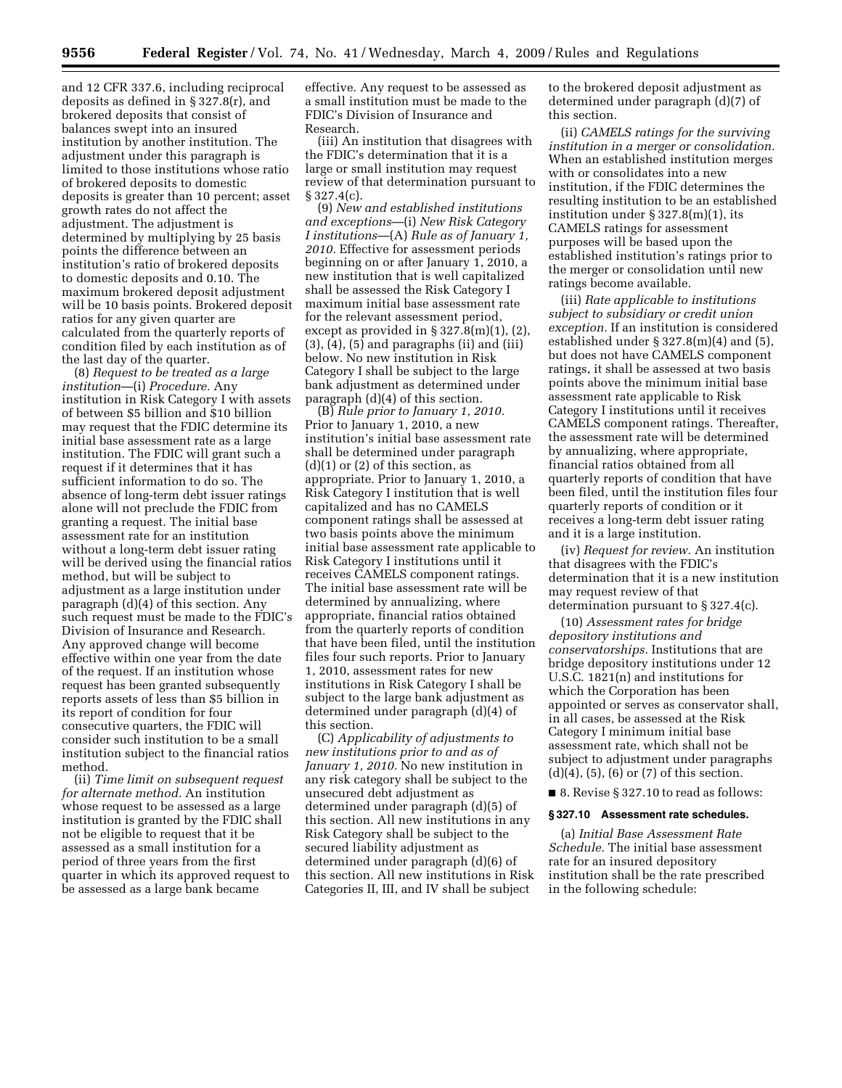and 12 CFR 337.6, including reciprocal deposits as defined in § 327.8(r), and brokered deposits that consist of balances swept into an insured institution by another institution. The adjustment under this paragraph is limited to those institutions whose ratio of brokered deposits to domestic deposits is greater than 10 percent; asset growth rates do not affect the adjustment. The adjustment is determined by multiplying by 25 basis points the difference between an institution's ratio of brokered deposits to domestic deposits and 0.10. The maximum brokered deposit adjustment will be 10 basis points. Brokered deposit ratios for any given quarter are calculated from the quarterly reports of condition filed by each institution as of the last day of the quarter.

(8) *Request to be treated as a large institution*—(i) *Procedure.* Any institution in Risk Category I with assets of between \$5 billion and \$10 billion may request that the FDIC determine its initial base assessment rate as a large institution. The FDIC will grant such a request if it determines that it has sufficient information to do so. The absence of long-term debt issuer ratings alone will not preclude the FDIC from granting a request. The initial base assessment rate for an institution without a long-term debt issuer rating will be derived using the financial ratios method, but will be subject to adjustment as a large institution under paragraph (d)(4) of this section. Any such request must be made to the FDIC's Division of Insurance and Research. Any approved change will become effective within one year from the date of the request. If an institution whose request has been granted subsequently reports assets of less than \$5 billion in its report of condition for four consecutive quarters, the FDIC will consider such institution to be a small institution subject to the financial ratios method.

(ii) *Time limit on subsequent request for alternate method.* An institution whose request to be assessed as a large institution is granted by the FDIC shall not be eligible to request that it be assessed as a small institution for a period of three years from the first quarter in which its approved request to be assessed as a large bank became

effective. Any request to be assessed as a small institution must be made to the FDIC's Division of Insurance and Research.

(iii) An institution that disagrees with the FDIC's determination that it is a large or small institution may request review of that determination pursuant to § 327.4(c).

(9) *New and established institutions and exceptions*—(i) *New Risk Category I institutions*—(A) *Rule as of January 1, 2010.* Effective for assessment periods beginning on or after January 1, 2010, a new institution that is well capitalized shall be assessed the Risk Category I maximum initial base assessment rate for the relevant assessment period, except as provided in  $\S 327.8(m)(1)$ ,  $(2)$ ,  $(3)$ ,  $(4)$ ,  $(5)$  and paragraphs  $(ii)$  and  $(iii)$ below. No new institution in Risk Category I shall be subject to the large bank adjustment as determined under paragraph (d)(4) of this section.

(B) *Rule prior to January 1, 2010.*  Prior to January 1, 2010, a new institution's initial base assessment rate shall be determined under paragraph (d)(1) or (2) of this section, as appropriate. Prior to January 1, 2010, a Risk Category I institution that is well capitalized and has no CAMELS component ratings shall be assessed at two basis points above the minimum initial base assessment rate applicable to Risk Category I institutions until it receives CAMELS component ratings. The initial base assessment rate will be determined by annualizing, where appropriate, financial ratios obtained from the quarterly reports of condition that have been filed, until the institution files four such reports. Prior to January 1, 2010, assessment rates for new institutions in Risk Category I shall be subject to the large bank adjustment as determined under paragraph (d)(4) of this section.

(C) *Applicability of adjustments to new institutions prior to and as of January 1, 2010.* No new institution in any risk category shall be subject to the unsecured debt adjustment as determined under paragraph (d)(5) of this section. All new institutions in any Risk Category shall be subject to the secured liability adjustment as determined under paragraph (d)(6) of this section. All new institutions in Risk Categories II, III, and IV shall be subject

to the brokered deposit adjustment as determined under paragraph (d)(7) of this section.

(ii) *CAMELS ratings for the surviving institution in a merger or consolidation.*  When an established institution merges with or consolidates into a new institution, if the FDIC determines the resulting institution to be an established institution under  $\S 327.8(m)(1)$ , its CAMELS ratings for assessment purposes will be based upon the established institution's ratings prior to the merger or consolidation until new ratings become available.

(iii) *Rate applicable to institutions subject to subsidiary or credit union exception.* If an institution is considered established under § 327.8(m)(4) and (5), but does not have CAMELS component ratings, it shall be assessed at two basis points above the minimum initial base assessment rate applicable to Risk Category I institutions until it receives CAMELS component ratings. Thereafter, the assessment rate will be determined by annualizing, where appropriate, financial ratios obtained from all quarterly reports of condition that have been filed, until the institution files four quarterly reports of condition or it receives a long-term debt issuer rating and it is a large institution.

(iv) *Request for review.* An institution that disagrees with the FDIC's determination that it is a new institution may request review of that determination pursuant to § 327.4(c).

(10) *Assessment rates for bridge depository institutions and conservatorships.* Institutions that are bridge depository institutions under 12 U.S.C. 1821(n) and institutions for which the Corporation has been appointed or serves as conservator shall, in all cases, be assessed at the Risk Category I minimum initial base assessment rate, which shall not be subject to adjustment under paragraphs (d)(4), (5), (6) or (7) of this section.

■ 8. Revise § 327.10 to read as follows:

#### **§ 327.10 Assessment rate schedules.**

(a) *Initial Base Assessment Rate Schedule.* The initial base assessment rate for an insured depository institution shall be the rate prescribed in the following schedule: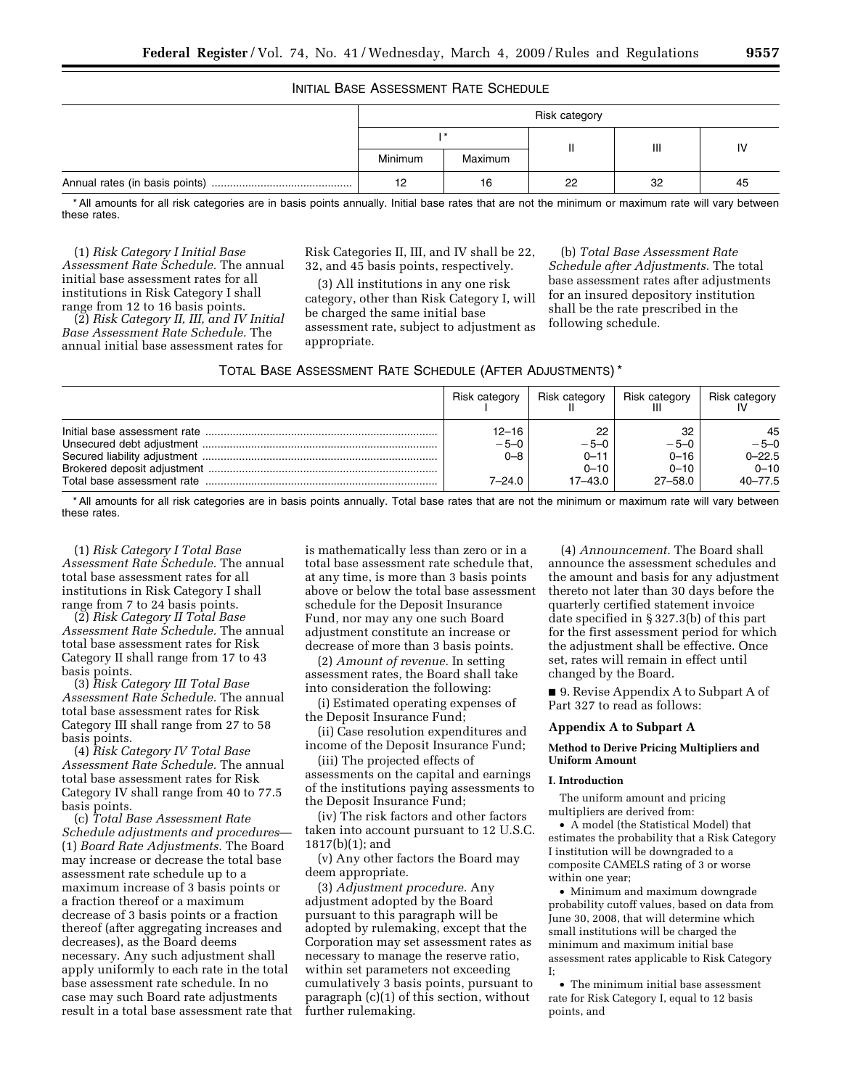## INITIAL BASE ASSESSMENT RATE SCHEDULE

| Risk category |         |    |    |                        |
|---------------|---------|----|----|------------------------|
|               |         |    | Ш  | $\mathsf{I}\mathsf{V}$ |
| Minimum       | Maximum |    |    |                        |
| 12            | 16      | 22 | 32 | 45                     |

\* All amounts for all risk categories are in basis points annually. Initial base rates that are not the minimum or maximum rate will vary between these rates.

(1) *Risk Category I Initial Base Assessment Rate Schedule.* The annual initial base assessment rates for all institutions in Risk Category I shall range from 12 to 16 basis points.

(2) *Risk Category II, III, and IV Initial Base Assessment Rate Schedule.* The annual initial base assessment rates for

Risk Categories II, III, and IV shall be 22, 32, and 45 basis points, respectively.

(3) All institutions in any one risk category, other than Risk Category I, will be charged the same initial base assessment rate, subject to adjustment as appropriate.

(b) *Total Base Assessment Rate Schedule after Adjustments.* The total base assessment rates after adjustments for an insured depository institution shall be the rate prescribed in the following schedule.

| TOTAL BASE ASSESSMENT RATE SCHEDULE (AFTER ADJUSTMENTS)* |  |
|----------------------------------------------------------|--|
|----------------------------------------------------------|--|

| Risk category                            | Risk category                                   | Risk category                                       | <b>Risk category</b>                                  |
|------------------------------------------|-------------------------------------------------|-----------------------------------------------------|-------------------------------------------------------|
| $12 - 16$<br>$-5-0$<br>$0 - 8$<br>7–24.0 | 22<br>$-5-0$<br>$0 - 11$<br>$0 - 10$<br>17–43.0 | 32<br>$-5-0$<br>$0 - 16$<br>$0 - 10$<br>$27 - 58.0$ | 45<br>$-5-0$<br>$0 - 22.5$<br>$0 - 10$<br>$40 - 77.5$ |

\* All amounts for all risk categories are in basis points annually. Total base rates that are not the minimum or maximum rate will vary between these rates.

(1) *Risk Category I Total Base Assessment Rate Schedule.* The annual total base assessment rates for all institutions in Risk Category I shall range from 7 to 24 basis points.

(2) *Risk Category II Total Base Assessment Rate Schedule.* The annual total base assessment rates for Risk Category II shall range from 17 to 43 basis points.

(3) *Risk Category III Total Base Assessment Rate Schedule.* The annual total base assessment rates for Risk Category III shall range from 27 to 58 basis points.

(4) *Risk Category IV Total Base Assessment Rate Schedule.* The annual total base assessment rates for Risk Category IV shall range from 40 to 77.5 basis points.

(c) *Total Base Assessment Rate Schedule adjustments and procedures*— (1) *Board Rate Adjustments.* The Board may increase or decrease the total base assessment rate schedule up to a maximum increase of 3 basis points or a fraction thereof or a maximum decrease of 3 basis points or a fraction thereof (after aggregating increases and decreases), as the Board deems necessary. Any such adjustment shall apply uniformly to each rate in the total base assessment rate schedule. In no case may such Board rate adjustments result in a total base assessment rate that

is mathematically less than zero or in a total base assessment rate schedule that, at any time, is more than 3 basis points above or below the total base assessment schedule for the Deposit Insurance Fund, nor may any one such Board adjustment constitute an increase or decrease of more than 3 basis points.

(2) *Amount of revenue.* In setting assessment rates, the Board shall take into consideration the following:

(i) Estimated operating expenses of the Deposit Insurance Fund;

(ii) Case resolution expenditures and income of the Deposit Insurance Fund;

(iii) The projected effects of assessments on the capital and earnings of the institutions paying assessments to the Deposit Insurance Fund;

(iv) The risk factors and other factors taken into account pursuant to 12 U.S.C. 1817(b)(1); and

(v) Any other factors the Board may deem appropriate.

(3) *Adjustment procedure.* Any adjustment adopted by the Board pursuant to this paragraph will be adopted by rulemaking, except that the Corporation may set assessment rates as necessary to manage the reserve ratio, within set parameters not exceeding cumulatively 3 basis points, pursuant to paragraph (c)(1) of this section, without further rulemaking.

(4) *Announcement.* The Board shall announce the assessment schedules and the amount and basis for any adjustment thereto not later than 30 days before the quarterly certified statement invoice date specified in § 327.3(b) of this part for the first assessment period for which the adjustment shall be effective. Once set, rates will remain in effect until changed by the Board.

■ 9. Revise Appendix A to Subpart A of Part 327 to read as follows:

#### **Appendix A to Subpart A**

### **Method to Derive Pricing Multipliers and Uniform Amount**

### **I. Introduction**

The uniform amount and pricing multipliers are derived from:

• A model (the Statistical Model) that estimates the probability that a Risk Category I institution will be downgraded to a composite CAMELS rating of 3 or worse within one year;

• Minimum and maximum downgrade probability cutoff values, based on data from June 30, 2008, that will determine which small institutions will be charged the minimum and maximum initial base assessment rates applicable to Risk Category I;

• The minimum initial base assessment rate for Risk Category I, equal to 12 basis points, and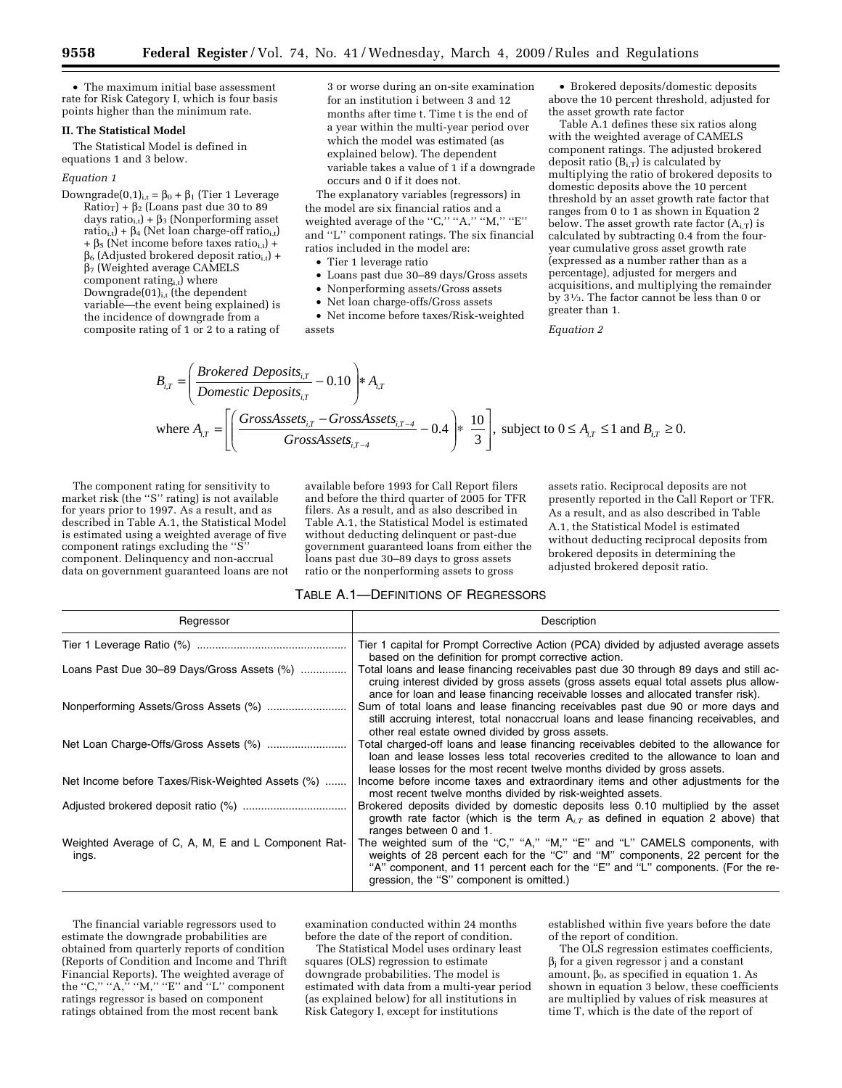• The maximum initial base assessment rate for Risk Category I, which is four basis points higher than the minimum rate.

# **II. The Statistical Model**

The Statistical Model is defined in equations 1 and 3 below.

# *Equation 1*

Downgrade(0,1)<sub>i,t</sub> =  $\beta_0 + \beta_1$  (Tier 1 Leverage  $Ratio_T$ ) +  $\beta_2$  (Loans past due 30 to 89 days ratio<sub>i,t</sub>) +  $\beta_3$  (Nonperforming asset ratio<sub>i,t</sub>) +  $\beta_4$  (Net loan charge-off ratio<sub>i,t</sub>)  $+ \beta_5$  (Net income before taxes ratio<sub>i,t</sub>) +  $\beta_6$  (Adjusted brokered deposit ratio<sub>i,t</sub>) +  $\beta$ <sub>7</sub> (Weighted average CAMELS component rating $_{i,t}$ ) where Downgrade $(01)_{i,t}$  (the dependent variable—the event being explained) is the incidence of downgrade from a composite rating of 1 or 2 to a rating of 3 or worse during an on-site examination for an institution i between 3 and 12 months after time t. Time t is the end of a year within the multi-year period over which the model was estimated (as explained below). The dependent variable takes a value of 1 if a downgrade occurs and 0 if it does not.

The explanatory variables (regressors) in the model are six financial ratios and a weighted average of the "C," "A," "M," "E" and ''L'' component ratings. The six financial ratios included in the model are:

• Tier 1 leverage ratio

⎞

- Loans past due 30–89 days/Gross assets
- Nonperforming assets/Gross assets
- Net loan charge-offs/Gross assets

• Net income before taxes/Risk-weighted assets

• Brokered deposits/domestic deposits above the 10 percent threshold, adjusted for the asset growth rate factor

Table A.1 defines these six ratios along with the weighted average of CAMELS component ratings. The adjusted brokered deposit ratio  $(B_{i,T})$  is calculated by multiplying the ratio of brokered deposits to domestic deposits above the 10 percent threshold by an asset growth rate factor that ranges from 0 to 1 as shown in Equation 2 below. The asset growth rate factor  $(A_{i,T})$  is calculated by subtracting 0.4 from the fouryear cumulative gross asset growth rate (expressed as a number rather than as a percentage), adjusted for mergers and acquisitions, and multiplying the remainder by 31⁄3. The factor cannot be less than 0 or greater than 1.

#### *Equation 2*

$$
B_{i,T} = \left(\frac{Brokeed \: Deposits_{i,T}}{Domestic \: Deposits_{i,T}} - 0.10\right) * A_{i,T}
$$
  
where  $A_{i,T} = \left[\left(\frac{GrossAssets_{i,T} - GrossAssets_{i,T-4}}{GrossAssets_{i,T-4}} - 0.4\right) * \frac{10}{3}\right]$ , subject to  $0 \le A_{i,T} \le 1$  and  $B_{i,T} \ge 0$ .

The component rating for sensitivity to market risk (the ''S'' rating) is not available for years prior to 1997. As a result, and as described in Table A.1, the Statistical Model is estimated using a weighted average of five component ratings excluding the ''S'' component. Delinquency and non-accrual data on government guaranteed loans are not

available before 1993 for Call Report filers and before the third quarter of 2005 for TFR filers. As a result, and as also described in Table A.1, the Statistical Model is estimated without deducting delinquent or past-due government guaranteed loans from either the loans past due 30–89 days to gross assets ratio or the nonperforming assets to gross

assets ratio. Reciprocal deposits are not presently reported in the Call Report or TFR. As a result, and as also described in Table A.1, the Statistical Model is estimated without deducting reciprocal deposits from brokered deposits in determining the adjusted brokered deposit ratio.

### TABLE A.1—DEFINITIONS OF REGRESSORS

| Regressor                                                    | Description                                                                                                                                                                                                                                                                                |
|--------------------------------------------------------------|--------------------------------------------------------------------------------------------------------------------------------------------------------------------------------------------------------------------------------------------------------------------------------------------|
|                                                              | Tier 1 capital for Prompt Corrective Action (PCA) divided by adjusted average assets<br>based on the definition for prompt corrective action.                                                                                                                                              |
| Loans Past Due 30-89 Days/Gross Assets (%)                   | Total loans and lease financing receivables past due 30 through 89 days and still ac-<br>cruing interest divided by gross assets (gross assets equal total assets plus allow-<br>ance for loan and lease financing receivable losses and allocated transfer risk).                         |
|                                                              | Sum of total loans and lease financing receivables past due 90 or more days and<br>still accruing interest, total nonaccrual loans and lease financing receivables, and<br>other real estate owned divided by gross assets.                                                                |
|                                                              | Total charged-off loans and lease financing receivables debited to the allowance for<br>loan and lease losses less total recoveries credited to the allowance to loan and<br>lease losses for the most recent twelve months divided by gross assets.                                       |
| Net Income before Taxes/Risk-Weighted Assets (%)             | Income before income taxes and extraordinary items and other adjustments for the<br>most recent twelve months divided by risk-weighted assets.                                                                                                                                             |
|                                                              | Brokered deposits divided by domestic deposits less 0.10 multiplied by the asset<br>growth rate factor (which is the term $A_{i,T}$ as defined in equation 2 above) that<br>ranges between 0 and 1.                                                                                        |
| Weighted Average of C, A, M, E and L Component Rat-<br>ings. | The weighted sum of the "C," "A," "M," "E" and "L" CAMELS components, with<br>weights of 28 percent each for the "C" and "M" components, 22 percent for the<br>"A" component, and 11 percent each for the "E" and "L" components. (For the re-<br>gression, the "S" component is omitted.) |

The financial variable regressors used to estimate the downgrade probabilities are obtained from quarterly reports of condition (Reports of Condition and Income and Thrift Financial Reports). The weighted average of the ''C,'' ''A,'' ''M,'' ''E'' and ''L'' component ratings regressor is based on component ratings obtained from the most recent bank

examination conducted within 24 months before the date of the report of condition.

The Statistical Model uses ordinary least squares (OLS) regression to estimate downgrade probabilities. The model is estimated with data from a multi-year period (as explained below) for all institutions in Risk Category I, except for institutions

established within five years before the date of the report of condition.

The OLS regression estimates coefficients,  $\beta_i$  for a given regressor j and a constant amount,  $\beta_0$ , as specified in equation 1. As shown in equation 3 below, these coefficients are multiplied by values of risk measures at time T, which is the date of the report of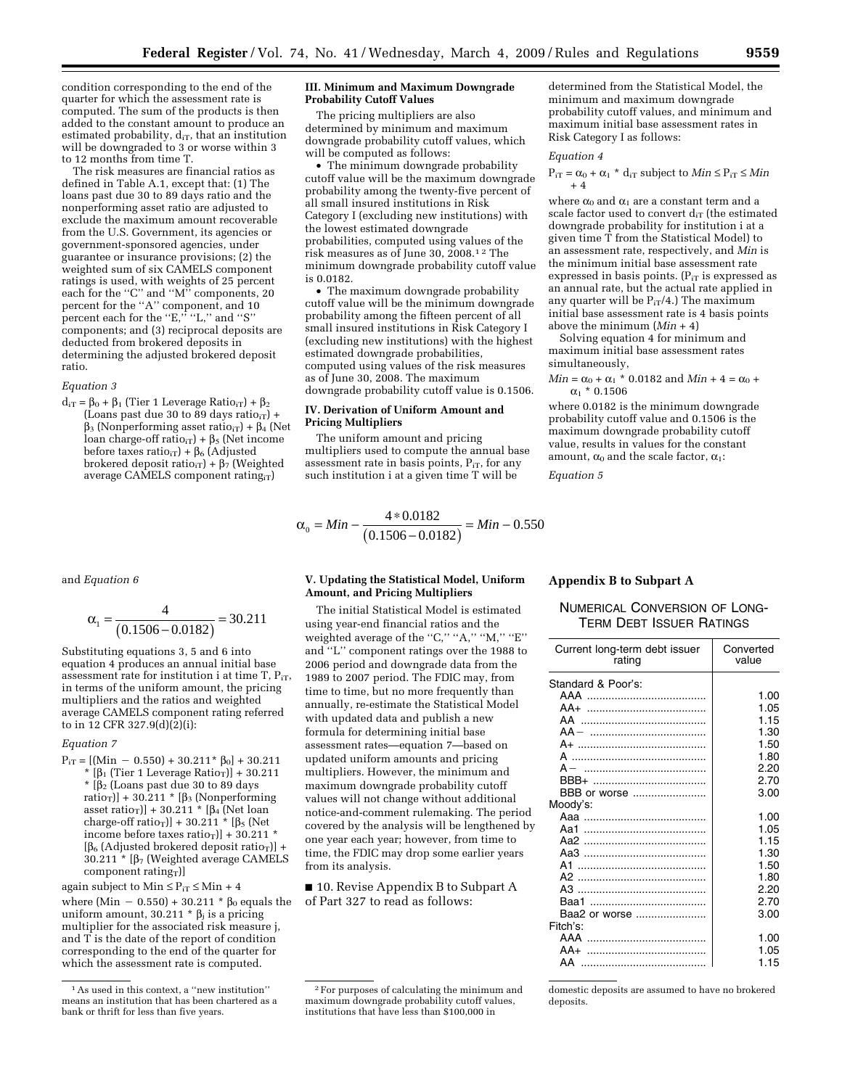condition corresponding to the end of the quarter for which the assessment rate is computed. The sum of the products is then added to the constant amount to produce an estimated probability,  $d_{iT}$ , that an institution will be downgraded to 3 or worse within 3 to 12 months from time T.

The risk measures are financial ratios as defined in Table A.1, except that: (1) The loans past due 30 to 89 days ratio and the nonperforming asset ratio are adjusted to exclude the maximum amount recoverable from the U.S. Government, its agencies or government-sponsored agencies, under guarantee or insurance provisions; (2) the weighted sum of six CAMELS component ratings is used, with weights of 25 percent each for the "C" and "M" components, 20 percent for the ''A'' component, and 10 percent each for the ''E,'' ''L,'' and ''S'' components; and (3) reciprocal deposits are deducted from brokered deposits in determining the adjusted brokered deposit ratio.

#### *Equation 3*

 $d_{iT} = \beta_0 + \beta_1$  (Tier 1 Leverage Ratio<sub>iT</sub>) +  $\beta_2$ (Loans past due 30 to 89 days ratio $_{iT}$ ) +  $\beta_3$  (Nonperforming asset ratio<sub>iT</sub>) +  $\beta_4$  (Net loan charge-off ratio<sub>iT</sub>) +  $\beta_5$  (Net income before taxes ratio<sub>iT</sub>) +  $\beta_6$  (Adjusted brokered deposit ratio<sub>iT</sub>) +  $\beta$ <sub>7</sub> (Weighted average CAMELS component rating $_{iT}$ )

and *Equation 6* 

$$
\alpha_1 = \frac{4}{(0.1506 - 0.0182)} = 30.211
$$

Substituting equations 3, 5 and 6 into equation 4 produces an annual initial base assessment rate for institution i at time  $T$ ,  $P_{iT}$ , in terms of the uniform amount, the pricing multipliers and the ratios and weighted average CAMELS component rating referred to in 12 CFR 327.9(d)( $2$ )(i):

#### *Equation 7*

 $P_{iT} = [(Min - 0.550) + 30.211^*$   $\beta_0] + 30.211$ \*  $[\beta_1$  (Tier 1 Leverage Ratio<sub>T</sub>)] + 30.211  $*$  [ $\beta$ <sub>2</sub> (Loans past due 30 to 89 days ratio<sub>T</sub>)] + 30.211 \* [ $\beta$ <sub>3</sub> (Nonperforming asset ratio<sub>T</sub>)] + 30.211  $*(\beta_4)$  (Net loan charge-off ratio<sub>T</sub>)] + 30.211  $*$  [ $\beta$ <sub>5</sub> (Net income before taxes ratio<sub>T</sub> $] + 30.211$  $[\beta_6$  (Adjusted brokered deposit ratio<sub>T</sub>)] +  $30.211 * [\beta_7$  (Weighted average CAMELS component rating $_T$ ]

again subject to Min  $\leq P_{iT} \leq Min + 4$ 

where  $(Min - 0.550) + 30.211 * \beta_0$  equals the uniform amount, 30.211  $*$   $\beta$ <sub>i</sub> is a pricing multiplier for the associated risk measure j, and T is the date of the report of condition corresponding to the end of the quarter for which the assessment rate is computed.

#### **III. Minimum and Maximum Downgrade Probability Cutoff Values**

The pricing multipliers are also determined by minimum and maximum downgrade probability cutoff values, which will be computed as follows:

The minimum downgrade probability cutoff value will be the maximum downgrade probability among the twenty-five percent of all small insured institutions in Risk Category I (excluding new institutions) with the lowest estimated downgrade probabilities, computed using values of the risk measures as of June 30, 2008.1 2 The minimum downgrade probability cutoff value is 0.0182.

• The maximum downgrade probability cutoff value will be the minimum downgrade probability among the fifteen percent of all small insured institutions in Risk Category I (excluding new institutions) with the highest estimated downgrade probabilities, computed using values of the risk measures as of June 30, 2008. The maximum downgrade probability cutoff value is 0.1506.

### **IV. Derivation of Uniform Amount and Pricing Multipliers**

The uniform amount and pricing multipliers used to compute the annual base assessment rate in basis points,  $P_{iT}$ , for any such institution i at a given time T will be

$$
\alpha_0 = Min - \frac{4 * 0.0182}{(0.1506 - 0.0182)} = Min - 0.550
$$

### **V. Updating the Statistical Model, Uniform Amount, and Pricing Multipliers**

The initial Statistical Model is estimated using year-end financial ratios and the weighted average of the "C," "A," "M," "E" and ''L'' component ratings over the 1988 to 2006 period and downgrade data from the 1989 to 2007 period. The FDIC may, from time to time, but no more frequently than annually, re-estimate the Statistical Model with updated data and publish a new formula for determining initial base assessment rates—equation 7—based on updated uniform amounts and pricing multipliers. However, the minimum and maximum downgrade probability cutoff values will not change without additional notice-and-comment rulemaking. The period covered by the analysis will be lengthened by one year each year; however, from time to time, the FDIC may drop some earlier years from its analysis.

■ 10. Revise Appendix B to Subpart A of Part 327 to read as follows:

determined from the Statistical Model, the minimum and maximum downgrade probability cutoff values, and minimum and maximum initial base assessment rates in Risk Category I as follows:

#### *Equation 4*

 $P_{iT} = \alpha_0 + \alpha_1 * d_{iT}$  subject to  $Min \leq P_{iT} \leq Min$ + 4

where  $\alpha_0$  and  $\alpha_1$  are a constant term and a scale factor used to convert  $d_{iT}$  (the estimated downgrade probability for institution i at a given time T from the Statistical Model) to an assessment rate, respectively, and *Min* is the minimum initial base assessment rate expressed in basis points.  $(P_{iT}$  is expressed as an annual rate, but the actual rate applied in any quarter will be  $P_{iT}/4$ .) The maximum initial base assessment rate is 4 basis points above the minimum (*Min* + 4)

Solving equation 4 for minimum and maximum initial base assessment rates simultaneously,

 $Min = \alpha_0 + {\alpha_1} * 0.0182$  and  $Min + 4 = \alpha_0 +$  $\alpha_1$  \* 0.1506

where 0.0182 is the minimum downgrade probability cutoff value and 0.1506 is the maximum downgrade probability cutoff value, results in values for the constant amount,  $\alpha_0$  and the scale factor,  $\alpha_1$ :

*Equation 5* 

## **Appendix B to Subpart A**

# NUMERICAL CONVERSION OF LONG-TERM DEBT ISSUER RATINGS

| Current long-term debt issuer<br>rating | Converted<br>value |
|-----------------------------------------|--------------------|
| Standard & Poor's:                      |                    |
| AAA<br>                                 | 1.00               |
| $AA+$                                   | 1.05               |
| AA                                      | 1.15               |
| $AA -$                                  | 1.30               |
|                                         | 1.50               |
| A                                       | 1.80               |
| $A -$                                   | 2.20               |
| RBB+                                    | 2.70               |
| BBB or worse                            | 3.00               |
| Moody's:                                |                    |
| Aaa …………………………………                       | 1.00               |
| Aa1                                     | 1.05               |
| Aa2                                     | 1.15               |
| Aa3                                     | 1.30               |
| A1                                      | 1.50               |
| A <sub>2</sub>                          | 1.80               |
| AЗ                                      | 2.20               |
| Baa1                                    | 2.70               |
| Baa2 or worse                           | 3.00               |
| Fitch's:                                |                    |
| AAA                                     | 1.00               |
| AA+                                     | 1.05               |
| AA                                      | 1.15               |

domestic deposits are assumed to have no brokered deposits.

<sup>1</sup>As used in this context, a ''new institution'' means an institution that has been chartered as a bank or thrift for less than five years.

<sup>2</sup>For purposes of calculating the minimum and maximum downgrade probability cutoff values, institutions that have less than \$100,000 in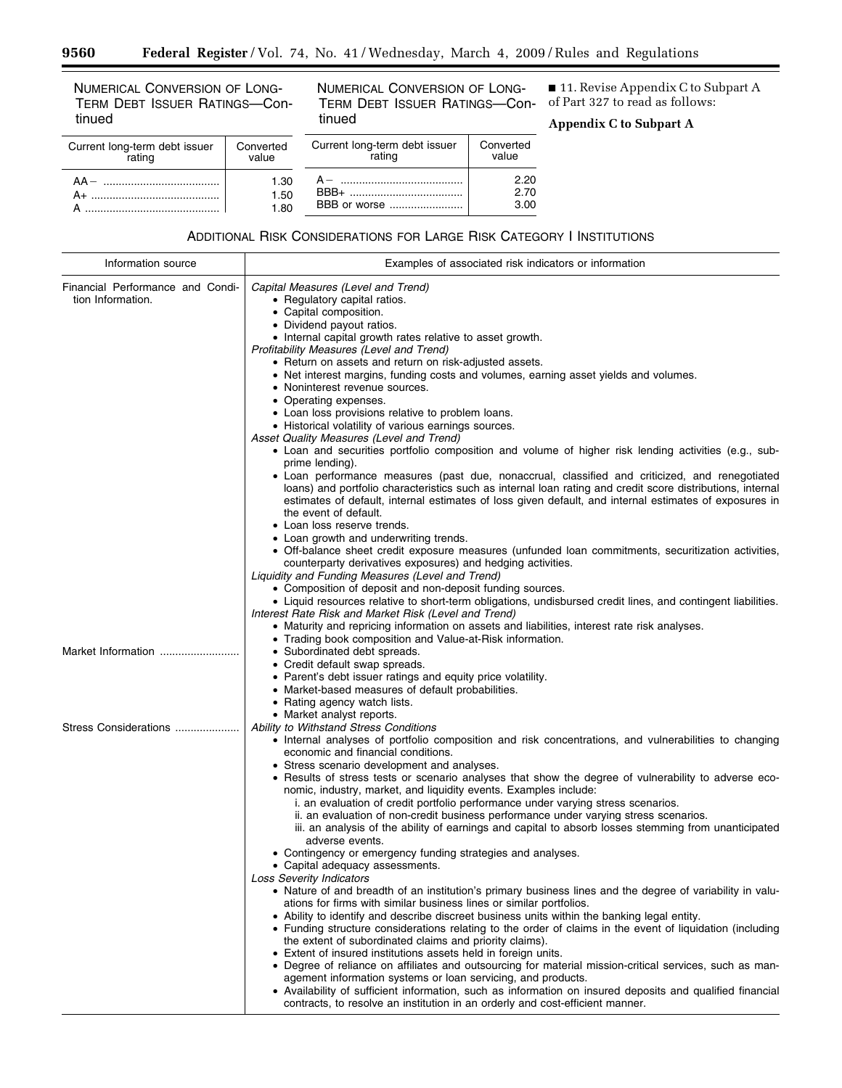NUMERICAL CONVERSION OF LONG-TERM DEBT ISSUER RATINGS—Continued

-

NUMERICAL CONVERSION OF LONG-TERM DEBT ISSUER RATINGS—Continued

■ 11. Revise Appendix C to Subpart A of Part 327 to read as follows:

۰

**Appendix C to Subpart A** 

| Current long-term debt issuer<br>rating | Converted<br>value | Current lond |
|-----------------------------------------|--------------------|--------------|
|                                         | 1.30               | A – ………      |
| A+ ………………………………………                      | 1.50               | $BBB+$       |
|                                         | 1.80               | BBB or wo    |

| Current long-term debt issuer<br>rating | Converted<br>value   |
|-----------------------------------------|----------------------|
| BBB+<br>BBB or worse                    | 2.20<br>2.70<br>3.00 |

ADDITIONAL RISK CONSIDERATIONS FOR LARGE RISK CATEGORY I INSTITUTIONS

| Information source                                    | Examples of associated risk indicators or information                                                                                                                                                                                                                                                                                                                                                                                                                                                                                                                                                                                                                                                                                                                                                                                                                                                                                                                                                                                                                                                                                                                                                                                                                                                                                                                                                                                                                                                                                                                                                                                                                                                                                                            |
|-------------------------------------------------------|------------------------------------------------------------------------------------------------------------------------------------------------------------------------------------------------------------------------------------------------------------------------------------------------------------------------------------------------------------------------------------------------------------------------------------------------------------------------------------------------------------------------------------------------------------------------------------------------------------------------------------------------------------------------------------------------------------------------------------------------------------------------------------------------------------------------------------------------------------------------------------------------------------------------------------------------------------------------------------------------------------------------------------------------------------------------------------------------------------------------------------------------------------------------------------------------------------------------------------------------------------------------------------------------------------------------------------------------------------------------------------------------------------------------------------------------------------------------------------------------------------------------------------------------------------------------------------------------------------------------------------------------------------------------------------------------------------------------------------------------------------------|
| Financial Performance and Condi-<br>tion Information. | Capital Measures (Level and Trend)<br>• Regulatory capital ratios.<br>• Capital composition.<br>• Dividend payout ratios.<br>• Internal capital growth rates relative to asset growth.<br>Profitability Measures (Level and Trend)<br>• Return on assets and return on risk-adjusted assets.<br>• Net interest margins, funding costs and volumes, earning asset yields and volumes.<br>• Noninterest revenue sources.<br>• Operating expenses.<br>• Loan loss provisions relative to problem loans.<br>• Historical volatility of various earnings sources.<br>Asset Quality Measures (Level and Trend)<br>• Loan and securities portfolio composition and volume of higher risk lending activities (e.g., sub-<br>prime lending).<br>• Loan performance measures (past due, nonaccrual, classified and criticized, and renegotiated<br>loans) and portfolio characteristics such as internal loan rating and credit score distributions, internal<br>estimates of default, internal estimates of loss given default, and internal estimates of exposures in<br>the event of default.<br>• Loan loss reserve trends.<br>• Loan growth and underwriting trends.<br>• Off-balance sheet credit exposure measures (unfunded loan commitments, securitization activities,<br>counterparty derivatives exposures) and hedging activities.<br>Liquidity and Funding Measures (Level and Trend)<br>• Composition of deposit and non-deposit funding sources.<br>• Liquid resources relative to short-term obligations, undisbursed credit lines, and contingent liabilities.<br>Interest Rate Risk and Market Risk (Level and Trend)                                                                                                                                   |
| Market Information                                    | • Maturity and repricing information on assets and liabilities, interest rate risk analyses.<br>• Trading book composition and Value-at-Risk information.<br>• Subordinated debt spreads.<br>• Credit default swap spreads.<br>• Parent's debt issuer ratings and equity price volatility.<br>• Market-based measures of default probabilities.<br>• Rating agency watch lists.<br>• Market analyst reports.                                                                                                                                                                                                                                                                                                                                                                                                                                                                                                                                                                                                                                                                                                                                                                                                                                                                                                                                                                                                                                                                                                                                                                                                                                                                                                                                                     |
| Stress Considerations                                 | Ability to Withstand Stress Conditions<br>• Internal analyses of portfolio composition and risk concentrations, and vulnerabilities to changing<br>economic and financial conditions.<br>• Stress scenario development and analyses.<br>• Results of stress tests or scenario analyses that show the degree of vulnerability to adverse eco-<br>nomic, industry, market, and liquidity events. Examples include:<br>i. an evaluation of credit portfolio performance under varying stress scenarios.<br>ii. an evaluation of non-credit business performance under varying stress scenarios.<br>iii. an analysis of the ability of earnings and capital to absorb losses stemming from unanticipated<br>adverse events.<br>• Contingency or emergency funding strategies and analyses.<br>Capital adequacy assessments.<br><b>Loss Severity Indicators</b><br>• Nature of and breadth of an institution's primary business lines and the degree of variability in valu-<br>ations for firms with similar business lines or similar portfolios.<br>• Ability to identify and describe discreet business units within the banking legal entity.<br>• Funding structure considerations relating to the order of claims in the event of liquidation (including<br>the extent of subordinated claims and priority claims).<br>• Extent of insured institutions assets held in foreign units.<br>• Degree of reliance on affiliates and outsourcing for material mission-critical services, such as man-<br>agement information systems or loan servicing, and products.<br>• Availability of sufficient information, such as information on insured deposits and qualified financial<br>contracts, to resolve an institution in an orderly and cost-efficient manner. |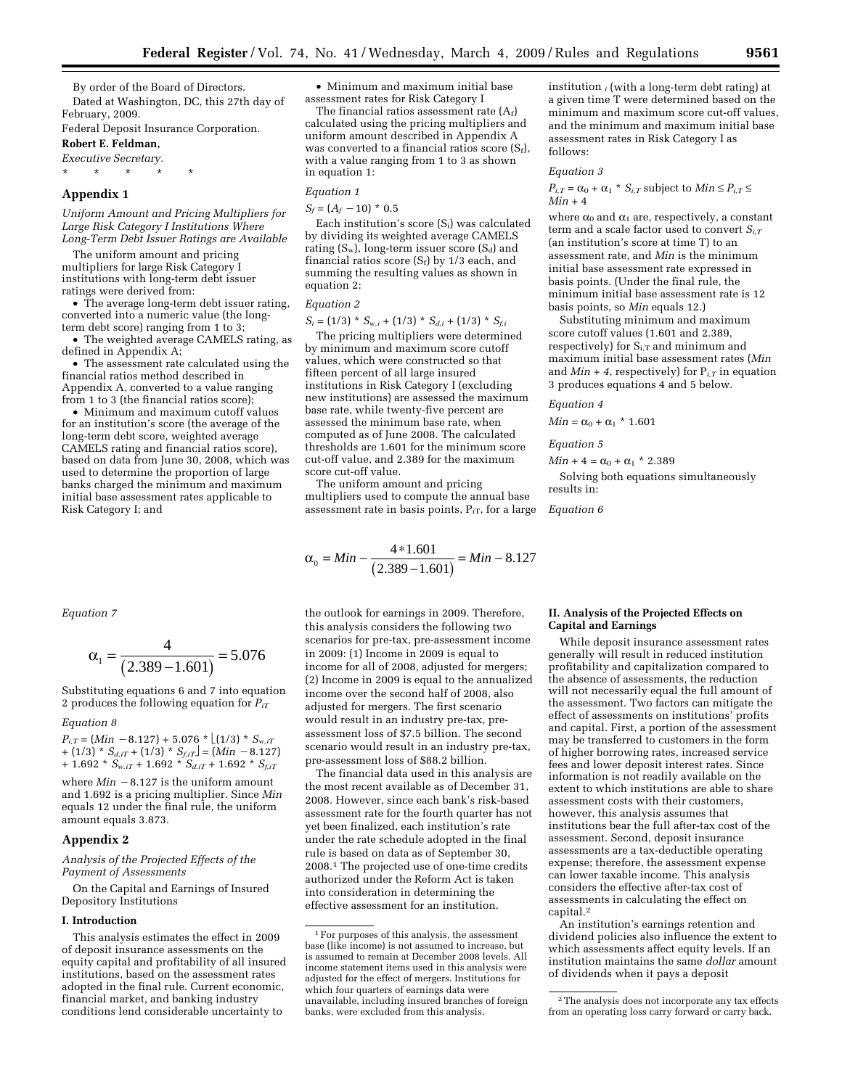By order of the Board of Directors. Dated at Washington, DC, this 27th day of February, 2009.

Federal Deposit Insurance Corporation.

**Robert E. Feldman,** 

*Executive Secretary.*  \* \* \* \* \*

#### **Appendix 1**

*Uniform Amount and Pricing Multipliers for Large Risk Category I Institutions Where Long-Term Debt Issuer Ratings are Available* 

The uniform amount and pricing multipliers for large Risk Category I institutions with long-term debt issuer ratings were derived from:

• The average long-term debt issuer rating, converted into a numeric value (the longterm debt score) ranging from 1 to 3;

• The weighted average CAMELS rating, as defined in Appendix A;

• The assessment rate calculated using the financial ratios method described in Appendix A, converted to a value ranging from 1 to 3 (the financial ratios score);

• Minimum and maximum cutoff values for an institution's score (the average of the long-term debt score, weighted average CAMELS rating and financial ratios score), based on data from June 30, 2008, which was used to determine the proportion of large banks charged the minimum and maximum initial base assessment rates applicable to Risk Category I; and

*Equation 7* 

$$
\alpha_1 = \frac{4}{(2.389 - 1.601)} = 5.076
$$

Substituting equations 6 and 7 into equation 2 produces the following equation for *PiT*

#### *Equation 8*

 $P_{i,T} = (Min -8.127) + 5.076 * \lfloor (1/3) * S_{w,iT} \rfloor$  $+ (1/3) * S_{d, iT} + (1/3) * S_{f, iT} = (Min - 8.127)$  $+ 1.692 * S_{w,IT} + 1.692 * S_{d,IT} + 1.692 * S_{f,IT}$ 

where  $Min -8.127$  is the uniform amount and 1.692 is a pricing multiplier. Since *Min*  equals 12 under the final rule, the uniform amount equals 3.873.

#### **Appendix 2**

### *Analysis of the Projected Effects of the Payment of Assessments*

On the Capital and Earnings of Insured Depository Institutions

#### **I. Introduction**

This analysis estimates the effect in 2009 of deposit insurance assessments on the equity capital and profitability of all insured institutions, based on the assessment rates adopted in the final rule. Current economic, financial market, and banking industry conditions lend considerable uncertainty to

• Minimum and maximum initial base assessment rates for Risk Category I

The financial ratios assessment rate  $(A_f)$ calculated using the pricing multipliers and uniform amount described in Appendix A was converted to a financial ratios score  $(S_f)$ , with a value ranging from 1 to 3 as shown in equation 1:

#### *Equation 1*

 $S_f = (A_f - 10)^* 0.5$ 

Each institution's score (Si) was calculated by dividing its weighted average CAMELS rating  $(S_w)$ , long-term issuer score  $(S_d)$  and financial ratios score  $(S_f)$  by 1/3 each, and summing the resulting values as shown in equation 2:

## *Equation 2*

 $S_i = (1/3) * S_{w,i} + (1/3) * S_{d,i} + (1/3) * S_{f,i}$ 

The pricing multipliers were determined by minimum and maximum score cutoff values, which were constructed so that fifteen percent of all large insured institutions in Risk Category I (excluding new institutions) are assessed the maximum base rate, while twenty-five percent are assessed the minimum base rate, when computed as of June 2008. The calculated thresholds are 1.601 for the minimum score cut-off value, and 2.389 for the maximum score cut-off value.

The uniform amount and pricing multipliers used to compute the annual base assessment rate in basis points,  $P_{iT}$ , for a large

$$
\alpha_0 = Min - \frac{4*1.601}{(2.389 - 1.601)} = Min - 8.127
$$

the outlook for earnings in 2009. Therefore, this analysis considers the following two scenarios for pre-tax, pre-assessment income in 2009: (1) Income in 2009 is equal to income for all of 2008, adjusted for mergers; (2) Income in 2009 is equal to the annualized income over the second half of 2008, also adjusted for mergers. The first scenario would result in an industry pre-tax, preassessment loss of \$7.5 billion. The second scenario would result in an industry pre-tax, pre-assessment loss of \$88.2 billion.

The financial data used in this analysis are the most recent available as of December 31, 2008. However, since each bank's risk-based assessment rate for the fourth quarter has not yet been finalized, each institution's rate under the rate schedule adopted in the final rule is based on data as of September 30, 2008.1 The projected use of one-time credits authorized under the Reform Act is taken into consideration in determining the effective assessment for an institution.

institution *i* (with a long-term debt rating) at a given time T were determined based on the minimum and maximum score cut-off values, and the minimum and maximum initial base assessment rates in Risk Category I as follows:

#### *Equation 3*

 $P_{i,T} = \alpha_0 + \alpha_1 * S_{i,T}$  subject to  $Min \le P_{i,T} \le$  $Min + 4$ 

where  $\alpha_0$  and  $\alpha_1$  are, respectively, a constant term and a scale factor used to convert *Si,T* (an institution's score at time T) to an assessment rate, and *Min* is the minimum initial base assessment rate expressed in basis points. (Under the final rule, the minimum initial base assessment rate is 12 basis points, so *Min* equals 12.)

Substituting minimum and maximum score cutoff values (1.601 and 2.389, respectively) for  $S_{i,T}$  and minimum and maximum initial base assessment rates (*Min*  and  $Min + 4$ , respectively) for  $P_{i,T}$  in equation 3 produces equations 4 and 5 below.

#### *Equation 4*

 $Min = \alpha_0 + \alpha_1$  \* 1.601

*Equation 5* 

 $Min + 4 = \alpha_0 + \alpha_1 * 2.389$ 

Solving both equations simultaneously results in:

*Equation 6* 

### **II. Analysis of the Projected Effects on Capital and Earnings**

While deposit insurance assessment rates generally will result in reduced institution profitability and capitalization compared to the absence of assessments, the reduction will not necessarily equal the full amount of the assessment. Two factors can mitigate the effect of assessments on institutions' profits and capital. First, a portion of the assessment may be transferred to customers in the form of higher borrowing rates, increased service fees and lower deposit interest rates. Since information is not readily available on the extent to which institutions are able to share assessment costs with their customers, however, this analysis assumes that institutions bear the full after-tax cost of the assessment. Second, deposit insurance assessments are a tax-deductible operating expense; therefore, the assessment expense can lower taxable income. This analysis considers the effective after-tax cost of assessments in calculating the effect on capital.2

An institution's earnings retention and dividend policies also influence the extent to which assessments affect equity levels. If an institution maintains the same *dollar* amount of dividends when it pays a deposit

<sup>1</sup>For purposes of this analysis, the assessment base (like income) is not assumed to increase, but is assumed to remain at December 2008 levels. All income statement items used in this analysis were adjusted for the effect of mergers. Institutions for which four quarters of earnings data were unavailable, including insured branches of foreign banks, were excluded from this analysis.

<sup>2</sup>The analysis does not incorporate any tax effects from an operating loss carry forward or carry back.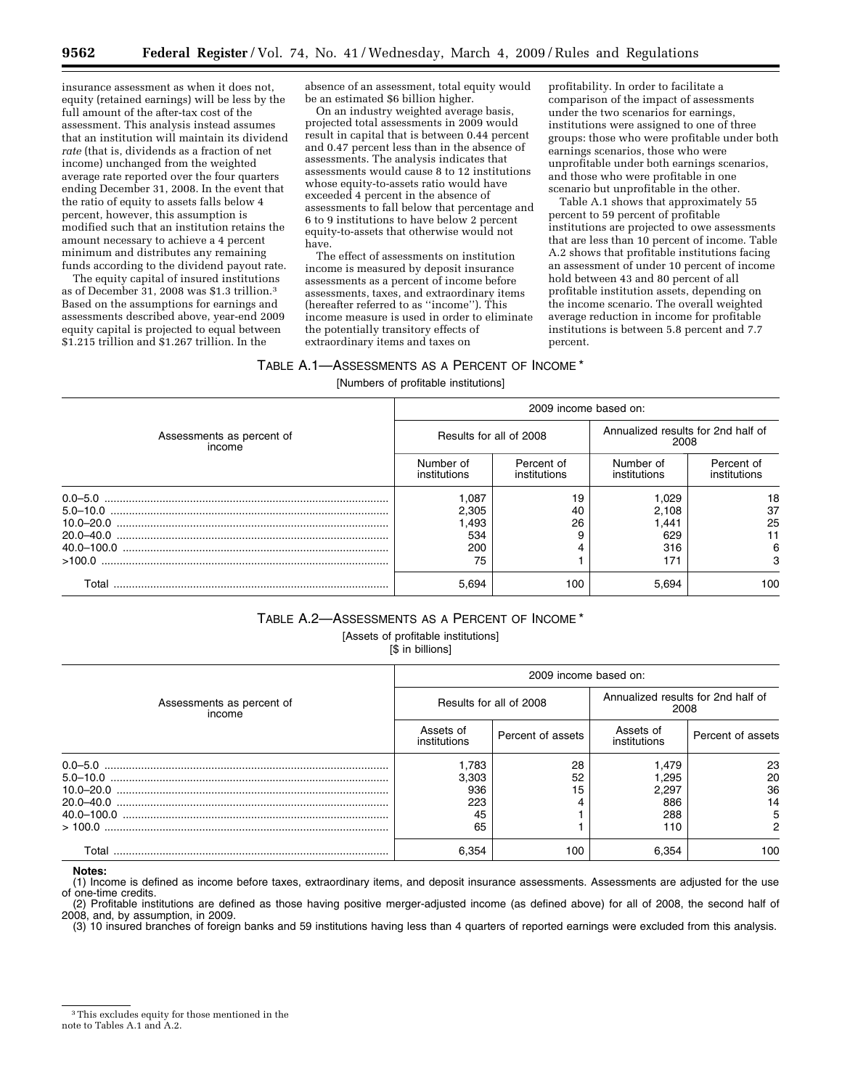insurance assessment as when it does not, equity (retained earnings) will be less by the full amount of the after-tax cost of the assessment. This analysis instead assumes that an institution will maintain its dividend *rate* (that is, dividends as a fraction of net income) unchanged from the weighted average rate reported over the four quarters ending December 31, 2008. In the event that the ratio of equity to assets falls below 4 percent, however, this assumption is modified such that an institution retains the amount necessary to achieve a 4 percent minimum and distributes any remaining funds according to the dividend payout rate.

The equity capital of insured institutions as of December 31, 2008 was \$1.3 trillion.3 Based on the assumptions for earnings and assessments described above, year-end 2009 equity capital is projected to equal between \$1.215 trillion and \$1.267 trillion. In the

absence of an assessment, total equity would be an estimated \$6 billion higher.

On an industry weighted average basis, projected total assessments in 2009 would result in capital that is between 0.44 percent and 0.47 percent less than in the absence of assessments. The analysis indicates that assessments would cause 8 to 12 institutions whose equity-to-assets ratio would have exceeded 4 percent in the absence of assessments to fall below that percentage and 6 to 9 institutions to have below 2 percent equity-to-assets that otherwise would not have.

The effect of assessments on institution income is measured by deposit insurance assessments as a percent of income before assessments, taxes, and extraordinary items (hereafter referred to as ''income''). This income measure is used in order to eliminate the potentially transitory effects of extraordinary items and taxes on

profitability. In order to facilitate a comparison of the impact of assessments under the two scenarios for earnings, institutions were assigned to one of three groups: those who were profitable under both earnings scenarios, those who were unprofitable under both earnings scenarios, and those who were profitable in one scenario but unprofitable in the other.

Table A.1 shows that approximately 55 percent to 59 percent of profitable institutions are projected to owe assessments that are less than 10 percent of income. Table A.2 shows that profitable institutions facing an assessment of under 10 percent of income hold between 43 and 80 percent of all profitable institution assets, depending on the income scenario. The overall weighted average reduction in income for profitable institutions is between 5.8 percent and 7.7 percent.

## TABLE A.1—ASSESSMENTS AS A PERCENT OF INCOME \*

[Numbers of profitable institutions]

| Assessments as percent of<br>income | 2009 income based on:     |                            |                                            |                            |
|-------------------------------------|---------------------------|----------------------------|--------------------------------------------|----------------------------|
|                                     | Results for all of 2008   |                            | Annualized results for 2nd half of<br>2008 |                            |
|                                     | Number of<br>institutions | Percent of<br>institutions | Number of<br>institutions                  | Percent of<br>institutions |
|                                     | 1,087                     | 19                         | 1,029                                      | 18                         |
|                                     | 2,305                     | 40                         | 2,108                                      | 37                         |
|                                     | 1,493                     | 26                         | 1.441                                      | 25                         |
|                                     | 534                       |                            | 629                                        |                            |
|                                     | 200                       |                            | 316                                        | 6                          |
| >100.0                              | 75                        |                            | 171                                        | 3                          |
| Total                               | 5,694                     | 100                        | 5,694                                      | 100                        |

# TABLE A.2—ASSESSMENTS AS A PERCENT OF INCOME \*

[Assets of profitable institutions]

[\$ in billions]

|                                     | 2009 income based on:     |                   |                                            |                   |
|-------------------------------------|---------------------------|-------------------|--------------------------------------------|-------------------|
| Assessments as percent of<br>income | Results for all of 2008   |                   | Annualized results for 2nd half of<br>2008 |                   |
|                                     | Assets of<br>institutions | Percent of assets | Assets of<br>institutions                  | Percent of assets |
|                                     | 1.783                     | 28                | 1.479                                      | 23                |
|                                     | 3,303                     | 52                | 1,295                                      | 20                |
|                                     | 936                       | 15                | 2,297                                      | 36                |
|                                     | 223                       |                   | 886                                        | 14                |
|                                     | 45                        |                   | 288                                        | 5                 |
|                                     | 65                        |                   | 110                                        | 2                 |
| Total                               | 6.354                     | 100               | 6.354                                      | 100               |

**Notes:** 

(1) Income is defined as income before taxes, extraordinary items, and deposit insurance assessments. Assessments are adjusted for the use of one-time credits.

(2) Profitable institutions are defined as those having positive merger-adjusted income (as defined above) for all of 2008, the second half of 2008, and, by assumption, in 2009.

(3) 10 insured branches of foreign banks and 59 institutions having less than 4 quarters of reported earnings were excluded from this analysis.

<sup>3</sup>This excludes equity for those mentioned in the note to Tables A.1 and A.2.